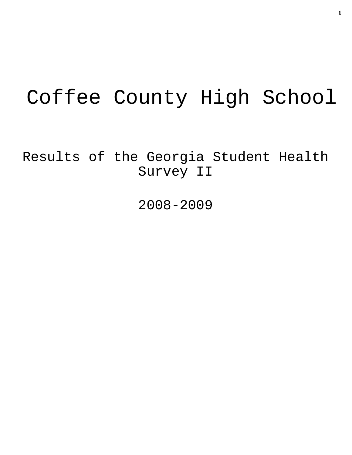# Coffee County High School

Results of the Georgia Student Health Survey II

2008-2009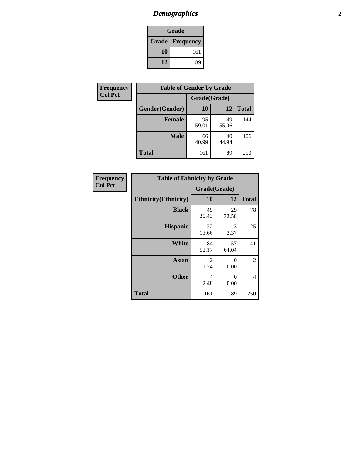# *Demographics* **2**

| Grade                    |     |  |  |
|--------------------------|-----|--|--|
| <b>Grade   Frequency</b> |     |  |  |
| 10                       | 161 |  |  |
| 12                       | 89  |  |  |

| <b>Frequency</b> | <b>Table of Gender by Grade</b> |              |             |              |  |
|------------------|---------------------------------|--------------|-------------|--------------|--|
| <b>Col Pct</b>   |                                 | Grade(Grade) |             |              |  |
|                  | Gender(Gender)                  | 10           | 12          | <b>Total</b> |  |
|                  | <b>Female</b>                   | 95<br>59.01  | 49<br>55.06 | 144          |  |
|                  | <b>Male</b>                     | 66<br>40.99  | 40<br>44.94 | 106          |  |
|                  | <b>Total</b>                    | 161          | 89          | 250          |  |

| <b>Frequency</b> |  |
|------------------|--|
| <b>Col Pct</b>   |  |

| <b>Table of Ethnicity by Grade</b> |              |             |              |  |  |  |
|------------------------------------|--------------|-------------|--------------|--|--|--|
|                                    | Grade(Grade) |             |              |  |  |  |
| <b>Ethnicity</b> (Ethnicity)       | 10           | 12          | <b>Total</b> |  |  |  |
| <b>Black</b>                       | 49<br>30.43  | 29<br>32.58 | 78           |  |  |  |
| <b>Hispanic</b>                    | 22<br>13.66  | 3<br>3.37   | 25           |  |  |  |
| <b>White</b>                       | 84<br>52.17  | 57<br>64.04 | 141          |  |  |  |
| <b>Asian</b>                       | 2<br>1.24    | 0<br>0.00   | 2            |  |  |  |
| <b>Other</b>                       | 4<br>2.48    | 0<br>0.00   | 4            |  |  |  |
| <b>Total</b>                       | 161          | 89          | 250          |  |  |  |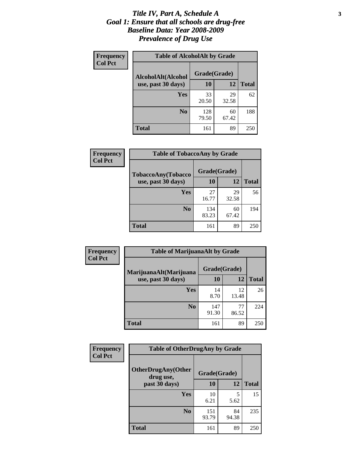#### *Title IV, Part A, Schedule A* **3** *Goal 1: Ensure that all schools are drug-free Baseline Data: Year 2008-2009 Prevalence of Drug Use*

| Frequency<br><b>Col Pct</b> | <b>Table of AlcoholAlt by Grade</b> |              |             |              |  |  |
|-----------------------------|-------------------------------------|--------------|-------------|--------------|--|--|
|                             | AlcoholAlt(Alcohol                  | Grade(Grade) |             |              |  |  |
|                             | use, past 30 days)                  | <b>10</b>    | 12          | <b>Total</b> |  |  |
|                             | Yes                                 | 33<br>20.50  | 29<br>32.58 | 62           |  |  |
|                             | N <sub>0</sub>                      | 128<br>79.50 | 60<br>67.42 | 188          |  |  |
|                             | Total                               | 161          | 89          | 250          |  |  |

| Frequency      | <b>Table of TobaccoAny by Grade</b> |              |             |              |  |
|----------------|-------------------------------------|--------------|-------------|--------------|--|
| <b>Col Pct</b> | TobaccoAny(Tobacco                  | Grade(Grade) |             |              |  |
|                | use, past 30 days)                  | <b>10</b>    | 12          | <b>Total</b> |  |
|                | Yes                                 | 27<br>16.77  | 29<br>32.58 | 56           |  |
|                | N <sub>0</sub>                      | 134<br>83.23 | 60<br>67.42 | 194          |  |
|                | Total                               | 161          | 89          | 250          |  |

| Frequency<br><b>Col Pct</b> | <b>Table of MarijuanaAlt by Grade</b> |              |             |              |  |
|-----------------------------|---------------------------------------|--------------|-------------|--------------|--|
|                             | MarijuanaAlt(Marijuana                | Grade(Grade) |             |              |  |
|                             | use, past 30 days)                    | 10           | 12          | <b>Total</b> |  |
|                             | <b>Yes</b>                            | 14<br>8.70   | 12<br>13.48 | 26           |  |
|                             | N <sub>0</sub>                        | 147<br>91.30 | 77<br>86.52 | 224          |  |
|                             | <b>Total</b>                          | 161          | 89          | 250          |  |

| Frequency<br><b>Col Pct</b> | <b>Table of OtherDrugAny by Grade</b>  |              |             |              |  |
|-----------------------------|----------------------------------------|--------------|-------------|--------------|--|
|                             | <b>OtherDrugAny(Other</b><br>drug use, | Grade(Grade) |             |              |  |
|                             | past 30 days)                          | 10           | 12          | <b>Total</b> |  |
|                             | Yes                                    | 10<br>6.21   | 5<br>5.62   | 15           |  |
|                             | N <sub>0</sub>                         | 151<br>93.79 | 84<br>94.38 | 235          |  |
|                             | <b>Total</b>                           | 161          | 89          | 250          |  |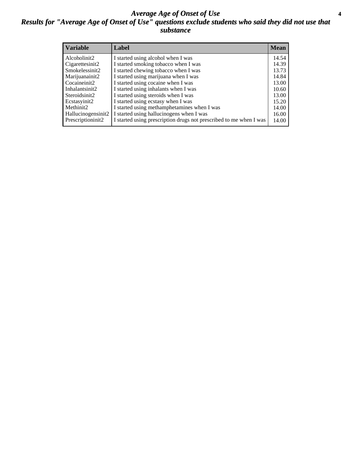#### *Average Age of Onset of Use* **4** *Results for "Average Age of Onset of Use" questions exclude students who said they did not use that substance*

| <b>Variable</b>    | Label                                                              | <b>Mean</b> |
|--------------------|--------------------------------------------------------------------|-------------|
| Alcoholinit2       | I started using alcohol when I was                                 | 14.54       |
| Cigarettesinit2    | I started smoking tobacco when I was                               | 14.39       |
| Smokelessinit2     | I started chewing tobacco when I was                               | 13.73       |
| Marijuanainit2     | I started using marijuana when I was                               | 14.84       |
| Cocaineinit2       | I started using cocaine when I was                                 | 13.00       |
| Inhalantsinit2     | I started using inhalants when I was                               | 10.60       |
| Steroidsinit2      | I started using steroids when I was                                | 13.00       |
| Ecstasyinit2       | I started using ecstasy when I was                                 | 15.20       |
| Methinit2          | I started using methamphetamines when I was                        | 14.00       |
| Hallucinogensinit2 | I started using hallucinogens when I was                           | 16.00       |
| Prescriptioninit2  | I started using prescription drugs not prescribed to me when I was | 14.00       |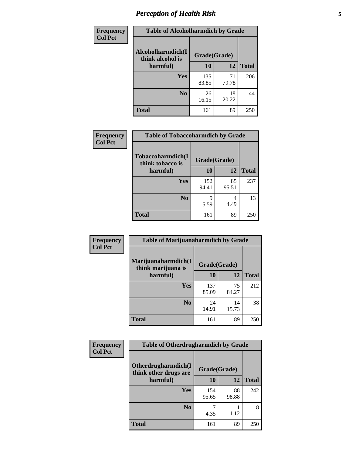# *Perception of Health Risk* **5**

| Frequency      | <b>Table of Alcoholharmdich by Grade</b> |              |             |              |  |
|----------------|------------------------------------------|--------------|-------------|--------------|--|
| <b>Col Pct</b> | Alcoholharmdich(I<br>think alcohol is    | Grade(Grade) |             |              |  |
|                | harmful)                                 | 10           | 12          | <b>Total</b> |  |
|                | Yes                                      | 135<br>83.85 | 71<br>79.78 | 206          |  |
|                | N <sub>0</sub>                           | 26<br>16.15  | 18<br>20.22 | 44           |  |
|                | <b>Total</b>                             | 161          | 89          | 250          |  |

| Frequency      | <b>Table of Tobaccoharmdich by Grade</b> |              |             |              |  |
|----------------|------------------------------------------|--------------|-------------|--------------|--|
| <b>Col Pct</b> | Tobaccoharmdich(I<br>think tobacco is    | Grade(Grade) |             |              |  |
|                | harmful)                                 | 10           | 12          | <b>Total</b> |  |
|                | Yes                                      | 152<br>94.41 | 85<br>95.51 | 237          |  |
|                | N <sub>0</sub>                           | q<br>5.59    | 4<br>4.49   | 13           |  |
|                | <b>Total</b>                             | 161          | 89          | 250          |  |

| Frequency      | <b>Table of Marijuanaharmdich by Grade</b> |              |             |              |  |
|----------------|--------------------------------------------|--------------|-------------|--------------|--|
| <b>Col Pct</b> | Marijuanaharmdich(I<br>think marijuana is  | Grade(Grade) |             |              |  |
|                | harmful)                                   | 10           | 12          | <b>Total</b> |  |
|                | Yes                                        | 137<br>85.09 | 75<br>84.27 | 212          |  |
|                | N <sub>0</sub>                             | 24<br>14.91  | 14<br>15.73 | 38           |  |
|                | <b>Total</b>                               | 161          | 89          | 250          |  |

| Frequency      | <b>Table of Otherdrugharmdich by Grade</b>   |              |             |              |  |  |  |
|----------------|----------------------------------------------|--------------|-------------|--------------|--|--|--|
| <b>Col Pct</b> | Otherdrugharmdich(I<br>think other drugs are | Grade(Grade) |             |              |  |  |  |
|                | harmful)                                     |              | 12          | <b>Total</b> |  |  |  |
|                | <b>Yes</b>                                   | 154<br>95.65 | 88<br>98.88 | 242          |  |  |  |
|                | N <sub>0</sub>                               | 4.35         | 1.12        | 8            |  |  |  |
|                | <b>Total</b>                                 | 161          | 89          | 250          |  |  |  |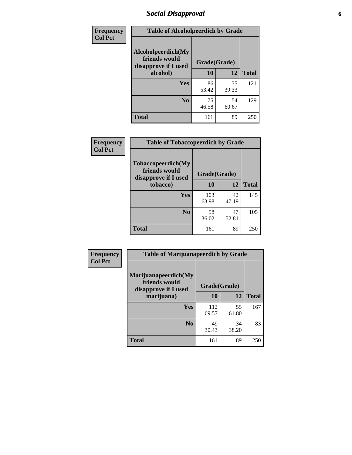# *Social Disapproval* **6**

| Frequency      | <b>Table of Alcoholpeerdich by Grade</b>                    |              |             |              |
|----------------|-------------------------------------------------------------|--------------|-------------|--------------|
| <b>Col Pct</b> | Alcoholpeerdich(My<br>friends would<br>disapprove if I used | Grade(Grade) |             |              |
|                | alcohol)                                                    | 10           | 12          | <b>Total</b> |
|                | <b>Yes</b>                                                  | 86<br>53.42  | 35<br>39.33 | 121          |
|                | N <sub>0</sub>                                              | 75<br>46.58  | 54<br>60.67 | 129          |
|                | <b>Total</b>                                                | 161          | 89          | 250          |

| <b>Frequency</b> |
|------------------|
| <b>Col Pct</b>   |

| <b>Table of Tobaccopeerdich by Grade</b>                    |              |             |              |  |  |  |
|-------------------------------------------------------------|--------------|-------------|--------------|--|--|--|
| Tobaccopeerdich(My<br>friends would<br>disapprove if I used | Grade(Grade) |             |              |  |  |  |
| tobacco)                                                    | 10           | 12          | <b>Total</b> |  |  |  |
| Yes                                                         | 103<br>63.98 | 42<br>47.19 | 145          |  |  |  |
| N <sub>0</sub>                                              | 58<br>36.02  | 47<br>52.81 | 105          |  |  |  |
| <b>Total</b>                                                | 161          | 89          | 250          |  |  |  |

| Frequency      | <b>Table of Marijuanapeerdich by Grade</b>                    |              |              |              |  |  |  |
|----------------|---------------------------------------------------------------|--------------|--------------|--------------|--|--|--|
| <b>Col Pct</b> | Marijuanapeerdich(My<br>friends would<br>disapprove if I used |              | Grade(Grade) |              |  |  |  |
|                | marijuana)                                                    | 10           | 12           | <b>Total</b> |  |  |  |
|                | <b>Yes</b>                                                    | 112<br>69.57 | 55<br>61.80  | 167          |  |  |  |
|                | N <sub>0</sub>                                                | 49<br>30.43  | 34<br>38.20  | 83           |  |  |  |
|                | <b>Total</b>                                                  | 161          | 89           | 250          |  |  |  |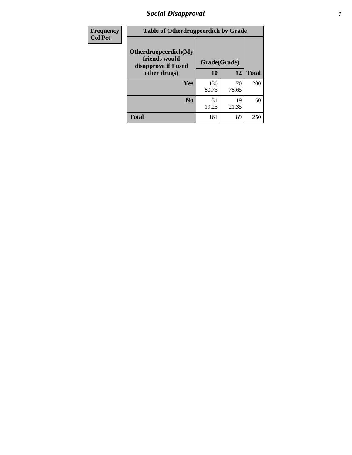# *Social Disapproval* **7**

| Frequency      | <b>Table of Otherdrugpeerdich by Grade</b>                    |              |             |              |  |  |  |
|----------------|---------------------------------------------------------------|--------------|-------------|--------------|--|--|--|
| <b>Col Pct</b> | Otherdrugpeerdich(My<br>friends would<br>disapprove if I used | Grade(Grade) |             |              |  |  |  |
|                | other drugs)                                                  | 10           | 12          | <b>Total</b> |  |  |  |
|                | Yes                                                           | 130<br>80.75 | 70<br>78.65 | 200          |  |  |  |
|                | N <sub>0</sub>                                                | 31<br>19.25  | 19<br>21.35 | 50           |  |  |  |
|                | <b>Total</b>                                                  | 161          | 89          | 250          |  |  |  |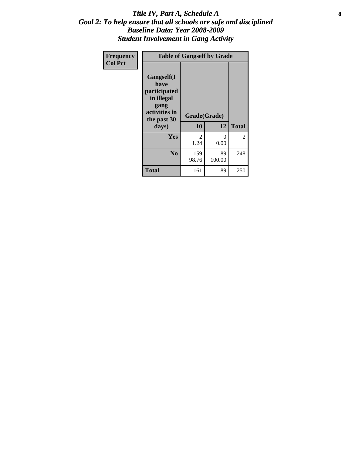#### Title IV, Part A, Schedule A **8** *Goal 2: To help ensure that all schools are safe and disciplined Baseline Data: Year 2008-2009 Student Involvement in Gang Activity*

| Frequency      |                                                                                                   | <b>Table of Gangself by Grade</b> |                  |              |
|----------------|---------------------------------------------------------------------------------------------------|-----------------------------------|------------------|--------------|
| <b>Col Pct</b> | Gangself(I<br>have<br>participated<br>in illegal<br>gang<br>activities in<br>the past 30<br>days) | Grade(Grade)<br>10                | 12               | <b>Total</b> |
|                | Yes                                                                                               | 2<br>1.24                         | $\theta$<br>0.00 | 2            |
|                | N <sub>0</sub>                                                                                    | 159<br>98.76                      | 89<br>100.00     | 248          |
|                | <b>Total</b>                                                                                      | 161                               | 89               | 250          |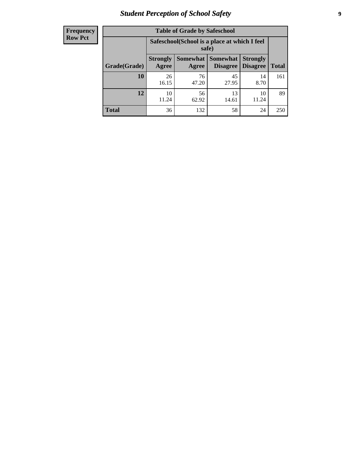# *Student Perception of School Safety* **9**

| <b>Frequency</b><br>Row Pct |
|-----------------------------|
|                             |

| <b>Table of Grade by Safeschool</b> |                                                        |                     |                             |                                    |              |  |  |
|-------------------------------------|--------------------------------------------------------|---------------------|-----------------------------|------------------------------------|--------------|--|--|
|                                     | Safeschool (School is a place at which I feel<br>safe) |                     |                             |                                    |              |  |  |
| Grade(Grade)                        | <b>Strongly</b><br>Agree                               | Somewhat  <br>Agree | Somewhat<br><b>Disagree</b> | <b>Strongly</b><br><b>Disagree</b> | <b>Total</b> |  |  |
| 10                                  | 26<br>16.15                                            | 76<br>47.20         | 45<br>27.95                 | 14<br>8.70                         | 161          |  |  |
| 12                                  | 10<br>11.24                                            | 56<br>62.92         | 13<br>14.61                 | 10<br>11.24                        | 89           |  |  |
| <b>Total</b>                        | 36                                                     | 132                 | 58                          | 24                                 | 250          |  |  |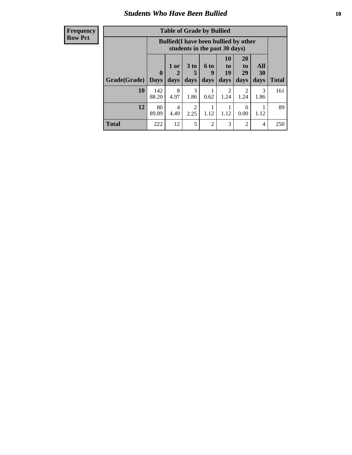### *Students Who Have Been Bullied* **10**

#### **Frequency Row Pct**

| <b>Table of Grade by Bullied</b> |                  |                                                                               |                              |                   |                               |                               |                   |              |
|----------------------------------|------------------|-------------------------------------------------------------------------------|------------------------------|-------------------|-------------------------------|-------------------------------|-------------------|--------------|
|                                  |                  | <b>Bullied</b> (I have been bullied by other<br>students in the past 30 days) |                              |                   |                               |                               |                   |              |
| Grade(Grade)                     | 0<br><b>Days</b> | 1 or<br>days                                                                  | 3 <sub>to</sub><br>5<br>days | 6 to<br>9<br>days | <b>10</b><br>to<br>19<br>days | <b>20</b><br>to<br>29<br>days | All<br>30<br>days | <b>Total</b> |
| 10                               | 142<br>88.20     | 8<br>4.97                                                                     | 3<br>1.86                    | 0.62              | $\mathfrak{D}$<br>1.24        | 2<br>1.24                     | 3<br>1.86         | 161          |
| 12                               | 80<br>89.89      | 4<br>4.49                                                                     | 2<br>2.25                    | 1.12              | 1.12                          | $\theta$<br>0.00              | 1.12              | 89           |
| <b>Total</b>                     | 222              | 12                                                                            | 5                            | $\overline{2}$    | 3                             | $\overline{2}$                | 4                 | 250          |

 $\blacksquare$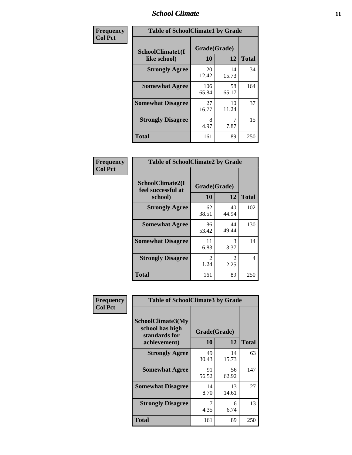### *School Climate* **11**

| Frequency      | <b>Table of SchoolClimate1 by Grade</b> |                    |             |              |  |  |
|----------------|-----------------------------------------|--------------------|-------------|--------------|--|--|
| <b>Col Pct</b> | SchoolClimate1(I<br>like school)        | Grade(Grade)<br>10 | 12          | <b>Total</b> |  |  |
|                | <b>Strongly Agree</b>                   | 20<br>12.42        | 14<br>15.73 | 34           |  |  |
|                | <b>Somewhat Agree</b>                   | 106<br>65.84       | 58<br>65.17 | 164          |  |  |
|                | <b>Somewhat Disagree</b>                | 27<br>16.77        | 10<br>11.24 | 37           |  |  |
|                | <b>Strongly Disagree</b>                | 8<br>4.97          | 7.87        | 15           |  |  |
|                | <b>Total</b>                            | 161                | 89          | 250          |  |  |

| <b>Frequency</b> |  |
|------------------|--|
| <b>Col Pct</b>   |  |

| <b>Table of SchoolClimate2 by Grade</b>           |                        |                        |              |  |  |
|---------------------------------------------------|------------------------|------------------------|--------------|--|--|
| SchoolClimate2(I<br>feel successful at<br>school) | Grade(Grade)<br>10     | 12                     | <b>Total</b> |  |  |
| <b>Strongly Agree</b>                             | 62<br>38.51            | 40<br>44.94            | 102          |  |  |
| <b>Somewhat Agree</b>                             | 86<br>53.42            | 44<br>49.44            | 130          |  |  |
| <b>Somewhat Disagree</b>                          | 11<br>6.83             | 3<br>3.37              | 14           |  |  |
| <b>Strongly Disagree</b>                          | $\mathfrak{D}$<br>1.24 | $\mathfrak{D}$<br>2.25 | 4            |  |  |
| <b>Total</b>                                      | 161                    | 89                     | 250          |  |  |

| Frequency      |                                                                              | <b>Table of SchoolClimate3 by Grade</b> |             |              |
|----------------|------------------------------------------------------------------------------|-----------------------------------------|-------------|--------------|
| <b>Col Pct</b> | <b>SchoolClimate3(My</b><br>school has high<br>standards for<br>achievement) | Grade(Grade)<br>10                      | 12          | <b>Total</b> |
|                | <b>Strongly Agree</b>                                                        | 49<br>30.43                             | 14<br>15.73 | 63           |
|                | <b>Somewhat Agree</b>                                                        | 91<br>56.52                             | 56<br>62.92 | 147          |
|                | <b>Somewhat Disagree</b>                                                     | 14<br>8.70                              | 13<br>14.61 | 27           |
|                | <b>Strongly Disagree</b>                                                     | 4.35                                    | 6<br>6.74   | 13           |
|                | Total                                                                        | 161                                     | 89          | 250          |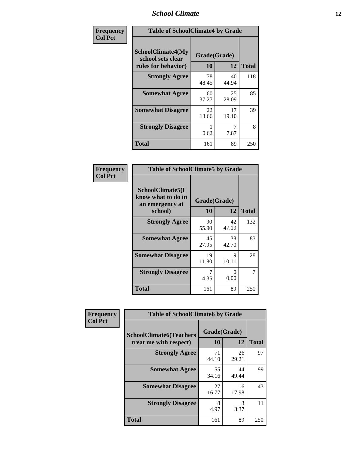### *School Climate* **12**

| Frequency      | <b>Table of SchoolClimate4 by Grade</b>                              |                    |             |              |
|----------------|----------------------------------------------------------------------|--------------------|-------------|--------------|
| <b>Col Pct</b> | <b>SchoolClimate4(My</b><br>school sets clear<br>rules for behavior) | Grade(Grade)<br>10 | 12          | <b>Total</b> |
|                | <b>Strongly Agree</b>                                                | 78<br>48.45        | 40<br>44.94 | 118          |
|                | <b>Somewhat Agree</b>                                                | 60<br>37.27        | 25<br>28.09 | 85           |
|                | <b>Somewhat Disagree</b>                                             | 22<br>13.66        | 17<br>19.10 | 39           |
|                | <b>Strongly Disagree</b>                                             | 0.62               | 7.87        | 8            |
|                | <b>Total</b>                                                         | 161                | 89          | 250          |

| <b>Table of SchoolClimate5 by Grade</b>                              |                    |              |     |  |
|----------------------------------------------------------------------|--------------------|--------------|-----|--|
| SchoolClimate5(I<br>know what to do in<br>an emergency at<br>school) | Grade(Grade)<br>10 | <b>Total</b> |     |  |
| <b>Strongly Agree</b>                                                | 90<br>55.90        | 42<br>47.19  | 132 |  |
| <b>Somewhat Agree</b>                                                | 45<br>27.95        | 38<br>42.70  | 83  |  |
| <b>Somewhat Disagree</b>                                             | 19<br>11.80        | 9<br>10.11   | 28  |  |
| <b>Strongly Disagree</b>                                             | 4.35               | 0<br>0.00    | 7   |  |
| <b>Total</b>                                                         | 161                | 89           | 250 |  |

| Frequency      | <b>Table of SchoolClimate6 by Grade</b>                  |                    |             |              |
|----------------|----------------------------------------------------------|--------------------|-------------|--------------|
| <b>Col Pct</b> | <b>SchoolClimate6(Teachers</b><br>treat me with respect) | Grade(Grade)<br>10 | 12          | <b>Total</b> |
|                | <b>Strongly Agree</b>                                    | 71<br>44.10        | 26<br>29.21 | 97           |
|                | <b>Somewhat Agree</b>                                    | 55<br>34.16        | 44<br>49.44 | 99           |
|                | <b>Somewhat Disagree</b>                                 | 27<br>16.77        | 16<br>17.98 | 43           |
|                | <b>Strongly Disagree</b>                                 | 8<br>4.97          | 3<br>3.37   | 11           |
|                | <b>Total</b>                                             | 161                | 89          | 250          |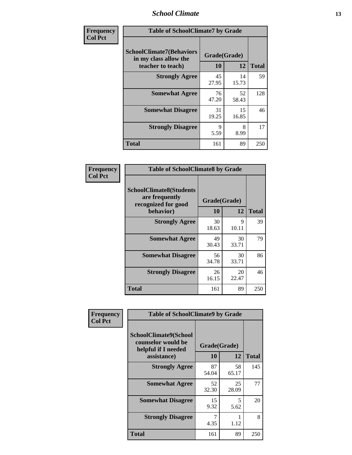### *School Climate* **13**

| Frequency      | <b>Table of SchoolClimate7 by Grade</b>                                       |                           |             |              |
|----------------|-------------------------------------------------------------------------------|---------------------------|-------------|--------------|
| <b>Col Pct</b> | <b>SchoolClimate7(Behaviors</b><br>in my class allow the<br>teacher to teach) | Grade(Grade)<br><b>10</b> | 12          | <b>Total</b> |
|                | <b>Strongly Agree</b>                                                         | 45<br>27.95               | 14<br>15.73 | 59           |
|                | <b>Somewhat Agree</b>                                                         | 76<br>47.20               | 52<br>58.43 | 128          |
|                | <b>Somewhat Disagree</b>                                                      | 31<br>19.25               | 15<br>16.85 | 46           |
|                | <b>Strongly Disagree</b>                                                      | 9<br>5.59                 | 8<br>8.99   | 17           |
|                | <b>Total</b>                                                                  | 161                       | 89          | 250          |

| Frequency      | <b>Table of SchoolClimate8 by Grade</b>                                              |                    |             |              |
|----------------|--------------------------------------------------------------------------------------|--------------------|-------------|--------------|
| <b>Col Pct</b> | <b>SchoolClimate8(Students</b><br>are frequently<br>recognized for good<br>behavior) | Grade(Grade)<br>10 | 12          | <b>Total</b> |
|                | <b>Strongly Agree</b>                                                                | 30<br>18.63        | 9<br>10.11  | 39           |
|                | <b>Somewhat Agree</b>                                                                | 49<br>30.43        | 30<br>33.71 | 79           |
|                | <b>Somewhat Disagree</b>                                                             | 56<br>34.78        | 30<br>33.71 | 86           |
|                | <b>Strongly Disagree</b>                                                             | 26<br>16.15        | 20<br>22.47 | 46           |
|                | <b>Total</b>                                                                         | 161                | 89          | 250          |

| Frequency      | <b>Table of SchoolClimate9 by Grade</b>                                           |                    |             |              |
|----------------|-----------------------------------------------------------------------------------|--------------------|-------------|--------------|
| <b>Col Pct</b> | SchoolClimate9(School<br>counselor would be<br>helpful if I needed<br>assistance) | Grade(Grade)<br>10 | 12          | <b>Total</b> |
|                | <b>Strongly Agree</b>                                                             | 87<br>54.04        | 58<br>65.17 | 145          |
|                | <b>Somewhat Agree</b>                                                             | 52<br>32.30        | 25<br>28.09 | 77           |
|                | <b>Somewhat Disagree</b>                                                          | 15<br>9.32         | 5<br>5.62   | 20           |
|                | <b>Strongly Disagree</b>                                                          | 4.35               | 1.12        | 8            |
|                | Total                                                                             | 161                | 89          | 250          |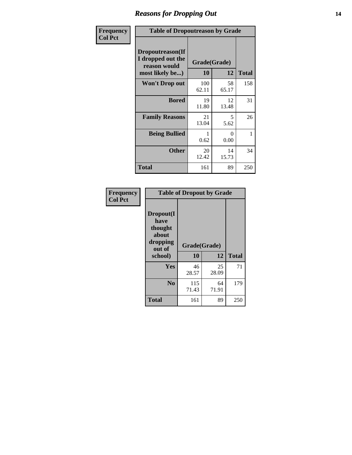### *Reasons for Dropping Out* **14**

| <b>Frequency</b> | <b>Table of Dropoutreason by Grade</b>                                   |                    |             |              |
|------------------|--------------------------------------------------------------------------|--------------------|-------------|--------------|
| <b>Col Pct</b>   | Dropoutreason(If<br>I dropped out the<br>reason would<br>most likely be) | Grade(Grade)<br>10 | 12          | <b>Total</b> |
|                  | <b>Won't Drop out</b>                                                    | 100<br>62.11       | 58<br>65.17 | 158          |
|                  | <b>Bored</b>                                                             | 19<br>11.80        | 12<br>13.48 | 31           |
|                  | <b>Family Reasons</b>                                                    | 21<br>13.04        | 5<br>5.62   | 26           |
|                  | <b>Being Bullied</b>                                                     | 0.62               | 0<br>0.00   | 1            |
|                  | <b>Other</b>                                                             | 20<br>12.42        | 14<br>15.73 | 34           |
|                  | Total                                                                    | 161                | 89          | 250          |

| Frequency      | <b>Table of Dropout by Grade</b>                                       |                          |             |              |  |
|----------------|------------------------------------------------------------------------|--------------------------|-------------|--------------|--|
| <b>Col Pct</b> | Dropout(I<br>have<br>thought<br>about<br>dropping<br>out of<br>school) | Grade(Grade)<br>10<br>12 |             | <b>Total</b> |  |
|                | Yes                                                                    | 46<br>28.57              | 25<br>28.09 | 71           |  |
|                | N <sub>0</sub>                                                         | 115<br>71.43             | 64<br>71.91 | 179          |  |
|                | <b>Total</b>                                                           | 161                      | 89          | 250          |  |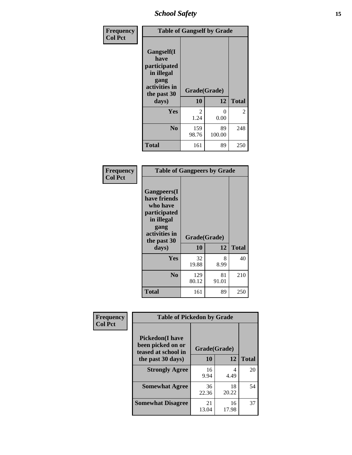*School Safety* **15**

| Frequency      | <b>Table of Gangself by Grade</b>                                                                 |                       |              |              |
|----------------|---------------------------------------------------------------------------------------------------|-----------------------|--------------|--------------|
| <b>Col Pct</b> | Gangself(I<br>have<br>participated<br>in illegal<br>gang<br>activities in<br>the past 30<br>days) | Grade(Grade)<br>10    | 12           | <b>Total</b> |
|                | Yes                                                                                               | $\mathcal{L}$<br>1.24 | 0<br>0.00    | 2            |
|                | N <sub>0</sub>                                                                                    | 159<br>98.76          | 89<br>100.00 | 248          |
|                | <b>Total</b>                                                                                      | 161                   | 89           | 250          |

| Frequency<br><b>Col Pct</b> | <b>Table of Gangpeers by Grade</b>                                                                                             |                    |             |              |
|-----------------------------|--------------------------------------------------------------------------------------------------------------------------------|--------------------|-------------|--------------|
|                             | <b>Gangpeers</b> (I<br>have friends<br>who have<br>participated<br>in illegal<br>gang<br>activities in<br>the past 30<br>days) | Grade(Grade)<br>10 | 12          | <b>Total</b> |
|                             | Yes                                                                                                                            | 32<br>19.88        | 8<br>8.99   | 40           |
|                             | N <sub>0</sub>                                                                                                                 | 129<br>80.12       | 81<br>91.01 | 210          |
|                             | Total                                                                                                                          | 161                | 89          | 250          |

| Frequency      | <b>Table of Pickedon by Grade</b>                                                        |                    |             |              |  |  |  |  |  |  |  |
|----------------|------------------------------------------------------------------------------------------|--------------------|-------------|--------------|--|--|--|--|--|--|--|
| <b>Col Pct</b> | <b>Pickedon</b> (I have<br>been picked on or<br>teased at school in<br>the past 30 days) | Grade(Grade)<br>10 | 12          | <b>Total</b> |  |  |  |  |  |  |  |
|                | <b>Strongly Agree</b>                                                                    | 16<br>9.94         | 4<br>4.49   | 20           |  |  |  |  |  |  |  |
|                | <b>Somewhat Agree</b>                                                                    | 36<br>22.36        | 18<br>20.22 | 54           |  |  |  |  |  |  |  |
|                | <b>Somewhat Disagree</b>                                                                 | 21<br>13.04        | 16<br>17.98 | 37           |  |  |  |  |  |  |  |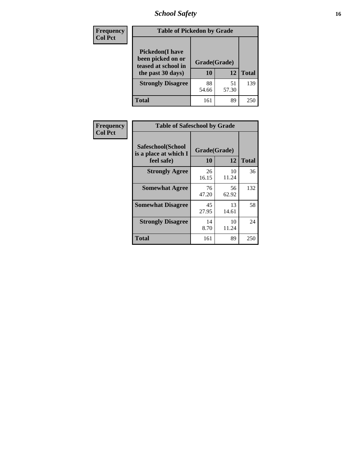# *School Safety* **16**

| <b>Frequency</b> | <b>Table of Pickedon by Grade</b>                                                        |                    |             |              |
|------------------|------------------------------------------------------------------------------------------|--------------------|-------------|--------------|
| <b>Col Pct</b>   | <b>Pickedon</b> (I have<br>been picked on or<br>teased at school in<br>the past 30 days) | Grade(Grade)<br>10 | 12          | <b>Total</b> |
|                  | <b>Strongly Disagree</b>                                                                 | 88<br>54.66        | 51<br>57.30 | 139          |
|                  | Total                                                                                    | 161                | 89          | 25           |

| Frequency      |                                                          | <b>Table of Safeschool by Grade</b> |              |     |  |  |  |  |  |  |  |
|----------------|----------------------------------------------------------|-------------------------------------|--------------|-----|--|--|--|--|--|--|--|
| <b>Col Pct</b> | Safeschool(School<br>is a place at which I<br>feel safe) | Grade(Grade)<br>10                  | <b>Total</b> |     |  |  |  |  |  |  |  |
|                | <b>Strongly Agree</b>                                    | 26<br>16.15                         | 10<br>11.24  | 36  |  |  |  |  |  |  |  |
|                | <b>Somewhat Agree</b>                                    | 76<br>47.20                         | 56<br>62.92  | 132 |  |  |  |  |  |  |  |
|                | <b>Somewhat Disagree</b>                                 | 45<br>27.95                         | 13<br>14.61  | 58  |  |  |  |  |  |  |  |
|                | <b>Strongly Disagree</b>                                 | 14<br>8.70                          | 10<br>11.24  | 24  |  |  |  |  |  |  |  |
|                | Total                                                    | 161                                 | 89           | 250 |  |  |  |  |  |  |  |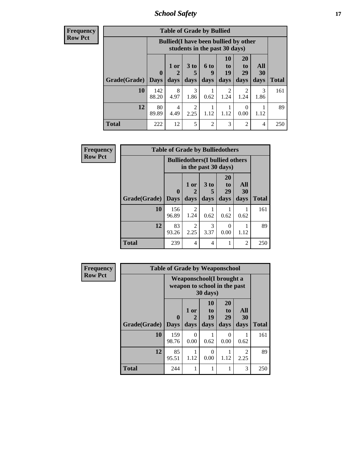*School Safety* **17**

**Frequency Row Pct**

| <b>Table of Grade by Bullied</b> |                             |                                                                               |                              |                   |                        |                               |                          |              |  |  |  |
|----------------------------------|-----------------------------|-------------------------------------------------------------------------------|------------------------------|-------------------|------------------------|-------------------------------|--------------------------|--------------|--|--|--|
|                                  |                             | <b>Bullied</b> (I have been bullied by other<br>students in the past 30 days) |                              |                   |                        |                               |                          |              |  |  |  |
| Grade(Grade)                     | $\mathbf{0}$<br><b>Days</b> | 1 or<br>days                                                                  | 3 <sub>to</sub><br>5<br>days | 6 to<br>g<br>days | 10<br>to<br>19<br>days | <b>20</b><br>to<br>29<br>days | All<br><b>30</b><br>days | <b>Total</b> |  |  |  |
| 10                               | 142<br>88.20                | 8<br>4.97                                                                     | 3<br>1.86                    | 0.62              | 2<br>1.24              | 1.24                          | 3<br>1.86                | 161          |  |  |  |
| 12                               | 80<br>89.89                 | 4<br>4.49                                                                     | 2<br>2.25                    | 1.12              | 1.12                   | 0<br>0.00                     | 1.12                     | 89           |  |  |  |
| Total                            | 222                         | 12                                                                            | 5                            | $\overline{c}$    | 3                      | 2                             | 4                        | 250          |  |  |  |

| Frequency      |              | <b>Table of Grade by Bulliedothers</b>                         |                          |                   |                               |                          |              |
|----------------|--------------|----------------------------------------------------------------|--------------------------|-------------------|-------------------------------|--------------------------|--------------|
| <b>Row Pct</b> |              | <b>Bulliedothers</b> (I bullied others<br>in the past 30 days) |                          |                   |                               |                          |              |
|                | Grade(Grade) | $\bf{0}$<br><b>Days</b>                                        | 1 or<br>days             | 3 to<br>5<br>days | <b>20</b><br>to<br>29<br>days | All<br><b>30</b><br>days | <b>Total</b> |
|                | 10           | 156<br>96.89                                                   | $\overline{2}$<br>1.24   | 0.62              | 0.62                          | 0.62                     | 161          |
|                | 12           | 83<br>93.26                                                    | 2<br>2.25                | 3<br>3.37         | ∩<br>0.00                     | 1.12                     | 89           |
|                | <b>Total</b> | 239                                                            | $\overline{\mathcal{A}}$ | $\overline{4}$    |                               | 2                        | 250          |

| <b>Frequency</b> |              | <b>Table of Grade by Weaponschool</b> |                                                                                |                        |                               |                   |              |  |
|------------------|--------------|---------------------------------------|--------------------------------------------------------------------------------|------------------------|-------------------------------|-------------------|--------------|--|
| <b>Row Pct</b>   |              |                                       | Weaponschool (I brought a<br>weapon to school in the past<br>$30 \text{ days}$ |                        |                               |                   |              |  |
|                  | Grade(Grade) | $\mathbf{0}$<br><b>Days</b>           | 1 or<br>$\mathcal{D}_{\cdot}$<br>days                                          | 10<br>to<br>19<br>days | <b>20</b><br>to<br>29<br>days | All<br>30<br>days | <b>Total</b> |  |
|                  | 10           | 159<br>98.76                          | $\theta$<br>0.00                                                               | 0.62                   | 0<br>0.00                     | 0.62              | 161          |  |
|                  | 12           | 85<br>95.51                           | 1.12                                                                           | $\Omega$<br>0.00       | 1.12                          | 2<br>2.25         | 89           |  |
|                  | <b>Total</b> | 244                                   | 1                                                                              | 1                      |                               | 3                 | 250          |  |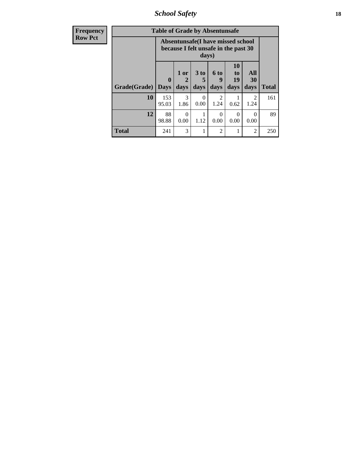*School Safety* **18**

| <b>Frequency</b> | <b>Table of Grade by Absentunsafe</b> |                                                                           |                   |                              |                        |                                    |                   |              |  |  |
|------------------|---------------------------------------|---------------------------------------------------------------------------|-------------------|------------------------------|------------------------|------------------------------------|-------------------|--------------|--|--|
| <b>Row Pct</b>   |                                       | Absentunsafe(I have missed school<br>because I felt unsafe in the past 30 |                   |                              |                        |                                    |                   |              |  |  |
|                  | Grade(Grade)                          | $\bf{0}$<br><b>Days</b>                                                   | 1 or<br>2<br>days | 3 <sub>to</sub><br>5<br>days | 6 to<br>9<br>days      | 10<br>t <sub>0</sub><br>19<br>days | All<br>30<br>days | <b>Total</b> |  |  |
|                  | 10                                    | 153<br>95.03                                                              | 3<br>1.86         | 0<br>0.00                    | $\mathfrak{D}$<br>1.24 | 0.62                               | 2<br>1.24         | 161          |  |  |
|                  | 12                                    | 88<br>98.88                                                               | $\Omega$<br>0.00  | 1.12                         | 0<br>0.00              | $\Omega$<br>0.00                   | $\Omega$<br>0.00  | 89           |  |  |
|                  | <b>Total</b>                          | 241                                                                       | 3                 |                              | $\overline{c}$         |                                    | $\overline{2}$    | 250          |  |  |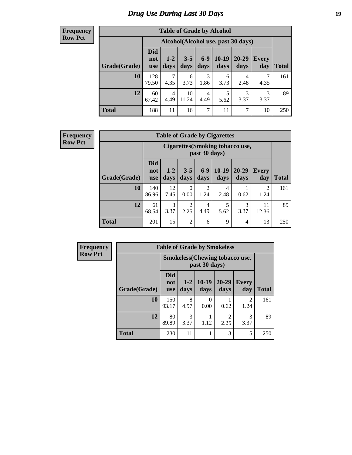# *Drug Use During Last 30 Days* **19**

#### **Frequency Row Pct**

| <b>Table of Grade by Alcohol</b> |                          |                                    |                 |               |                 |               |                     |              |  |  |  |
|----------------------------------|--------------------------|------------------------------------|-----------------|---------------|-----------------|---------------|---------------------|--------------|--|--|--|
|                                  |                          | Alcohol(Alcohol use, past 30 days) |                 |               |                 |               |                     |              |  |  |  |
| Grade(Grade)                     | <b>Did</b><br>not<br>use | $1 - 2$<br>days                    | $3 - 5$<br>days | $6-9$<br>days | $10-19$<br>days | 20-29<br>days | <b>Every</b><br>day | <b>Total</b> |  |  |  |
| 10                               | 128<br>79.50             | 7<br>4.35                          | 6<br>3.73       | 3<br>1.86     | 6<br>3.73       | 4<br>2.48     | 7<br>4.35           | 161          |  |  |  |
| 12                               | 60<br>67.42              | $\overline{4}$<br>4.49             | 10<br>11.24     | 4<br>4.49     | 5<br>5.62       | 3<br>3.37     | 3<br>3.37           | 89           |  |  |  |
| <b>Total</b>                     | 188                      | 11                                 | 16              | 7             | 11              | 7             | 10                  | 250          |  |  |  |

#### **Frequency Row Pct**

| <b>Table of Grade by Cigarettes</b> |                                 |                                                          |                 |                        |                 |               |                     |       |  |  |  |
|-------------------------------------|---------------------------------|----------------------------------------------------------|-----------------|------------------------|-----------------|---------------|---------------------|-------|--|--|--|
|                                     |                                 | <b>Cigarettes (Smoking tobacco use,</b><br>past 30 days) |                 |                        |                 |               |                     |       |  |  |  |
| Grade(Grade)                        | <b>Did</b><br>not<br><b>use</b> | $1 - 2$<br>days                                          | $3 - 5$<br>days | $6-9$<br>days          | $10-19$<br>days | 20-29<br>days | <b>Every</b><br>day | Total |  |  |  |
| 10                                  | 140<br>86.96                    | 12<br>7.45                                               | 0<br>0.00       | $\overline{2}$<br>1.24 | 4<br>2.48       | 0.62          | 2<br>1.24           | 161   |  |  |  |
| 12                                  | 61<br>68.54                     | 3<br>3.37                                                | 2<br>2.25       | 4<br>4.49              | 5<br>5.62       | 3<br>3.37     | 11<br>12.36         | 89    |  |  |  |
| <b>Total</b>                        | 201                             | 15                                                       | $\overline{2}$  | 6                      | 9               | 4             | 13                  | 250   |  |  |  |

| Frequency      |              | <b>Table of Grade by Smokeless</b>    |                 |                  |               |                        |              |  |  |  |  |
|----------------|--------------|---------------------------------------|-----------------|------------------|---------------|------------------------|--------------|--|--|--|--|
| <b>Row Pct</b> |              | <b>Smokeless</b> (Chewing tobaccouse, |                 |                  |               |                        |              |  |  |  |  |
|                | Grade(Grade) | <b>Did</b><br>not<br><b>use</b>       | $1 - 2$<br>days | $10-19$<br>days  | 20-29<br>days | <b>Every</b><br>day    | <b>Total</b> |  |  |  |  |
|                | 10           | 150<br>93.17                          | 8<br>4.97       | $\Omega$<br>0.00 | 0.62          | $\overline{2}$<br>1.24 | 161          |  |  |  |  |
|                | 12           | 80<br>89.89                           | 3<br>3.37       | 1.12             | ◠<br>2.25     | 3<br>3.37              | 89           |  |  |  |  |
|                | <b>Total</b> | 230                                   | 11              |                  | 3             | 5                      | 250          |  |  |  |  |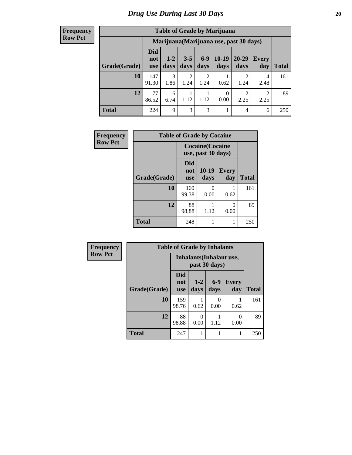#### **Frequency Row Pct**

| <b>Table of Grade by Marijuana</b> |                                 |                                         |                 |                        |                  |               |              |       |  |  |  |  |
|------------------------------------|---------------------------------|-----------------------------------------|-----------------|------------------------|------------------|---------------|--------------|-------|--|--|--|--|
|                                    |                                 | Marijuana (Marijuana use, past 30 days) |                 |                        |                  |               |              |       |  |  |  |  |
| Grade(Grade)                       | <b>Did</b><br>not<br><b>use</b> | $1 - 2$<br>days                         | $3 - 5$<br>days | $6-9$<br>days          | $10-19$<br>days  | 20-29<br>days | Every<br>day | Total |  |  |  |  |
| 10                                 | 147<br>91.30                    | 3<br>1.86                               | 2<br>1.24       | $\overline{2}$<br>1.24 | 0.62             | റ<br>1.24     | 4<br>2.48    | 161   |  |  |  |  |
| 12                                 | 77<br>86.52                     | 6<br>6.74                               | 1.12            | 1.12                   | $\theta$<br>0.00 | ↑<br>2.25     | 2<br>2.25    | 89    |  |  |  |  |
| <b>Total</b>                       | 224                             | 9                                       | 3               | 3                      |                  | 4             | 6            | 250   |  |  |  |  |

| Frequency      | <b>Table of Grade by Cocaine</b> |                                 |                                               |                     |              |  |  |  |  |  |  |
|----------------|----------------------------------|---------------------------------|-----------------------------------------------|---------------------|--------------|--|--|--|--|--|--|
| <b>Row Pct</b> |                                  |                                 | <b>Cocaine</b> (Cocaine<br>use, past 30 days) |                     |              |  |  |  |  |  |  |
|                | Grade(Grade)                     | <b>Did</b><br>not<br><b>use</b> | 10-19<br>days                                 | <b>Every</b><br>day | <b>Total</b> |  |  |  |  |  |  |
|                | 10                               | 160<br>99.38                    | 0<br>0.00                                     | 0.62                | 161          |  |  |  |  |  |  |
|                | 12                               | 88<br>98.88                     | 1.12                                          | 0<br>0.00           | 89           |  |  |  |  |  |  |
|                | <b>Total</b>                     | 248                             | 1                                             | 1                   | 250          |  |  |  |  |  |  |

| <b>Frequency</b> | <b>Table of Grade by Inhalants</b> |                                 |                  |               |              |              |  |
|------------------|------------------------------------|---------------------------------|------------------|---------------|--------------|--------------|--|
| <b>Row Pct</b>   |                                    | <b>Inhalants</b> (Inhalant use, |                  |               |              |              |  |
|                  | Grade(Grade)                       | <b>Did</b><br>not<br><b>use</b> | $1 - 2$<br>days  | $6-9$<br>days | Every<br>day | <b>Total</b> |  |
|                  | 10                                 | 159<br>98.76                    | 0.62             | 0.00          | 0.62         | 161          |  |
|                  | 12                                 | 88<br>98.88                     | $\Omega$<br>0.00 | 1.12          | 0<br>0.00    | 89           |  |
|                  | <b>Total</b>                       | 247                             |                  |               | 1            | 250          |  |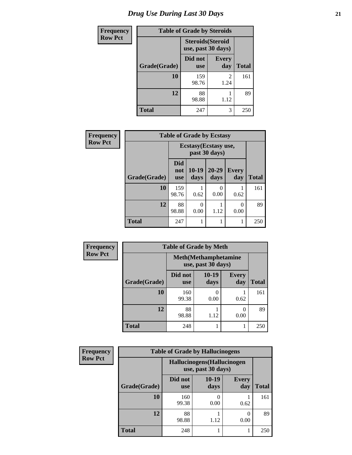| <b>Frequency</b> | <b>Table of Grade by Steroids</b> |                                                |                     |              |  |  |
|------------------|-----------------------------------|------------------------------------------------|---------------------|--------------|--|--|
| <b>Row Pct</b>   |                                   | <b>Steroids</b> (Steroid<br>use, past 30 days) |                     |              |  |  |
|                  | Grade(Grade)                      | Did not<br><b>use</b>                          | <b>Every</b><br>day | <b>Total</b> |  |  |
|                  | <b>10</b>                         | 159<br>98.76                                   | 2<br>1.24           | 161          |  |  |
|                  | 12                                | 88<br>98.88                                    | 1.12                | 89           |  |  |
|                  | <b>Total</b>                      | 247                                            | 3                   | 250          |  |  |

| Frequency      | <b>Table of Grade by Ecstasy</b> |                                        |                  |                  |              |              |  |
|----------------|----------------------------------|----------------------------------------|------------------|------------------|--------------|--------------|--|
| <b>Row Pct</b> |                                  | Ecstasy (Ecstasy use,<br>past 30 days) |                  |                  |              |              |  |
|                | Grade(Grade)                     | <b>Did</b><br>not<br><b>use</b>        | $10-19$<br>days  | 20-29<br>days    | Every<br>day | <b>Total</b> |  |
|                | 10                               | 159<br>98.76                           | 0.62             | $\Omega$<br>0.00 | 0.62         | 161          |  |
|                | 12                               | 88<br>98.88                            | $\Omega$<br>0.00 | 1.12             | 0<br>0.00    | 89           |  |
|                | <b>Total</b>                     | 247                                    |                  |                  |              | 250          |  |

| <b>Frequency</b> | <b>Table of Grade by Meth</b>                      |                       |                 |                     |              |  |  |
|------------------|----------------------------------------------------|-----------------------|-----------------|---------------------|--------------|--|--|
| <b>Row Pct</b>   | <b>Meth</b> (Methamphetamine<br>use, past 30 days) |                       |                 |                     |              |  |  |
|                  | Grade(Grade)                                       | Did not<br><b>use</b> | $10-19$<br>days | <b>Every</b><br>day | <b>Total</b> |  |  |
|                  | 10                                                 | 160<br>99.38          | 0.00            | 0.62                | 161          |  |  |
|                  | 12                                                 | 88<br>98.88           | 1.12            | 0.00                | 89           |  |  |
|                  | <b>Total</b>                                       | 248                   |                 |                     | 250          |  |  |

| <b>Frequency</b> | <b>Table of Grade by Hallucinogens</b> |                                                   |                 |                       |              |  |  |
|------------------|----------------------------------------|---------------------------------------------------|-----------------|-----------------------|--------------|--|--|
| <b>Row Pct</b>   |                                        | Hallucinogens (Hallucinogen<br>use, past 30 days) |                 |                       |              |  |  |
|                  | Grade(Grade)                           | Did not<br><b>use</b>                             | $10-19$<br>days | <b>Every</b><br>day   | <b>Total</b> |  |  |
|                  | 10                                     | 160<br>99.38                                      | 0.00            | 0.62                  | 161          |  |  |
|                  | 12                                     | 88<br>98.88                                       | 1.12            | $\mathcal{O}$<br>0.00 | 89           |  |  |
|                  | <b>Total</b>                           | 248                                               |                 |                       | 250          |  |  |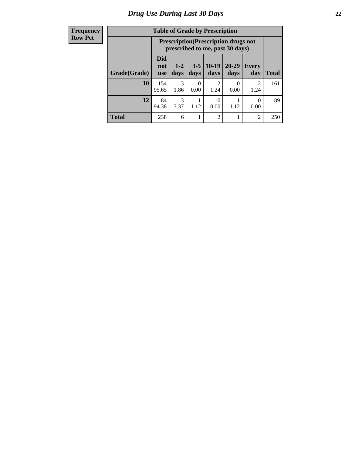#### **Frequency Row Pct**

| <b>Table of Grade by Prescription</b> |                                 |                                                                                |                 |                        |                   |                        |              |
|---------------------------------------|---------------------------------|--------------------------------------------------------------------------------|-----------------|------------------------|-------------------|------------------------|--------------|
|                                       |                                 | <b>Prescription</b> (Prescription drugs not<br>prescribed to me, past 30 days) |                 |                        |                   |                        |              |
| Grade(Grade)                          | <b>Did</b><br>not<br><b>use</b> | $1 - 2$<br>days                                                                | $3 - 5$<br>days | $10-19$<br>days        | $20 - 29$<br>days | <b>Every</b><br>day    | <b>Total</b> |
| 10                                    | 154<br>95.65                    | 3<br>1.86                                                                      | 0.00            | $\mathfrak{D}$<br>1.24 | 0<br>0.00         | $\mathfrak{D}$<br>1.24 | 161          |
| 12                                    | 84<br>94.38                     | 3<br>3.37                                                                      | 1.12            | 0.00                   | 1.12              | 0<br>0.00              | 89           |
| <b>Total</b>                          | 238                             | 6                                                                              |                 | $\mathfrak{D}$         |                   | $\overline{2}$         | 250          |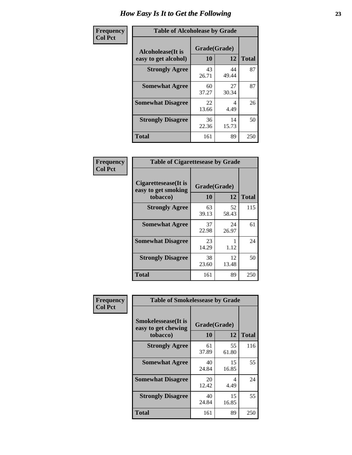| Frequency      | <b>Table of Alcoholease by Grade</b>                                    |             |             |              |  |  |
|----------------|-------------------------------------------------------------------------|-------------|-------------|--------------|--|--|
| <b>Col Pct</b> | Grade(Grade)<br><b>Alcoholease</b> (It is<br>10<br>easy to get alcohol) |             | 12          | <b>Total</b> |  |  |
|                | <b>Strongly Agree</b>                                                   | 43<br>26.71 | 44<br>49.44 | 87           |  |  |
|                | <b>Somewhat Agree</b>                                                   | 60<br>37.27 | 27<br>30.34 | 87           |  |  |
|                | <b>Somewhat Disagree</b>                                                | 22<br>13.66 | 4<br>4.49   | 26           |  |  |
|                | <b>Strongly Disagree</b>                                                | 36<br>22.36 | 14<br>15.73 | 50           |  |  |
|                | <b>Total</b>                                                            | 161         | 89          | 250          |  |  |

| Frequency      | <b>Table of Cigarettesease by Grade</b>                 |                    |             |              |  |
|----------------|---------------------------------------------------------|--------------------|-------------|--------------|--|
| <b>Col Pct</b> | Cigarettesease(It is<br>easy to get smoking<br>tobacco) | Grade(Grade)<br>10 | 12          | <b>Total</b> |  |
|                | <b>Strongly Agree</b>                                   | 63<br>39.13        | 52<br>58.43 | 115          |  |
|                | <b>Somewhat Agree</b>                                   | 37<br>22.98        | 24<br>26.97 | 61           |  |
|                | <b>Somewhat Disagree</b>                                | 23<br>14.29        | 1.12        | 24           |  |
|                | <b>Strongly Disagree</b>                                | 38<br>23.60        | 12<br>13.48 | 50           |  |
|                | <b>Total</b>                                            | 161                | 89          | 250          |  |

| Frequency      | <b>Table of Smokelessease by Grade</b>             |              |             |              |  |  |
|----------------|----------------------------------------------------|--------------|-------------|--------------|--|--|
| <b>Col Pct</b> | <b>Smokelessease</b> (It is<br>easy to get chewing | Grade(Grade) |             |              |  |  |
|                | tobacco)                                           | 10           | 12          | <b>Total</b> |  |  |
|                | <b>Strongly Agree</b>                              | 61<br>37.89  | 55<br>61.80 | 116          |  |  |
|                | <b>Somewhat Agree</b>                              | 40<br>24.84  | 15<br>16.85 | 55           |  |  |
|                | <b>Somewhat Disagree</b>                           | 20<br>12.42  | 4<br>4.49   | 24           |  |  |
|                | <b>Strongly Disagree</b>                           | 40<br>24.84  | 15<br>16.85 | 55           |  |  |
|                | <b>Total</b>                                       | 161          | 89          | 250          |  |  |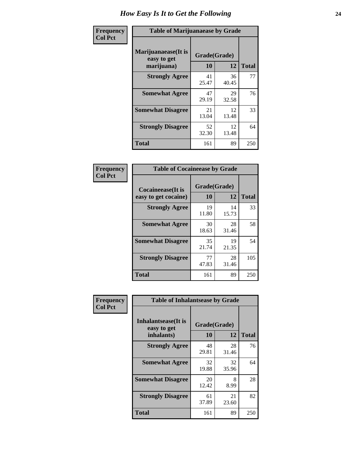| Frequency      | <b>Table of Marijuanaease by Grade</b>           |                           |             |              |  |  |
|----------------|--------------------------------------------------|---------------------------|-------------|--------------|--|--|
| <b>Col Pct</b> | Marijuanaease(It is<br>easy to get<br>marijuana) | Grade(Grade)<br><b>10</b> | 12          | <b>Total</b> |  |  |
|                | <b>Strongly Agree</b>                            | 41<br>25.47               | 36<br>40.45 | 77           |  |  |
|                | <b>Somewhat Agree</b>                            | 47<br>29.19               | 29<br>32.58 | 76           |  |  |
|                | <b>Somewhat Disagree</b>                         | 21<br>13.04               | 12<br>13.48 | 33           |  |  |
|                | <b>Strongly Disagree</b>                         | 52<br>32.30               | 12<br>13.48 | 64           |  |  |
|                | <b>Total</b>                                     | 161                       | 89          | 250          |  |  |

| <b>Table of Cocaineease by Grade</b>              |                    |              |     |  |  |  |  |
|---------------------------------------------------|--------------------|--------------|-----|--|--|--|--|
| <b>Cocaineease</b> (It is<br>easy to get cocaine) | Grade(Grade)<br>10 | <b>Total</b> |     |  |  |  |  |
|                                                   |                    | 12           |     |  |  |  |  |
| <b>Strongly Agree</b>                             | 19<br>11.80        | 14<br>15.73  | 33  |  |  |  |  |
| <b>Somewhat Agree</b>                             | 30<br>18.63        | 28<br>31.46  | 58  |  |  |  |  |
| <b>Somewhat Disagree</b>                          | 35<br>21.74        | 19<br>21.35  | 54  |  |  |  |  |
| <b>Strongly Disagree</b>                          | 77<br>47.83        | 28<br>31.46  | 105 |  |  |  |  |
| <b>Total</b>                                      | 161                | 89           | 250 |  |  |  |  |

| Frequency      | <b>Table of Inhalantsease by Grade</b>                   |                    |             |              |  |  |  |
|----------------|----------------------------------------------------------|--------------------|-------------|--------------|--|--|--|
| <b>Col Pct</b> | <b>Inhalantsease</b> (It is<br>easy to get<br>inhalants) | Grade(Grade)<br>10 | 12          | <b>Total</b> |  |  |  |
|                | <b>Strongly Agree</b>                                    | 48<br>29.81        | 28<br>31.46 | 76           |  |  |  |
|                | <b>Somewhat Agree</b>                                    | 32<br>19.88        | 32<br>35.96 | 64           |  |  |  |
|                | <b>Somewhat Disagree</b>                                 | 20<br>12.42        | 8<br>8.99   | 28           |  |  |  |
|                | <b>Strongly Disagree</b>                                 | 61<br>37.89        | 21<br>23.60 | 82           |  |  |  |
|                | <b>Total</b>                                             | 161                | 89          | 250          |  |  |  |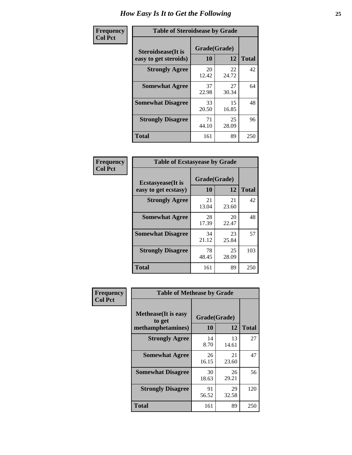| Frequency      | <b>Table of Steroidsease by Grade</b>               |                    |              |     |  |  |
|----------------|-----------------------------------------------------|--------------------|--------------|-----|--|--|
| <b>Col Pct</b> | <b>Steroidsease</b> (It is<br>easy to get steroids) | Grade(Grade)<br>10 | <b>Total</b> |     |  |  |
|                | <b>Strongly Agree</b>                               | 20<br>12.42        | 22<br>24.72  | 42  |  |  |
|                | <b>Somewhat Agree</b>                               | 37<br>22.98        | 27<br>30.34  | 64  |  |  |
|                | <b>Somewhat Disagree</b>                            | 33<br>20.50        | 15<br>16.85  | 48  |  |  |
|                | <b>Strongly Disagree</b>                            | 71<br>44.10        | 25<br>28.09  | 96  |  |  |
|                | <b>Total</b>                                        | 161                | 89           | 250 |  |  |

| Frequency      | <b>Table of Ecstasyease by Grade</b>              |                    |             |              |
|----------------|---------------------------------------------------|--------------------|-------------|--------------|
| <b>Col Pct</b> | <b>Ecstasyease</b> (It is<br>easy to get ecstasy) | Grade(Grade)<br>10 | 12          | <b>Total</b> |
|                | <b>Strongly Agree</b>                             | 21<br>13.04        | 21<br>23.60 | 42           |
|                | <b>Somewhat Agree</b>                             | 28<br>17.39        | 20<br>22.47 | 48           |
|                | <b>Somewhat Disagree</b>                          | 34<br>21.12        | 23<br>25.84 | 57           |
|                | <b>Strongly Disagree</b>                          | 78<br>48.45        | 25<br>28.09 | 103          |
|                | <b>Total</b>                                      | 161                | 89          | 250          |

| Frequency      | <b>Table of Methease by Grade</b>                          |                    |             |              |
|----------------|------------------------------------------------------------|--------------------|-------------|--------------|
| <b>Col Pct</b> | <b>Methease</b> (It is easy<br>to get<br>methamphetamines) | Grade(Grade)<br>10 | 12          | <b>Total</b> |
|                | <b>Strongly Agree</b>                                      | 14<br>8.70         | 13<br>14.61 | 27           |
|                | <b>Somewhat Agree</b>                                      | 26<br>16.15        | 21<br>23.60 | 47           |
|                | <b>Somewhat Disagree</b>                                   | 30<br>18.63        | 26<br>29.21 | 56           |
|                | <b>Strongly Disagree</b>                                   | 91<br>56.52        | 29<br>32.58 | 120          |
|                | <b>Total</b>                                               | 161                | 89          | 250          |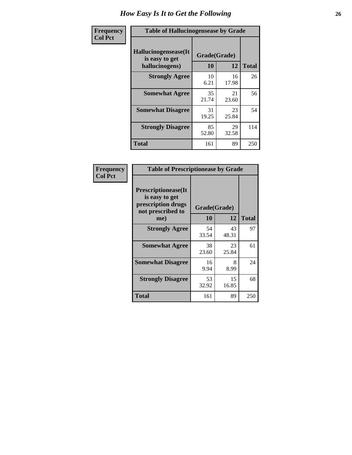| <b>Frequency</b> | <b>Table of Hallucinogensease by Grade</b>               |                    |             |              |  |  |  |  |  |  |  |
|------------------|----------------------------------------------------------|--------------------|-------------|--------------|--|--|--|--|--|--|--|
| <b>Col Pct</b>   | Hallucinogensease(It<br>is easy to get<br>hallucinogens) | Grade(Grade)<br>10 | 12          | <b>Total</b> |  |  |  |  |  |  |  |
|                  | <b>Strongly Agree</b>                                    | 10<br>6.21         | 16<br>17.98 | 26           |  |  |  |  |  |  |  |
|                  | <b>Somewhat Agree</b>                                    | 35<br>21.74        | 21<br>23.60 | 56           |  |  |  |  |  |  |  |
|                  | <b>Somewhat Disagree</b>                                 | 31<br>19.25        | 23<br>25.84 | 54           |  |  |  |  |  |  |  |
|                  | <b>Strongly Disagree</b>                                 | 85<br>52.80        | 29<br>32.58 | 114          |  |  |  |  |  |  |  |
|                  | <b>Total</b>                                             | 161                | 89          | 250          |  |  |  |  |  |  |  |

| Frequency<br>Col Pct |
|----------------------|
|                      |

| <b>Table of Prescriptionease by Grade</b>                                                |             |              |              |  |  |  |  |  |
|------------------------------------------------------------------------------------------|-------------|--------------|--------------|--|--|--|--|--|
| <b>Prescriptionease</b> (It<br>is easy to get<br>prescription drugs<br>not prescribed to |             | Grade(Grade) |              |  |  |  |  |  |
| me)                                                                                      | 10          | 12           | <b>Total</b> |  |  |  |  |  |
| <b>Strongly Agree</b>                                                                    | 54<br>33.54 | 43<br>48.31  | 97           |  |  |  |  |  |
| <b>Somewhat Agree</b>                                                                    | 38<br>23.60 | 23<br>25.84  | 61           |  |  |  |  |  |
| <b>Somewhat Disagree</b>                                                                 | 16<br>9.94  | 8<br>8.99    | 24           |  |  |  |  |  |
| <b>Strongly Disagree</b>                                                                 | 53<br>32.92 | 15<br>16.85  | 68           |  |  |  |  |  |
| Total                                                                                    | 161         | 89           | 250          |  |  |  |  |  |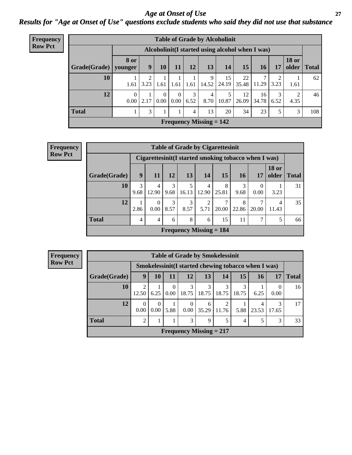#### *Age at Onset of Use* **27** *Results for "Age at Onset of Use" questions exclude students who said they did not use that substance*

| Frequency      |                                                  |                        |           |                  |                      |           | <b>Table of Grade by Alcoholinit</b> |             |             |             |           |                       |              |
|----------------|--------------------------------------------------|------------------------|-----------|------------------|----------------------|-----------|--------------------------------------|-------------|-------------|-------------|-----------|-----------------------|--------------|
| <b>Row Pct</b> | Alcoholinit (I started using alcohol when I was) |                        |           |                  |                      |           |                                      |             |             |             |           |                       |              |
|                | Grade(Grade)                                     | <b>8 or</b><br>younger | 9         | <b>10</b>        | 11                   | 12        | 13                                   | 14          | 15          | 16          | 17        | <b>18 or</b><br>older | <b>Total</b> |
|                | 10                                               | 1.61                   | ∍<br>3.23 | 1.61             | 1.61                 | 1.61      | 9<br>14.52                           | 15<br>24.19 | 22<br>35.48 | 7<br>11.29  | 2<br>3.23 | 1.61                  | 62           |
|                | 12                                               | $\overline{0}$<br>0.00 | 2.17      | $\Omega$<br>0.00 | $\Omega$<br>$0.00\,$ | 3<br>6.52 | 4<br>8.70                            | 5<br>10.87  | 12<br>26.09 | 16<br>34.78 | 3<br>6.52 | 2<br>4.35             | 46           |
|                | <b>Total</b>                                     |                        | 3         |                  |                      | 4         | 13                                   | 20          | 34          | 23          | 5         | 3                     | 108          |
|                |                                                  |                        |           |                  |                      |           | Frequency Missing $= 142$            |             |             |             |           |                       |              |

| <b>Frequency</b> |              | <b>Table of Grade by Cigarettesinit</b> |                      |           |            |                           |            |            |                                                       |                       |       |
|------------------|--------------|-----------------------------------------|----------------------|-----------|------------|---------------------------|------------|------------|-------------------------------------------------------|-----------------------|-------|
| <b>Row Pct</b>   |              |                                         |                      |           |            |                           |            |            | Cigarettesinit (I started smoking tobacco when I was) |                       |       |
|                  | Grade(Grade) | 9                                       | 11                   | 12        | 13         | 14                        | 15         | <b>16</b>  | 17                                                    | <b>18 or</b><br>older | Total |
|                  | 10           | 3<br>9.68                               | 4<br>12.90           | 3<br>9.68 | 5<br>16.13 | 4<br>12.90                | 8<br>25.81 | 3<br>9.68  | $\Omega$<br>0.00                                      | 3.23                  | 31    |
|                  | 12           | 2.86                                    | $\Omega$<br>$0.00\,$ | 3<br>8.57 | 3<br>8.57  | $\overline{2}$<br>5.71    | 20.00      | 8<br>22.86 | $\mathcal{I}$<br>20.00                                | 4<br>11.43            | 35    |
|                  | <b>Total</b> | $\overline{4}$                          | $\overline{4}$       | 6         | 8          | 6                         | 15         | 11         | 7                                                     | 5                     | 66    |
|                  |              |                                         |                      |           |            | Frequency Missing $= 184$ |            |            |                                                       |                       |       |

| <b>Frequency</b><br><b>Row Pct</b> |
|------------------------------------|
|                                    |

| <b>Table of Grade by Smokelessinit</b> |                                                                          |                                                      |           |                  |            |            |                |            |                  |    |  |  |  |
|----------------------------------------|--------------------------------------------------------------------------|------------------------------------------------------|-----------|------------------|------------|------------|----------------|------------|------------------|----|--|--|--|
|                                        |                                                                          | Smokelessinit (I started chewing tobacco when I was) |           |                  |            |            |                |            |                  |    |  |  |  |
| Grade(Grade)                           | 12<br>13<br>15<br>9<br>14<br>17<br>10<br><b>16</b><br>11<br><b>Total</b> |                                                      |           |                  |            |            |                |            |                  |    |  |  |  |
| 10                                     | 2<br>12.50                                                               | 6.25                                                 | 0<br>0.00 | 3<br>18.75       | 3<br>18.75 | 3<br>18.75 | 3<br>18.75     | 6.25       | $\theta$<br>0.00 | 16 |  |  |  |
| 12                                     | 0.00                                                                     | $\Omega$<br>$0.00^{\circ}$                           | 5.88      | $\Omega$<br>0.00 | 6<br>35.29 | 2<br>11.76 | 5.88           | 4<br>23.53 | 3<br>17.65       | 17 |  |  |  |
| <b>Total</b>                           | 2                                                                        |                                                      |           | 3                | 9          | 5          | $\overline{4}$ | 5          | 3                | 33 |  |  |  |
|                                        | Frequency Missing $= 217$                                                |                                                      |           |                  |            |            |                |            |                  |    |  |  |  |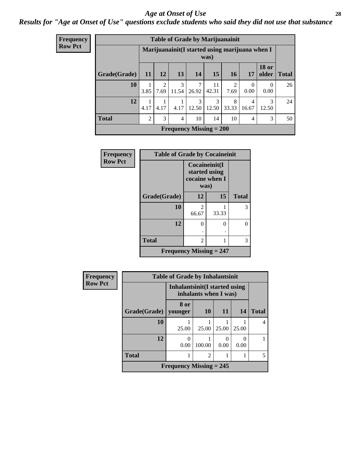#### *Age at Onset of Use* **28**

*Results for "Age at Onset of Use" questions exclude students who said they did not use that substance*

| <b>Frequency</b> |              | <b>Table of Grade by Marijuanainit</b> |                        |                        |                                                |                        |                        |                  |                       |              |
|------------------|--------------|----------------------------------------|------------------------|------------------------|------------------------------------------------|------------------------|------------------------|------------------|-----------------------|--------------|
| <b>Row Pct</b>   |              |                                        |                        |                        | Marijuanainit(I started using marijuana when I | was)                   |                        |                  |                       |              |
|                  | Grade(Grade) | 11                                     | <b>12</b>              | 13                     | <b>14</b>                                      | 15                     | 16                     | 17               | <b>18 or</b><br>older | <b>Total</b> |
|                  | 10           | 3.85                                   | $\mathfrak{D}$<br>7.69 | $\mathcal{R}$<br>11.54 | 7<br>26.92                                     | 11<br>42.31            | $\overline{2}$<br>7.69 | $\Omega$<br>0.00 | 0<br>0.00             | 26           |
|                  | 12           | 1<br>4.17                              | 4.17                   | 4.17                   | $\mathcal{R}$<br>12.50                         | $\mathcal{R}$<br>12.50 | 8<br>33.33             | 4<br>16.67       | 3<br>12.50            | 24           |
|                  | <b>Total</b> | $\overline{2}$                         | 3                      | $\overline{4}$         | 10                                             | 14                     | 10                     | 4                | 3                     | 50           |
|                  |              |                                        |                        |                        | Frequency Missing $= 200$                      |                        |                        |                  |                       |              |

| <b>Frequency</b> | <b>Table of Grade by Cocaineinit</b> |                                                          |       |              |
|------------------|--------------------------------------|----------------------------------------------------------|-------|--------------|
| <b>Row Pct</b>   |                                      | Cocaineinit(I<br>started using<br>cocaine when I<br>was) |       |              |
|                  | Grade(Grade)                         | 12                                                       | 15    | <b>Total</b> |
|                  | 10                                   | 2<br>66.67                                               | 33.33 | 3            |
|                  | 12                                   | $\theta$                                                 | 0     | 0            |
|                  |                                      |                                                          |       |              |
|                  | <b>Total</b>                         | 2                                                        |       | 3            |
|                  | <b>Frequency Missing = 247</b>       |                                                          |       |              |

| <b>Frequency</b> | <b>Table of Grade by Inhalantsinit</b> |                                                         |                |                  |           |              |
|------------------|----------------------------------------|---------------------------------------------------------|----------------|------------------|-----------|--------------|
| <b>Row Pct</b>   |                                        | Inhalantsinit (I started using<br>inhalants when I was) |                |                  |           |              |
|                  | Grade(Grade)                           | 8 or<br>younger                                         | <b>10</b>      | <b>11</b>        | 14        | <b>Total</b> |
|                  | 10                                     | 25.00                                                   | 25.00          | 25.00            | 25.00     | 4            |
|                  | 12                                     | 0<br>0.00                                               | 100.00         | $\Omega$<br>0.00 | 0<br>0.00 |              |
|                  | <b>Total</b>                           |                                                         | $\overline{c}$ |                  |           | 5            |
|                  |                                        | Frequency Missing $= 245$                               |                |                  |           |              |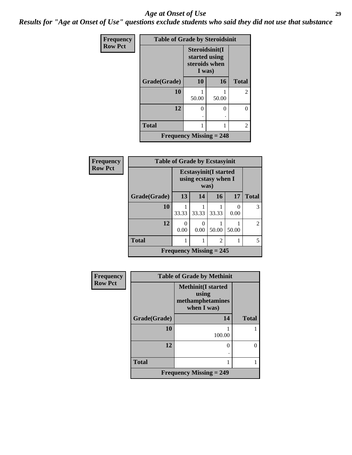#### *Age at Onset of Use* **29**

*Results for "Age at Onset of Use" questions exclude students who said they did not use that substance*

| Frequency      | <b>Table of Grade by Steroidsinit</b> |                                                            |       |                |  |
|----------------|---------------------------------------|------------------------------------------------------------|-------|----------------|--|
| <b>Row Pct</b> |                                       | Steroidsinit(I<br>started using<br>steroids when<br>I was) |       |                |  |
|                | Grade(Grade)                          | 10                                                         | 16    | <b>Total</b>   |  |
|                | 10                                    | 50.00                                                      | 50.00 | $\overline{2}$ |  |
|                | 12                                    | 0<br>٠                                                     | 0     | 0              |  |
|                | <b>Total</b>                          |                                                            |       | $\overline{2}$ |  |
|                | <b>Frequency Missing = 248</b>        |                                                            |       |                |  |

| <b>Frequency</b> | <b>Table of Grade by Ecstasyinit</b> |                                                               |                  |                |           |                |
|------------------|--------------------------------------|---------------------------------------------------------------|------------------|----------------|-----------|----------------|
| <b>Row Pct</b>   |                                      | <b>Ecstasyinit</b> (I started<br>using ecstasy when I<br>was) |                  |                |           |                |
|                  | Grade(Grade)                         | 13                                                            | 14               | 16             | 17        | <b>Total</b>   |
|                  | 10                                   | 33.33                                                         | 33.33            | 33.33          | 0<br>0.00 | 3              |
|                  | 12                                   | 0.00                                                          | $\Omega$<br>0.00 | 50.00          | 50.00     | $\mathfrak{D}$ |
|                  | <b>Total</b>                         |                                                               |                  | $\overline{2}$ |           | 5              |
|                  | Frequency Missing $= 245$            |                                                               |                  |                |           |                |

| <b>Frequency</b> | <b>Table of Grade by Methinit</b> |                                                                          |              |  |
|------------------|-----------------------------------|--------------------------------------------------------------------------|--------------|--|
| <b>Row Pct</b>   |                                   | <b>Methinit</b> (I started<br>using<br>methamphetamines<br>when $I$ was) |              |  |
|                  | Grade(Grade)                      | 14                                                                       | <b>Total</b> |  |
|                  | 10                                | 100.00                                                                   |              |  |
|                  | 12                                | 0                                                                        |              |  |
|                  | <b>Total</b>                      |                                                                          |              |  |
|                  |                                   | <b>Frequency Missing = 249</b>                                           |              |  |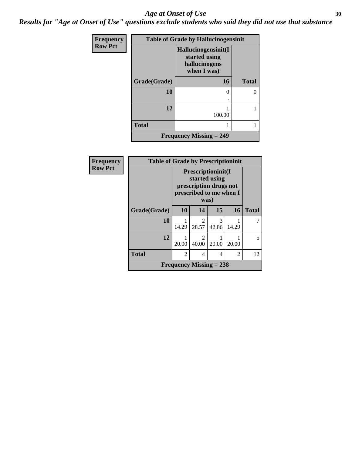#### Age at Onset of Use **30**

*Results for "Age at Onset of Use" questions exclude students who said they did not use that substance*

| <b>Frequency</b> | <b>Table of Grade by Hallucinogensinit</b> |                                                                      |              |  |
|------------------|--------------------------------------------|----------------------------------------------------------------------|--------------|--|
| <b>Row Pct</b>   |                                            | Hallucinogensinit(I<br>started using<br>hallucinogens<br>when I was) |              |  |
|                  | Grade(Grade)                               | 16                                                                   | <b>Total</b> |  |
|                  | 10                                         | 0                                                                    |              |  |
|                  | 12                                         | 100.00                                                               |              |  |
|                  | <b>Total</b>                               |                                                                      |              |  |
|                  |                                            | <b>Frequency Missing = 249</b>                                       |              |  |

| Frequency      | <b>Table of Grade by Prescriptioninit</b> |                                                                                                  |                           |            |                |              |
|----------------|-------------------------------------------|--------------------------------------------------------------------------------------------------|---------------------------|------------|----------------|--------------|
| <b>Row Pct</b> |                                           | Prescriptioninit(I<br>started using<br>prescription drugs not<br>prescribed to me when I<br>was) |                           |            |                |              |
|                | Grade(Grade)                              | 10                                                                                               | 14                        | 15         | 16             | <b>Total</b> |
|                | 10                                        | 14.29                                                                                            | 2<br>28.57                | 3<br>42.86 | 14.29          |              |
|                | 12                                        | 20.00                                                                                            | 2<br>40.00                | 20.00      | 20.00          | 5            |
|                | <b>Total</b>                              | $\mathfrak{D}$                                                                                   | 4                         | 4          | $\mathfrak{D}$ | 12           |
|                |                                           |                                                                                                  | Frequency Missing $= 238$ |            |                |              |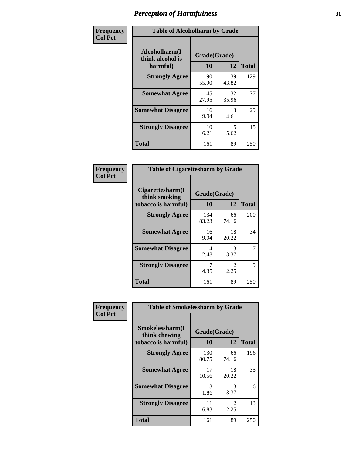| Frequency      | <b>Table of Alcoholharm by Grade</b>          |                    |             |              |  |
|----------------|-----------------------------------------------|--------------------|-------------|--------------|--|
| <b>Col Pct</b> | Alcoholharm(I<br>think alcohol is<br>harmful) | Grade(Grade)<br>10 | 12          | <b>Total</b> |  |
|                | <b>Strongly Agree</b>                         | 90<br>55.90        | 39<br>43.82 | 129          |  |
|                | <b>Somewhat Agree</b>                         | 45<br>27.95        | 32<br>35.96 | 77           |  |
|                | <b>Somewhat Disagree</b>                      | 16<br>9.94         | 13<br>14.61 | 29           |  |
|                | <b>Strongly Disagree</b>                      | 10<br>6.21         | 5<br>5.62   | 15           |  |
|                | <b>Total</b>                                  | 161                | 89          | 250          |  |

| <b>Table of Cigarettesharm by Grade</b>                  |                    |                        |     |  |  |
|----------------------------------------------------------|--------------------|------------------------|-----|--|--|
| Cigarettesharm(I<br>think smoking<br>tobacco is harmful) | Grade(Grade)<br>10 | <b>Total</b>           |     |  |  |
| <b>Strongly Agree</b>                                    | 134<br>83.23       | 66<br>74.16            | 200 |  |  |
| <b>Somewhat Agree</b>                                    | 16<br>9.94         | 18<br>20.22            | 34  |  |  |
| <b>Somewhat Disagree</b>                                 | 4<br>2.48          | 3<br>3.37              |     |  |  |
| <b>Strongly Disagree</b>                                 | 7<br>4.35          | $\mathfrak{D}$<br>2.25 | 9   |  |  |
| <b>Total</b>                                             | 161                | 89                     | 250 |  |  |

| Frequency      | <b>Table of Smokelessharm by Grade</b>                  |                    |             |              |
|----------------|---------------------------------------------------------|--------------------|-------------|--------------|
| <b>Col Pct</b> | Smokelessharm(I<br>think chewing<br>tobacco is harmful) | Grade(Grade)<br>10 | 12          | <b>Total</b> |
|                | <b>Strongly Agree</b>                                   | 130<br>80.75       | 66<br>74.16 | 196          |
|                | <b>Somewhat Agree</b>                                   | 17<br>10.56        | 18<br>20.22 | 35           |
|                | <b>Somewhat Disagree</b>                                | 3<br>1.86          | 3<br>3.37   | 6            |
|                | <b>Strongly Disagree</b>                                | 11<br>6.83         | 2<br>2.25   | 13           |
|                | <b>Total</b>                                            | 161                | 89          | 250          |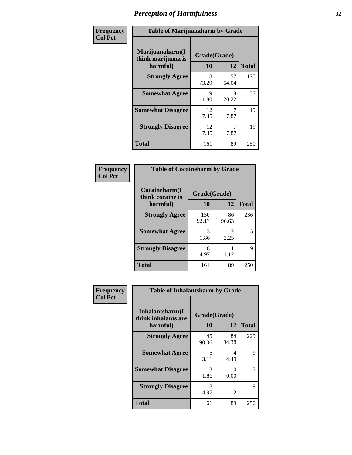| Frequency      | <b>Table of Marijuanaharm by Grade</b>            |                    |             |              |  |
|----------------|---------------------------------------------------|--------------------|-------------|--------------|--|
| <b>Col Pct</b> | Marijuanaharm(I<br>think marijuana is<br>harmful) | Grade(Grade)<br>10 | 12          | <b>Total</b> |  |
|                | <b>Strongly Agree</b>                             | 118<br>73.29       | 57<br>64.04 | 175          |  |
|                | <b>Somewhat Agree</b>                             | 19<br>11.80        | 18<br>20.22 | 37           |  |
|                | <b>Somewhat Disagree</b>                          | 12<br>7.45         | 7.87        | 19           |  |
|                | <b>Strongly Disagree</b>                          | 12<br>7.45         | 7.87        | 19           |  |
|                | <b>Total</b>                                      | 161                | 89          | 250          |  |

| <b>Table of Cocaineharm by Grade</b> |              |                                     |              |  |  |  |
|--------------------------------------|--------------|-------------------------------------|--------------|--|--|--|
| Cocaineharm(I<br>think cocaine is    | Grade(Grade) |                                     |              |  |  |  |
| harmful)                             | 10           | 12                                  | <b>Total</b> |  |  |  |
| <b>Strongly Agree</b>                | 150<br>93.17 | 86<br>96.63                         | 236          |  |  |  |
| <b>Somewhat Agree</b>                | 3<br>1.86    | $\mathcal{D}_{\mathcal{L}}$<br>2.25 | 5            |  |  |  |
| <b>Strongly Disagree</b>             | 8<br>4.97    | 1.12                                | 9            |  |  |  |
| <b>Total</b>                         | 161          | 89                                  | 250          |  |  |  |

| Frequency      | <b>Table of Inhalantsharm by Grade</b>  |              |             |              |  |
|----------------|-----------------------------------------|--------------|-------------|--------------|--|
| <b>Col Pct</b> | Inhalantsharm(I)<br>think inhalants are | Grade(Grade) |             |              |  |
|                | harmful)                                | 10           | 12          | <b>Total</b> |  |
|                | <b>Strongly Agree</b>                   | 145<br>90.06 | 84<br>94.38 | 229          |  |
|                | <b>Somewhat Agree</b>                   | 5<br>3.11    | 4<br>4.49   | 9            |  |
|                | <b>Somewhat Disagree</b>                | 3<br>1.86    | 0<br>0.00   | 3            |  |
|                | <b>Strongly Disagree</b>                | 8<br>4.97    | 1.12        | 9            |  |
|                | <b>Total</b>                            | 161          | 89          | 250          |  |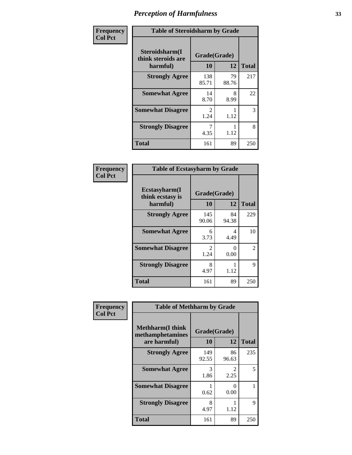| Frequency      | <b>Table of Steroidsharm by Grade</b>            |                                     |             |              |
|----------------|--------------------------------------------------|-------------------------------------|-------------|--------------|
| <b>Col Pct</b> | Steroidsharm(I<br>think steroids are<br>harmful) | Grade(Grade)<br>10                  | 12          | <b>Total</b> |
|                | <b>Strongly Agree</b>                            | 138<br>85.71                        | 79<br>88.76 | 217          |
|                | <b>Somewhat Agree</b>                            | 14<br>8.70                          | 8<br>8.99   | 22           |
|                | <b>Somewhat Disagree</b>                         | $\mathcal{D}_{\mathcal{L}}$<br>1.24 | 1.12        | 3            |
|                | <b>Strongly Disagree</b>                         | 4.35                                | 1.12        | 8            |
|                | <b>Total</b>                                     | 161                                 | 89          | 250          |

| <b>Table of Ecstasyharm by Grade</b>          |                    |              |     |  |  |
|-----------------------------------------------|--------------------|--------------|-----|--|--|
| Ecstasyharm(I<br>think ecstasy is<br>harmful) | Grade(Grade)<br>10 | <b>Total</b> |     |  |  |
| <b>Strongly Agree</b>                         | 145<br>90.06       | 84<br>94.38  | 229 |  |  |
| <b>Somewhat Agree</b>                         | 6<br>3.73          | 4<br>4.49    | 10  |  |  |
| <b>Somewhat Disagree</b>                      | 2<br>1.24          | 0<br>0.00    | 2   |  |  |
| <b>Strongly Disagree</b>                      | 8<br>4.97          | 1.12         | 9   |  |  |
| <b>Total</b>                                  | 161                | 89           | 250 |  |  |

| Frequency      | <b>Table of Methharm by Grade</b>                           |                    |             |              |
|----------------|-------------------------------------------------------------|--------------------|-------------|--------------|
| <b>Col Pct</b> | <b>Methharm(I think</b><br>methamphetamines<br>are harmful) | Grade(Grade)<br>10 | 12          | <b>Total</b> |
|                | <b>Strongly Agree</b>                                       | 149<br>92.55       | 86<br>96.63 | 235          |
|                | <b>Somewhat Agree</b>                                       | 3<br>1.86          | 2<br>2.25   | 5            |
|                | <b>Somewhat Disagree</b>                                    | 0.62               | 0<br>0.00   |              |
|                | <b>Strongly Disagree</b>                                    | 8<br>4.97          | 1.12        | 9            |
|                | <b>Total</b>                                                | 161                | 89          | 250          |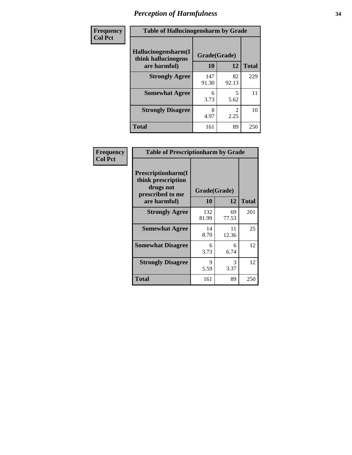| Frequency | <b>Table of Hallucinogensharm by Grade</b>                 |                    |                       |              |
|-----------|------------------------------------------------------------|--------------------|-----------------------|--------------|
| Col Pct   | Hallucinogensharm(I<br>think hallucinogens<br>are harmful) | Grade(Grade)<br>10 | 12                    | <b>Total</b> |
|           | <b>Strongly Agree</b>                                      | 147<br>91.30       | 82<br>92.13           | 229          |
|           | <b>Somewhat Agree</b>                                      | 6<br>3.73          | 5<br>5.62             | 11           |
|           | <b>Strongly Disagree</b>                                   | 8<br>4.97          | $\mathcal{L}$<br>2.25 | 10           |
|           | <b>Total</b>                                               | 161                | 89                    | 250          |

| Frequency      | <b>Table of Prescriptionharm by Grade</b>                                 |              |             |              |
|----------------|---------------------------------------------------------------------------|--------------|-------------|--------------|
| <b>Col Pct</b> | Prescriptionharm(I<br>think prescription<br>drugs not<br>prescribed to me | Grade(Grade) |             |              |
|                | are harmful)                                                              | 10           | 12          | <b>Total</b> |
|                | <b>Strongly Agree</b>                                                     | 132<br>81.99 | 69<br>77.53 | 201          |
|                | <b>Somewhat Agree</b>                                                     | 14<br>8.70   | 11<br>12.36 | 25           |
|                | <b>Somewhat Disagree</b>                                                  | 6<br>3.73    | 6<br>6.74   | 12           |
|                | <b>Strongly Disagree</b>                                                  | 9<br>5.59    | 3<br>3.37   | 12           |
|                | Total                                                                     | 161          | 89          | 250          |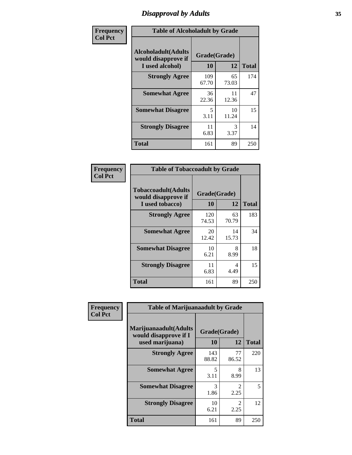# *Disapproval by Adults* **35**

| Frequency      | <b>Table of Alcoholadult by Grade</b>                                 |                    |                       |              |
|----------------|-----------------------------------------------------------------------|--------------------|-----------------------|--------------|
| <b>Col Pct</b> | <b>Alcoholadult</b> (Adults<br>would disapprove if<br>I used alcohol) | Grade(Grade)<br>10 | 12                    | <b>Total</b> |
|                | <b>Strongly Agree</b>                                                 | 109<br>67.70       | 65<br>73.03           | 174          |
|                | <b>Somewhat Agree</b>                                                 | 36<br>22.36        | 11<br>12.36           | 47           |
|                | <b>Somewhat Disagree</b>                                              | 5<br>3.11          | 10<br>11.24           | 15           |
|                | <b>Strongly Disagree</b>                                              | 11<br>6.83         | $\mathcal{F}$<br>3.37 | 14           |
|                | <b>Total</b>                                                          | 161                | 89                    | 250          |

| <b>Table of Tobaccoadult by Grade</b>                                 |                          |             |     |  |  |
|-----------------------------------------------------------------------|--------------------------|-------------|-----|--|--|
| <b>Tobaccoadult</b> (Adults<br>would disapprove if<br>I used tobacco) | Grade(Grade)<br>10<br>12 |             |     |  |  |
| <b>Strongly Agree</b>                                                 | 120<br>74.53             | 63<br>70.79 | 183 |  |  |
| <b>Somewhat Agree</b>                                                 | 20<br>12.42              | 14<br>15.73 | 34  |  |  |
| <b>Somewhat Disagree</b>                                              | 10<br>6.21               | 8<br>8.99   | 18  |  |  |
| <b>Strongly Disagree</b>                                              | 11<br>6.83               | 4<br>4.49   | 15  |  |  |
| <b>Total</b>                                                          | 161                      | 89          | 250 |  |  |

| Frequency      | <b>Table of Marijuanaadult by Grade</b>                           |                    |             |              |
|----------------|-------------------------------------------------------------------|--------------------|-------------|--------------|
| <b>Col Pct</b> | Marijuanaadult(Adults<br>would disapprove if I<br>used marijuana) | Grade(Grade)<br>10 | 12          | <b>Total</b> |
|                | <b>Strongly Agree</b>                                             | 143<br>88.82       | 77<br>86.52 | 220          |
|                | <b>Somewhat Agree</b>                                             | 5<br>3.11          | 8<br>8.99   | 13           |
|                | <b>Somewhat Disagree</b>                                          | 3<br>1.86          | 2<br>2.25   | 5            |
|                | <b>Strongly Disagree</b>                                          | 10<br>6.21         | 2<br>2.25   | 12           |
|                | <b>Total</b>                                                      | 161                | 89          | 250          |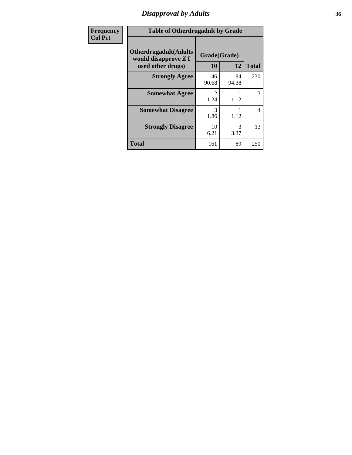### *Disapproval by Adults* **36**

| Frequency      | <b>Table of Otherdrugadult by Grade</b>                                     |                                     |             |              |
|----------------|-----------------------------------------------------------------------------|-------------------------------------|-------------|--------------|
| <b>Col Pct</b> | <b>Otherdrugadult</b> (Adults<br>would disapprove if I<br>used other drugs) | Grade(Grade)<br>10                  | 12          | <b>Total</b> |
|                | <b>Strongly Agree</b>                                                       | 146<br>90.68                        | 84<br>94.38 | 230          |
|                | <b>Somewhat Agree</b>                                                       | $\mathcal{D}_{\mathcal{L}}$<br>1.24 | 1.12        | 3            |
|                | <b>Somewhat Disagree</b>                                                    | 3<br>1.86                           | 1.12        | 4            |
|                | <b>Strongly Disagree</b>                                                    | 10<br>6.21                          | 3<br>3.37   | 13           |
|                | <b>Total</b>                                                                | 161                                 | 89          | 250          |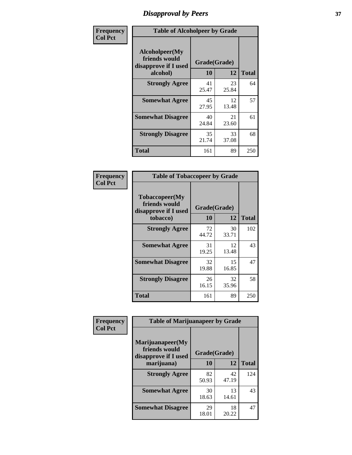# *Disapproval by Peers* **37**

| Frequency      | <b>Table of Alcoholpeer by Grade</b>                    |              |             |              |  |
|----------------|---------------------------------------------------------|--------------|-------------|--------------|--|
| <b>Col Pct</b> | Alcoholpeer(My<br>friends would<br>disapprove if I used | Grade(Grade) |             |              |  |
|                | alcohol)                                                | 10           | 12          | <b>Total</b> |  |
|                | <b>Strongly Agree</b>                                   | 41<br>25.47  | 23<br>25.84 | 64           |  |
|                | <b>Somewhat Agree</b>                                   | 45<br>27.95  | 12<br>13.48 | 57           |  |
|                | <b>Somewhat Disagree</b>                                | 40<br>24.84  | 21<br>23.60 | 61           |  |
|                | <b>Strongly Disagree</b>                                | 35<br>21.74  | 33<br>37.08 | 68           |  |
|                | Total                                                   | 161          | 89          | 250          |  |

| Frequency      | <b>Table of Tobaccopeer by Grade</b>                                |                    |             |              |
|----------------|---------------------------------------------------------------------|--------------------|-------------|--------------|
| <b>Col Pct</b> | Tobaccopeer(My<br>friends would<br>disapprove if I used<br>tobacco) | Grade(Grade)<br>10 | 12          | <b>Total</b> |
|                | <b>Strongly Agree</b>                                               | 72<br>44.72        | 30<br>33.71 | 102          |
|                | <b>Somewhat Agree</b>                                               | 31<br>19.25        | 12<br>13.48 | 43           |
|                | <b>Somewhat Disagree</b>                                            | 32<br>19.88        | 15<br>16.85 | 47           |
|                | <b>Strongly Disagree</b>                                            | 26<br>16.15        | 32<br>35.96 | 58           |
|                | Total                                                               | 161                | 89          | 250          |

| Frequency<br><b>Col Pct</b> | <b>Table of Marijuanapeer by Grade</b>                    |              |             |              |
|-----------------------------|-----------------------------------------------------------|--------------|-------------|--------------|
|                             | Marijuanapeer(My<br>friends would<br>disapprove if I used | Grade(Grade) |             |              |
|                             | marijuana)                                                | 10           | 12          | <b>Total</b> |
|                             | <b>Strongly Agree</b>                                     | 82<br>50.93  | 42<br>47.19 | 124          |
|                             | <b>Somewhat Agree</b>                                     | 30<br>18.63  | 13<br>14.61 | 43           |
|                             | <b>Somewhat Disagree</b>                                  | 29<br>18.01  | 18<br>20.22 | 47           |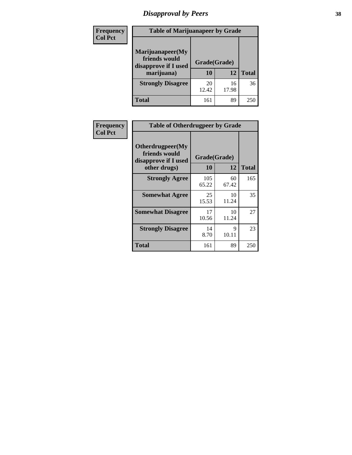# *Disapproval by Peers* **38**

| Frequency<br><b>Col Pct</b> | <b>Table of Marijuanapeer by Grade</b>                                  |                    |             |              |
|-----------------------------|-------------------------------------------------------------------------|--------------------|-------------|--------------|
|                             | Marijuanapeer(My<br>friends would<br>disapprove if I used<br>marijuana) | Grade(Grade)<br>10 | 12          | <b>Total</b> |
|                             | <b>Strongly Disagree</b>                                                | 20<br>12.42        | 16<br>17.98 | 36           |
|                             | Total                                                                   | 161                | 89          | 250          |

| Frequency      | <b>Table of Otherdrugpeer by Grade</b>                                    |                    |             |              |
|----------------|---------------------------------------------------------------------------|--------------------|-------------|--------------|
| <b>Col Pct</b> | Otherdrugpeer(My<br>friends would<br>disapprove if I used<br>other drugs) | Grade(Grade)<br>10 | 12          | <b>Total</b> |
|                | <b>Strongly Agree</b>                                                     | 105<br>65.22       | 60<br>67.42 | 165          |
|                | <b>Somewhat Agree</b>                                                     | 25<br>15.53        | 10<br>11.24 | 35           |
|                | <b>Somewhat Disagree</b>                                                  | 17<br>10.56        | 10<br>11.24 | 27           |
|                | <b>Strongly Disagree</b>                                                  | 14<br>8.70         | 9<br>10.11  | 23           |
|                | Total                                                                     | 161                | 89          | 250          |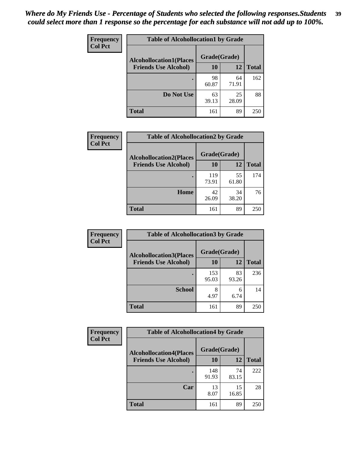| Frequency<br><b>Col Pct</b> | <b>Table of Alcohollocation1 by Grade</b> |              |             |              |  |
|-----------------------------|-------------------------------------------|--------------|-------------|--------------|--|
|                             | <b>Alcohollocation1(Places</b>            | Grade(Grade) |             |              |  |
|                             | <b>Friends Use Alcohol)</b>               | 10           | 12          | <b>Total</b> |  |
|                             |                                           | 98<br>60.87  | 64<br>71.91 | 162          |  |
|                             | Do Not Use                                | 63<br>39.13  | 25<br>28.09 | 88           |  |
|                             | <b>Total</b>                              | 161          | 89          | 250          |  |

| Frequency      | <b>Table of Alcohollocation2 by Grade</b>                     |                    |             |              |
|----------------|---------------------------------------------------------------|--------------------|-------------|--------------|
| <b>Col Pct</b> | <b>Alcohollocation2(Places</b><br><b>Friends Use Alcohol)</b> | Grade(Grade)<br>10 | 12          | <b>Total</b> |
|                |                                                               |                    |             |              |
|                |                                                               | 119<br>73.91       | 55<br>61.80 | 174          |
|                | Home                                                          | 42<br>26.09        | 34<br>38.20 | 76           |
|                | Total                                                         | 161                | 89          | 250          |

| <b>Frequency</b> | <b>Table of Alcohollocation 3 by Grade</b> |              |             |              |
|------------------|--------------------------------------------|--------------|-------------|--------------|
| <b>Col Pct</b>   | <b>Alcohollocation3(Places</b>             | Grade(Grade) |             |              |
|                  | <b>Friends Use Alcohol)</b>                | <b>10</b>    | 12          | <b>Total</b> |
|                  |                                            | 153<br>95.03 | 83<br>93.26 | 236          |
|                  | <b>School</b>                              | 8<br>4.97    | 6<br>6.74   | 14           |
|                  | <b>Total</b>                               | 161          | 89          | 250          |

| <b>Frequency</b> | <b>Table of Alcohollocation4 by Grade</b> |              |             |              |  |
|------------------|-------------------------------------------|--------------|-------------|--------------|--|
| <b>Col Pct</b>   | <b>Alcohollocation4(Places</b>            | Grade(Grade) |             |              |  |
|                  | <b>Friends Use Alcohol)</b>               | 10           | 12          | <b>Total</b> |  |
|                  |                                           | 148<br>91.93 | 74<br>83.15 | 222          |  |
|                  | Car                                       | 13<br>8.07   | 15<br>16.85 | 28           |  |
|                  | <b>Total</b>                              | 161          | 89          | 250          |  |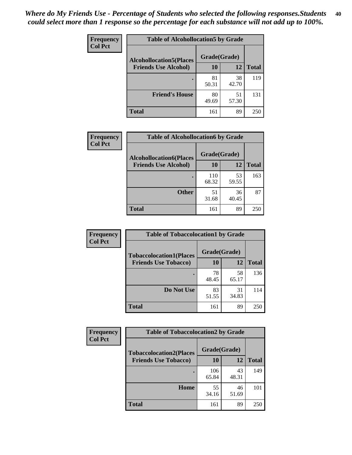| Frequency<br><b>Col Pct</b> | <b>Table of Alcohollocation5 by Grade</b> |             |             |              |  |
|-----------------------------|-------------------------------------------|-------------|-------------|--------------|--|
|                             | <b>Alcohollocation5(Places</b>            |             |             |              |  |
|                             | <b>Friends Use Alcohol)</b>               | 10          | 12          | <b>Total</b> |  |
|                             |                                           | 81<br>50.31 | 38<br>42.70 | 119          |  |
|                             | <b>Friend's House</b>                     | 80<br>49.69 | 51<br>57.30 | 131          |  |
|                             | <b>Total</b>                              | 161         | 89          | 250          |  |

| <b>Frequency</b> |                                | <b>Table of Alcohollocation6 by Grade</b> |             |              |
|------------------|--------------------------------|-------------------------------------------|-------------|--------------|
| <b>Col Pct</b>   | <b>Alcohollocation6(Places</b> | Grade(Grade)                              |             |              |
|                  | <b>Friends Use Alcohol)</b>    | 10                                        | 12          | <b>Total</b> |
|                  |                                | 110<br>68.32                              | 53<br>59.55 | 163          |
|                  | <b>Other</b>                   | 51<br>31.68                               | 36<br>40.45 | 87           |
|                  | <b>Total</b>                   | 161                                       | 89          | 250          |

| Frequency      | <b>Table of Tobaccolocation1 by Grade</b> |              |             |              |
|----------------|-------------------------------------------|--------------|-------------|--------------|
| <b>Col Pct</b> | <b>Tobaccolocation1(Places</b>            | Grade(Grade) |             |              |
|                | <b>Friends Use Tobacco)</b>               | 10           | 12          | <b>Total</b> |
|                |                                           | 78<br>48.45  | 58<br>65.17 | 136          |
|                | Do Not Use                                | 83<br>51.55  | 31<br>34.83 | 114          |
|                | <b>Total</b>                              | 161          | 89          | 250          |

| <b>Frequency</b> | <b>Table of Tobaccolocation2 by Grade</b> |              |             |              |
|------------------|-------------------------------------------|--------------|-------------|--------------|
| <b>Col Pct</b>   | <b>Tobaccolocation2(Places</b>            | Grade(Grade) |             |              |
|                  | <b>Friends Use Tobacco)</b>               | 10           | 12          | <b>Total</b> |
|                  |                                           | 106<br>65.84 | 43<br>48.31 | 149          |
|                  | Home                                      | 55<br>34.16  | 46<br>51.69 | 101          |
|                  | <b>Total</b>                              | 161          | 89          | 250          |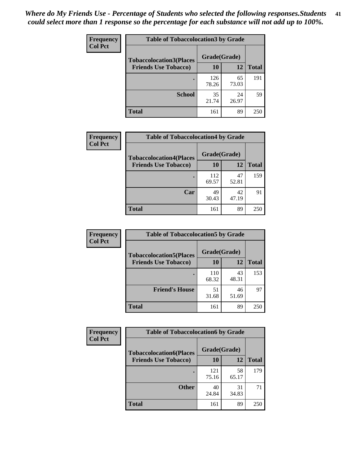| Frequency      | <b>Table of Tobaccolocation 3 by Grade</b> |              |             |              |  |
|----------------|--------------------------------------------|--------------|-------------|--------------|--|
| <b>Col Pct</b> | <b>Tobaccolocation3(Places</b>             | Grade(Grade) |             |              |  |
|                | <b>Friends Use Tobacco)</b>                | 10           | 12          | <b>Total</b> |  |
|                |                                            | 126<br>78.26 | 65<br>73.03 | 191          |  |
|                | <b>School</b>                              | 35<br>21.74  | 24<br>26.97 | 59           |  |
|                | <b>Total</b>                               | 161          | 89          | 250          |  |

| <b>Frequency</b> | <b>Table of Tobaccolocation4 by Grade</b>                     |                    |             |              |
|------------------|---------------------------------------------------------------|--------------------|-------------|--------------|
| <b>Col Pct</b>   | <b>Tobaccolocation4(Places</b><br><b>Friends Use Tobacco)</b> | Grade(Grade)<br>10 | 12          | <b>Total</b> |
|                  |                                                               |                    |             |              |
|                  |                                                               | 112<br>69.57       | 47<br>52.81 | 159          |
|                  | Car                                                           | 49<br>30.43        | 42<br>47.19 | 91           |
|                  | <b>Total</b>                                                  | 161                | 89          | 250          |

| Frequency      | <b>Table of Tobaccolocation5 by Grade</b> |              |             |              |  |
|----------------|-------------------------------------------|--------------|-------------|--------------|--|
| <b>Col Pct</b> | <b>Tobaccolocation5(Places</b>            | Grade(Grade) |             |              |  |
|                | <b>Friends Use Tobacco)</b>               | 10           | <b>12</b>   | <b>Total</b> |  |
|                |                                           | 110<br>68.32 | 43<br>48.31 | 153          |  |
|                | <b>Friend's House</b>                     | 51<br>31.68  | 46<br>51.69 | 97           |  |
|                | <b>Total</b>                              | 161          | 89          | 250          |  |

| <b>Frequency</b> | <b>Table of Tobaccolocation6 by Grade</b> |              |             |              |  |
|------------------|-------------------------------------------|--------------|-------------|--------------|--|
| <b>Col Pct</b>   | <b>Tobaccolocation6(Places</b>            | Grade(Grade) |             |              |  |
|                  | <b>Friends Use Tobacco)</b>               | 10           | 12          | <b>Total</b> |  |
|                  |                                           | 121<br>75.16 | 58<br>65.17 | 179          |  |
|                  | <b>Other</b>                              | 40<br>24.84  | 31<br>34.83 | 71           |  |
|                  | <b>Total</b>                              | 161          | 89          | 250          |  |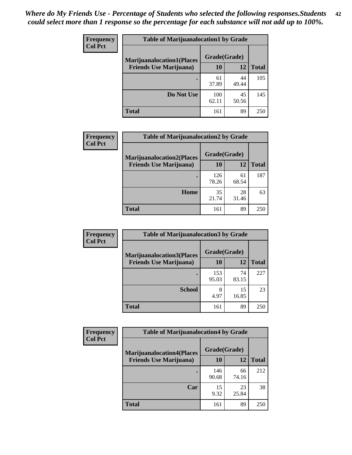| <b>Frequency</b> | <b>Table of Marijuanalocation1 by Grade</b> |              |             |              |
|------------------|---------------------------------------------|--------------|-------------|--------------|
| <b>Col Pct</b>   | <b>Marijuanalocation1(Places</b>            | Grade(Grade) |             |              |
|                  | <b>Friends Use Marijuana</b> )              | 10           | 12          | <b>Total</b> |
|                  |                                             | 61<br>37.89  | 44<br>49.44 | 105          |
|                  | Do Not Use                                  | 100<br>62.11 | 45<br>50.56 | 145          |
|                  | <b>Total</b>                                | 161          | 89          | 250          |

| <b>Frequency</b> | <b>Table of Marijuanalocation2 by Grade</b> |                    |             |              |
|------------------|---------------------------------------------|--------------------|-------------|--------------|
| <b>Col Pct</b>   | <b>Marijuanalocation2(Places</b>            | Grade(Grade)<br>10 | 12          |              |
|                  | <b>Friends Use Marijuana</b> )              |                    |             | <b>Total</b> |
|                  |                                             | 126<br>78.26       | 61<br>68.54 | 187          |
|                  | Home                                        | 35<br>21.74        | 28<br>31.46 | 63           |
|                  | <b>Total</b>                                | 161                | 89          | 250          |

| Frequency<br><b>Col Pct</b> | <b>Table of Marijuanalocation3 by Grade</b> |              |             |       |
|-----------------------------|---------------------------------------------|--------------|-------------|-------|
|                             | <b>Marijuanalocation3</b> (Places           | Grade(Grade) |             |       |
|                             | <b>Friends Use Marijuana</b> )              | 10           | 12          | Total |
|                             |                                             | 153<br>95.03 | 74<br>83.15 | 227   |
|                             | <b>School</b>                               | 8<br>4.97    | 15<br>16.85 | 23    |
|                             | <b>Total</b>                                | 161          | 89          | 250   |

| Frequency      | <b>Table of Marijuanalocation4 by Grade</b> |              |             |              |
|----------------|---------------------------------------------|--------------|-------------|--------------|
| <b>Col Pct</b> | <b>Marijuanalocation4(Places</b>            | Grade(Grade) |             |              |
|                | <b>Friends Use Marijuana</b> )              | <b>10</b>    | 12          | <b>Total</b> |
|                |                                             | 146<br>90.68 | 66<br>74.16 | 212          |
|                | Car                                         | 15<br>9.32   | 23<br>25.84 | 38           |
|                | <b>Total</b>                                | 161          | 89          | 250          |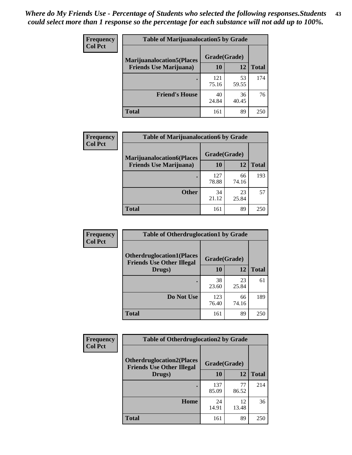| <b>Frequency</b> | <b>Table of Marijuanalocation5 by Grade</b> |              |             |              |
|------------------|---------------------------------------------|--------------|-------------|--------------|
| <b>Col Pct</b>   | <b>Marijuanalocation5</b> (Places           | Grade(Grade) |             |              |
|                  | <b>Friends Use Marijuana</b> )              | 10           | 12          | <b>Total</b> |
|                  |                                             | 121<br>75.16 | 53<br>59.55 | 174          |
|                  | <b>Friend's House</b>                       | 40<br>24.84  | 36<br>40.45 | 76           |
|                  | <b>Total</b>                                | 161          | 89          | 250          |

| <b>Frequency</b> | <b>Table of Marijuanalocation6 by Grade</b>                        |                    |             |              |
|------------------|--------------------------------------------------------------------|--------------------|-------------|--------------|
| <b>Col Pct</b>   | <b>Marijuanalocation6(Places</b><br><b>Friends Use Marijuana</b> ) | Grade(Grade)<br>10 | 12          | <b>Total</b> |
|                  |                                                                    | 127<br>78.88       | 66<br>74.16 | 193          |
|                  | <b>Other</b>                                                       | 34<br>21.12        | 23<br>25.84 | 57           |
|                  | <b>Total</b>                                                       | 161                | 89          | 250          |

| <b>Frequency</b> | <b>Table of Otherdruglocation1 by Grade</b>                          |              |             |              |
|------------------|----------------------------------------------------------------------|--------------|-------------|--------------|
| <b>Col Pct</b>   | <b>Otherdruglocation1(Places</b><br><b>Friends Use Other Illegal</b> | Grade(Grade) |             |              |
|                  | Drugs)                                                               | 10           | 12          | <b>Total</b> |
|                  |                                                                      | 38<br>23.60  | 23<br>25.84 | 61           |
|                  | Do Not Use                                                           | 123<br>76.40 | 66<br>74.16 | 189          |
|                  | <b>Total</b>                                                         | 161          | 89          | 250          |

| Frequency      | <b>Table of Otherdruglocation2 by Grade</b>                          |              |             |              |
|----------------|----------------------------------------------------------------------|--------------|-------------|--------------|
| <b>Col Pct</b> | <b>Otherdruglocation2(Places</b><br><b>Friends Use Other Illegal</b> | Grade(Grade) |             |              |
|                | Drugs)                                                               | 10           | 12          | <b>Total</b> |
|                |                                                                      | 137<br>85.09 | 77<br>86.52 | 214          |
|                | Home                                                                 | 24<br>14.91  | 12<br>13.48 | 36           |
|                | <b>Total</b>                                                         | 161          | 89          | 250          |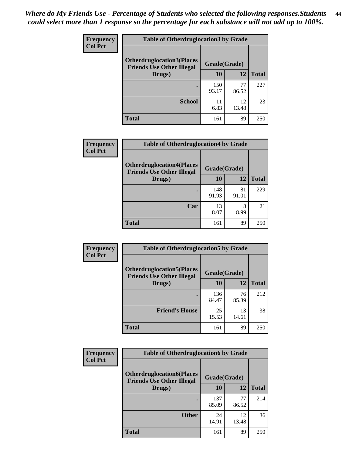| <b>Frequency</b> | <b>Table of Otherdruglocation 3 by Grade</b>                         |              |             |              |
|------------------|----------------------------------------------------------------------|--------------|-------------|--------------|
| <b>Col Pct</b>   | <b>Otherdruglocation3(Places</b><br><b>Friends Use Other Illegal</b> | Grade(Grade) |             |              |
|                  | Drugs)                                                               | 10           | 12          | <b>Total</b> |
|                  |                                                                      | 150<br>93.17 | 77<br>86.52 | 227          |
|                  | <b>School</b>                                                        | 11<br>6.83   | 12<br>13.48 | 23           |
|                  | <b>Total</b>                                                         | 161          | 89          | 250          |

| Frequency      | <b>Table of Otherdruglocation4 by Grade</b>                          |              |             |              |
|----------------|----------------------------------------------------------------------|--------------|-------------|--------------|
| <b>Col Pct</b> | <b>Otherdruglocation4(Places</b><br><b>Friends Use Other Illegal</b> | Grade(Grade) |             |              |
|                | Drugs)                                                               | 10           | 12          | <b>Total</b> |
|                |                                                                      | 148<br>91.93 | 81<br>91.01 | 229          |
|                | Car                                                                  | 13<br>8.07   | 8<br>8.99   | 21           |
|                | <b>Total</b>                                                         | 161          | 89          | 250          |

| Frequency      | <b>Table of Otherdruglocation5 by Grade</b>                          |              |             |              |
|----------------|----------------------------------------------------------------------|--------------|-------------|--------------|
| <b>Col Pct</b> | <b>Otherdruglocation5(Places</b><br><b>Friends Use Other Illegal</b> | Grade(Grade) |             |              |
|                | Drugs)                                                               | 10           | 12          | <b>Total</b> |
|                |                                                                      | 136<br>84.47 | 76<br>85.39 | 212          |
|                | <b>Friend's House</b>                                                | 25<br>15.53  | 13<br>14.61 | 38           |
|                | <b>Total</b>                                                         | 161          | 89          | 250          |

| <b>Frequency</b> | <b>Table of Otherdruglocation6 by Grade</b>                          |              |             |              |
|------------------|----------------------------------------------------------------------|--------------|-------------|--------------|
| <b>Col Pct</b>   | <b>Otherdruglocation6(Places</b><br><b>Friends Use Other Illegal</b> | Grade(Grade) |             |              |
|                  | Drugs)                                                               | 10           | 12          | <b>Total</b> |
|                  |                                                                      | 137<br>85.09 | 77<br>86.52 | 214          |
|                  | <b>Other</b>                                                         | 24<br>14.91  | 12<br>13.48 | 36           |
|                  | <b>Total</b>                                                         | 161          | 89          | 250          |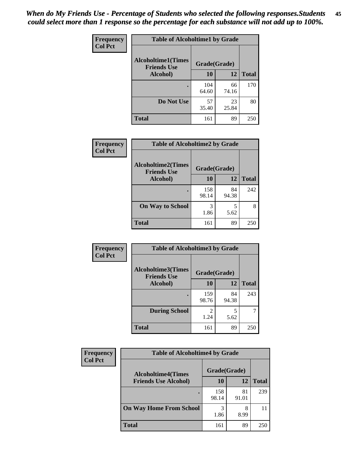| Frequency      | <b>Table of Alcoholtime1 by Grade</b>           |              |             |              |
|----------------|-------------------------------------------------|--------------|-------------|--------------|
| <b>Col Pct</b> | <b>Alcoholtime1(Times</b><br><b>Friends Use</b> | Grade(Grade) |             |              |
|                | Alcohol)                                        | <b>10</b>    | 12          | <b>Total</b> |
|                |                                                 | 104<br>64.60 | 66<br>74.16 | 170          |
|                | Do Not Use                                      | 57<br>35.40  | 23<br>25.84 | 80           |
|                | <b>Total</b>                                    | 161          | 89          | 250          |

| <b>Frequency</b> | <b>Table of Alcoholtime2 by Grade</b>           |              |             |              |
|------------------|-------------------------------------------------|--------------|-------------|--------------|
| <b>Col Pct</b>   | <b>Alcoholtime2(Times</b><br><b>Friends Use</b> | Grade(Grade) |             |              |
|                  | Alcohol)                                        | 10           | 12          | <b>Total</b> |
|                  |                                                 | 158<br>98.14 | 84<br>94.38 | 242          |
|                  | <b>On Way to School</b>                         | 3<br>1.86    | 5<br>5.62   | 8            |
|                  | <b>Total</b>                                    | 161          | 89          | 250          |

| Frequency<br><b>Col Pct</b> | <b>Table of Alcoholtime3 by Grade</b>           |              |             |              |
|-----------------------------|-------------------------------------------------|--------------|-------------|--------------|
|                             | <b>Alcoholtime3(Times</b><br><b>Friends Use</b> | Grade(Grade) |             |              |
|                             | Alcohol)                                        | 10           | 12          | <b>Total</b> |
|                             |                                                 | 159<br>98.76 | 84<br>94.38 | 243          |
|                             | <b>During School</b>                            | 2<br>1.24    | 5<br>5.62   | 7            |
|                             | <b>Total</b>                                    | 161          | 89          | 250          |

| <b>Frequency</b><br><b>Col Pct</b> | <b>Table of Alcoholtime4 by Grade</b> |              |             |              |
|------------------------------------|---------------------------------------|--------------|-------------|--------------|
|                                    | <b>Alcoholtime4(Times</b>             | Grade(Grade) |             |              |
|                                    | <b>Friends Use Alcohol)</b>           | 10           | 12          | <b>Total</b> |
|                                    |                                       | 158<br>98.14 | 81<br>91.01 | 239          |
|                                    | <b>On Way Home From School</b>        | 3<br>1.86    | 8<br>8.99   | 11           |
|                                    | <b>Total</b>                          | 161          | 89          | 250          |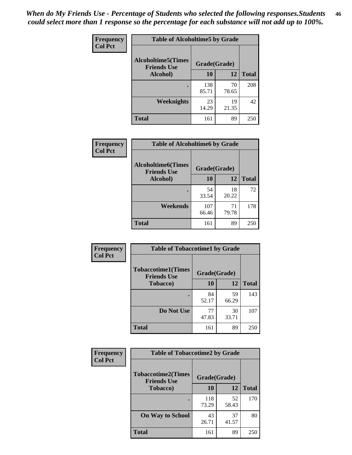*When do My Friends Use - Percentage of Students who selected the following responses.Students could select more than 1 response so the percentage for each substance will not add up to 100%.* **46**

| Frequency      | <b>Table of Alcoholtime5 by Grade</b>           |              |             |              |
|----------------|-------------------------------------------------|--------------|-------------|--------------|
| <b>Col Pct</b> | <b>Alcoholtime5(Times</b><br><b>Friends Use</b> | Grade(Grade) |             |              |
|                | Alcohol)                                        | 10           | 12          | <b>Total</b> |
|                |                                                 | 138<br>85.71 | 70<br>78.65 | 208          |
|                | Weeknights                                      | 23<br>14.29  | 19<br>21.35 | 42           |
|                | <b>Total</b>                                    | 161          | 89          | 250          |

| <b>Frequency</b> | <b>Table of Alcoholtime6 by Grade</b>           |              |             |              |
|------------------|-------------------------------------------------|--------------|-------------|--------------|
| <b>Col Pct</b>   | <b>Alcoholtime6(Times</b><br><b>Friends Use</b> | Grade(Grade) |             |              |
|                  | Alcohol)                                        | 10           | 12          | <b>Total</b> |
|                  |                                                 | 54<br>33.54  | 18<br>20.22 | 72           |
|                  | Weekends                                        | 107<br>66.46 | 71<br>79.78 | 178          |
|                  | <b>Total</b>                                    | 161          | 89          | 250          |

| Frequency      | <b>Table of Tobaccotime1 by Grade</b>           |              |             |              |
|----------------|-------------------------------------------------|--------------|-------------|--------------|
| <b>Col Pct</b> | <b>Tobaccotime1(Times</b><br><b>Friends Use</b> | Grade(Grade) |             |              |
|                | <b>Tobacco</b> )                                | 10           | 12          | <b>Total</b> |
|                | ٠                                               | 84<br>52.17  | 59<br>66.29 | 143          |
|                | Do Not Use                                      | 77<br>47.83  | 30<br>33.71 | 107          |
|                | <b>Total</b>                                    | 161          | 89          | 250          |

| <b>Frequency</b> | <b>Table of Tobaccotime2 by Grade</b>           |              |             |              |
|------------------|-------------------------------------------------|--------------|-------------|--------------|
| <b>Col Pct</b>   | <b>Tobaccotime2(Times</b><br><b>Friends Use</b> | Grade(Grade) |             |              |
|                  | Tobacco)                                        | 10           | 12          | <b>Total</b> |
|                  |                                                 | 118<br>73.29 | 52<br>58.43 | 170          |
|                  | <b>On Way to School</b>                         | 43<br>26.71  | 37<br>41.57 | 80           |
|                  | <b>Total</b>                                    | 161          | 89          | 250          |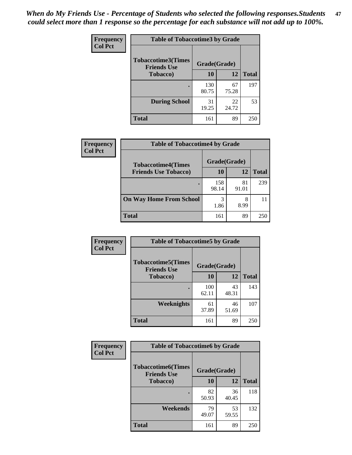| Frequency      | <b>Table of Tobaccotime3 by Grade</b>                           |              |             |              |
|----------------|-----------------------------------------------------------------|--------------|-------------|--------------|
| <b>Col Pct</b> | <b>Tobaccotime3(Times</b><br>Grade(Grade)<br><b>Friends Use</b> |              |             |              |
|                | <b>Tobacco</b> )                                                | 10           | 12          | <b>Total</b> |
|                | ٠                                                               | 130<br>80.75 | 67<br>75.28 | 197          |
|                | <b>During School</b>                                            | 31<br>19.25  | 22<br>24.72 | 53           |
|                | <b>Total</b>                                                    | 161          | 89          | 250          |

| <b>Frequency</b> | <b>Table of Tobaccotime4 by Grade</b>                    |              |             |              |
|------------------|----------------------------------------------------------|--------------|-------------|--------------|
| <b>Col Pct</b>   | <b>Tobaccotime4(Times</b><br><b>Friends Use Tobacco)</b> | Grade(Grade) |             |              |
|                  |                                                          | 10           | 12          | <b>Total</b> |
|                  |                                                          | 158<br>98.14 | 81<br>91.01 | 239          |
|                  | <b>On Way Home From School</b>                           | 3<br>1.86    | 8<br>8.99   |              |
|                  | <b>Total</b>                                             | 161          | 89          | 250          |

| Frequency      | <b>Table of Tobaccotime5 by Grade</b>           |              |             |              |
|----------------|-------------------------------------------------|--------------|-------------|--------------|
| <b>Col Pct</b> | <b>Tobaccotime5(Times</b><br><b>Friends Use</b> | Grade(Grade) |             |              |
|                | <b>Tobacco</b> )                                | 10           | 12          | <b>Total</b> |
|                |                                                 | 100<br>62.11 | 43<br>48.31 | 143          |
|                | Weeknights                                      | 61<br>37.89  | 46<br>51.69 | 107          |
|                | <b>Total</b>                                    | 161          | 89          | 250          |

| Frequency      | <b>Table of Tobaccotime6 by Grade</b>                           |             |             |              |
|----------------|-----------------------------------------------------------------|-------------|-------------|--------------|
| <b>Col Pct</b> | <b>Tobaccotime6(Times</b><br>Grade(Grade)<br><b>Friends Use</b> |             |             |              |
|                | <b>Tobacco</b> )                                                | 10          | 12          | <b>Total</b> |
|                | ٠                                                               | 82<br>50.93 | 36<br>40.45 | 118          |
|                | Weekends                                                        | 79<br>49.07 | 53<br>59.55 | 132          |
|                | <b>Total</b>                                                    | 161         | 89          | 250          |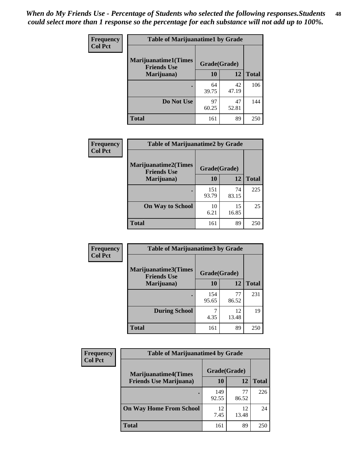| Frequency      | <b>Table of Marijuanatime1 by Grade</b>           |              |             |              |  |
|----------------|---------------------------------------------------|--------------|-------------|--------------|--|
| <b>Col Pct</b> | <b>Marijuanatime1(Times</b><br><b>Friends Use</b> | Grade(Grade) |             |              |  |
|                | Marijuana)                                        | 10           | 12          | <b>Total</b> |  |
|                |                                                   | 64<br>39.75  | 42<br>47.19 | 106          |  |
|                | Do Not Use                                        | 97<br>60.25  | 47<br>52.81 | 144          |  |
|                | <b>Total</b>                                      | 161          | 89          | 250          |  |

| <b>Frequency</b> | <b>Table of Marijuanatime2 by Grade</b>           |              |             |              |
|------------------|---------------------------------------------------|--------------|-------------|--------------|
| <b>Col Pct</b>   | <b>Marijuanatime2(Times</b><br><b>Friends Use</b> | Grade(Grade) |             |              |
|                  | Marijuana)                                        | 10           | 12          | <b>Total</b> |
|                  |                                                   | 151<br>93.79 | 74<br>83.15 | 225          |
|                  | <b>On Way to School</b>                           | 10<br>6.21   | 15<br>16.85 | 25           |
|                  | <b>Total</b>                                      | 161          | 89          | 250          |

| Frequency      | <b>Table of Marijuanatime3 by Grade</b>    |              |             |              |
|----------------|--------------------------------------------|--------------|-------------|--------------|
| <b>Col Pct</b> | Marijuanatime3(Times<br><b>Friends Use</b> | Grade(Grade) |             |              |
|                | Marijuana)                                 | 10           | 12          | <b>Total</b> |
|                |                                            | 154<br>95.65 | 77<br>86.52 | 231          |
|                | <b>During School</b>                       | 4.35         | 12<br>13.48 | 19           |
|                | <b>Total</b>                               | 161          | 89          | 250          |

| <b>Frequency</b> | <b>Table of Marijuanatime4 by Grade</b> |              |             |              |
|------------------|-----------------------------------------|--------------|-------------|--------------|
| <b>Col Pct</b>   | <b>Marijuanatime4(Times</b>             | Grade(Grade) |             |              |
|                  | <b>Friends Use Marijuana</b> )          | 10           | 12          | <b>Total</b> |
|                  |                                         | 149<br>92.55 | 77<br>86.52 | 226          |
|                  | <b>On Way Home From School</b>          | 12<br>7.45   | 12<br>13.48 | 24           |
|                  | <b>Total</b>                            | 161          | 89          | 250          |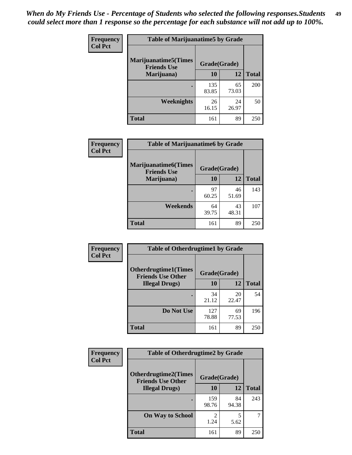| Frequency      | <b>Table of Marijuanatime5 by Grade</b>            |              |             |              |
|----------------|----------------------------------------------------|--------------|-------------|--------------|
| <b>Col Pct</b> | <b>Marijuanatime5</b> (Times<br><b>Friends Use</b> | Grade(Grade) |             |              |
|                | Marijuana)                                         | 10           | 12          | <b>Total</b> |
|                |                                                    | 135<br>83.85 | 65<br>73.03 | 200          |
|                | Weeknights                                         | 26<br>16.15  | 24<br>26.97 | 50           |
|                | <b>Total</b>                                       | 161          | 89          | 250          |

| <b>Frequency</b> | <b>Table of Marijuanatime6 by Grade</b>            |              |             |              |
|------------------|----------------------------------------------------|--------------|-------------|--------------|
| <b>Col Pct</b>   | <b>Marijuanatime6</b> (Times<br><b>Friends Use</b> | Grade(Grade) |             |              |
|                  | Marijuana)                                         | 10           | 12          | <b>Total</b> |
|                  |                                                    | 97<br>60.25  | 46<br>51.69 | 143          |
|                  | Weekends                                           | 64<br>39.75  | 43<br>48.31 | 107          |
|                  | <b>Total</b>                                       | 161          | 89          | 250          |

| <b>Frequency</b> | <b>Table of Otherdrugtime1 by Grade</b>                  |              |             |              |
|------------------|----------------------------------------------------------|--------------|-------------|--------------|
| <b>Col Pct</b>   | <b>Otherdrugtime1</b> (Times<br><b>Friends Use Other</b> | Grade(Grade) |             |              |
|                  | <b>Illegal Drugs</b> )                                   | 10           | 12          | <b>Total</b> |
|                  |                                                          | 34<br>21.12  | 20<br>22.47 | 54           |
|                  | Do Not Use                                               | 127<br>78.88 | 69<br>77.53 | 196          |
|                  | <b>Total</b>                                             | 161          | 89          | 25(          |

| <b>Frequency</b> | <b>Table of Otherdrugtime2 by Grade</b>                 |                                  |             |              |  |  |  |
|------------------|---------------------------------------------------------|----------------------------------|-------------|--------------|--|--|--|
| <b>Col Pct</b>   | <b>Otherdrugtime2(Times</b><br><b>Friends Use Other</b> | Grade(Grade)                     |             |              |  |  |  |
|                  | <b>Illegal Drugs</b> )                                  | 10                               | 12          | <b>Total</b> |  |  |  |
|                  |                                                         | 159<br>98.76                     | 84<br>94.38 | 243          |  |  |  |
|                  | <b>On Way to School</b>                                 | $\overline{\mathcal{L}}$<br>1.24 | 5<br>5.62   | 7            |  |  |  |
|                  | <b>Total</b>                                            | 161                              | 89          | 250          |  |  |  |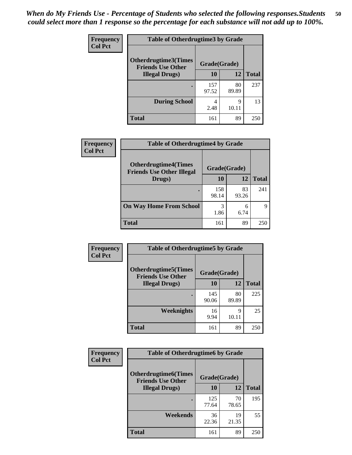| <b>Frequency</b> | <b>Table of Otherdrugtime3 by Grade</b>          |              |             |              |  |  |
|------------------|--------------------------------------------------|--------------|-------------|--------------|--|--|
| <b>Col Pct</b>   | Otherdrugtime3(Times<br><b>Friends Use Other</b> | Grade(Grade) |             |              |  |  |
|                  | <b>Illegal Drugs</b> )                           | 10           | 12          | <b>Total</b> |  |  |
|                  |                                                  | 157<br>97.52 | 80<br>89.89 | 237          |  |  |
|                  | <b>During School</b>                             | 4<br>2.48    | 9<br>10.11  | 13           |  |  |
|                  | Total                                            | 161          | 89          | 250          |  |  |

| Frequency      | <b>Table of Otherdrugtime4 by Grade</b>                         |              |             |              |  |  |
|----------------|-----------------------------------------------------------------|--------------|-------------|--------------|--|--|
| <b>Col Pct</b> | <b>Otherdrugtime4(Times</b><br><b>Friends Use Other Illegal</b> | Grade(Grade) |             |              |  |  |
|                | Drugs)                                                          | 10           | 12          | <b>Total</b> |  |  |
|                | ٠                                                               | 158<br>98.14 | 83<br>93.26 | 241          |  |  |
|                | <b>On Way Home From School</b>                                  | 3<br>1.86    | 6<br>6.74   | Q            |  |  |
|                | <b>Total</b>                                                    | 161          | 89          | 250          |  |  |

| <b>Frequency</b> | <b>Table of Otherdrugtime5 by Grade</b>                  |              |             |              |  |  |
|------------------|----------------------------------------------------------|--------------|-------------|--------------|--|--|
| <b>Col Pct</b>   | <b>Otherdrugtime5</b> (Times<br><b>Friends Use Other</b> | Grade(Grade) |             |              |  |  |
|                  | <b>Illegal Drugs</b> )                                   | 10           | 12          | <b>Total</b> |  |  |
|                  |                                                          | 145<br>90.06 | 80<br>89.89 | 225          |  |  |
|                  | Weeknights                                               | 16<br>9.94   | Q<br>10.11  | 25           |  |  |
|                  | Total                                                    | 161          | 89          | 250          |  |  |

| <b>Frequency</b> | <b>Table of Otherdrugtime6 by Grade</b>                                 |              |             |              |  |  |
|------------------|-------------------------------------------------------------------------|--------------|-------------|--------------|--|--|
| <b>Col Pct</b>   | <b>Otherdrugtime6(Times</b><br>Grade(Grade)<br><b>Friends Use Other</b> |              |             |              |  |  |
|                  | <b>Illegal Drugs</b> )                                                  | 10           | 12          | <b>Total</b> |  |  |
|                  |                                                                         | 125<br>77.64 | 70<br>78.65 | 195          |  |  |
|                  | Weekends                                                                | 36<br>22.36  | 19<br>21.35 | 55           |  |  |
|                  | Total                                                                   | 161          | 89          | 250          |  |  |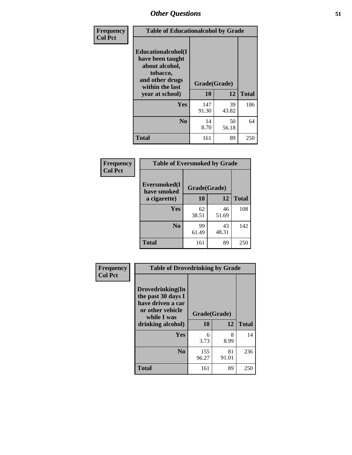| Frequency      | <b>Table of Educationalcohol by Grade</b>                                                                  |              |             |              |  |  |
|----------------|------------------------------------------------------------------------------------------------------------|--------------|-------------|--------------|--|--|
| <b>Col Pct</b> | Educationalcohol(I<br>have been taught<br>about alcohol,<br>tobacco,<br>and other drugs<br>within the last | Grade(Grade) |             |              |  |  |
|                | year at school)                                                                                            | 10           | 12          | <b>Total</b> |  |  |
|                | Yes                                                                                                        | 147<br>91.30 | 39<br>43.82 | 186          |  |  |
|                | N <sub>0</sub>                                                                                             | 14<br>8.70   | 50<br>56.18 | 64           |  |  |
|                | <b>Total</b>                                                                                               | 161          | 89          | 250          |  |  |

| Frequency      | <b>Table of Eversmoked by Grade</b> |              |             |              |  |  |  |
|----------------|-------------------------------------|--------------|-------------|--------------|--|--|--|
| <b>Col Pct</b> | Eversmoked(I<br>have smoked         | Grade(Grade) |             |              |  |  |  |
|                | a cigarette)                        | 10           | 12          | <b>Total</b> |  |  |  |
|                | Yes                                 | 62<br>38.51  | 46<br>51.69 | 108          |  |  |  |
|                | N <sub>0</sub>                      | 99<br>61.49  | 43<br>48.31 | 142          |  |  |  |
|                | <b>Total</b>                        | 161          | 89          | 250          |  |  |  |

| Frequency      | <b>Table of Drovedrinking by Grade</b>                                                                              |              |                    |     |  |  |
|----------------|---------------------------------------------------------------------------------------------------------------------|--------------|--------------------|-----|--|--|
| <b>Col Pct</b> | Drovedrinking(In<br>the past 30 days I<br>have driven a car<br>or other vehicle<br>while I was<br>drinking alcohol) | 10           | Grade(Grade)<br>12 |     |  |  |
|                | <b>Yes</b>                                                                                                          | 6<br>3.73    | 8<br>8.99          | 14  |  |  |
|                | N <sub>0</sub>                                                                                                      | 155<br>96.27 | 81<br>91.01        | 236 |  |  |
|                | <b>Total</b>                                                                                                        | 161          | 89                 | 250 |  |  |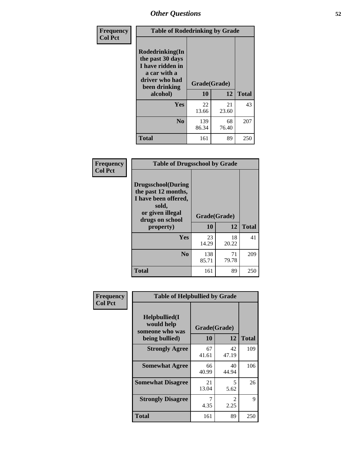| Frequency      | <b>Table of Rodedrinking by Grade</b>                                                                      |              |             |              |  |  |  |
|----------------|------------------------------------------------------------------------------------------------------------|--------------|-------------|--------------|--|--|--|
| <b>Col Pct</b> | Rodedrinking(In<br>the past 30 days<br>I have ridden in<br>a car with a<br>driver who had<br>been drinking | Grade(Grade) |             |              |  |  |  |
|                | alcohol)                                                                                                   | 10           | 12          | <b>Total</b> |  |  |  |
|                | <b>Yes</b>                                                                                                 | 22<br>13.66  | 21<br>23.60 | 43           |  |  |  |
|                | N <sub>0</sub>                                                                                             | 139<br>86.34 | 68<br>76.40 | 207          |  |  |  |
|                | <b>Total</b>                                                                                               | 161          | 89          | 250          |  |  |  |

#### **Frequency Col Pct**

| <b>Table of Drugsschool by Grade</b>                                                                                      |              |             |              |  |  |  |
|---------------------------------------------------------------------------------------------------------------------------|--------------|-------------|--------------|--|--|--|
| <b>Drugsschool</b> (During<br>the past 12 months,<br>I have been offered,<br>sold,<br>or given illegal<br>drugs on school | Grade(Grade) |             |              |  |  |  |
| property)                                                                                                                 | 10           | 12          | <b>Total</b> |  |  |  |
| Yes                                                                                                                       | 23<br>14.29  | 18<br>20.22 | 41           |  |  |  |
| N <sub>0</sub>                                                                                                            | 138<br>85.71 | 71<br>79.78 | 209          |  |  |  |
| <b>Total</b>                                                                                                              | 161          | 89          | 250          |  |  |  |

| Frequency      | <b>Table of Helpbullied by Grade</b>                                   |                          |             |              |  |  |  |
|----------------|------------------------------------------------------------------------|--------------------------|-------------|--------------|--|--|--|
| <b>Col Pct</b> | $Helpb$ ullied $(I$<br>would help<br>someone who was<br>being bullied) | Grade(Grade)<br>10<br>12 |             | <b>Total</b> |  |  |  |
|                |                                                                        |                          |             |              |  |  |  |
|                | <b>Strongly Agree</b>                                                  | 67<br>41.61              | 42<br>47.19 | 109          |  |  |  |
|                | <b>Somewhat Agree</b>                                                  | 66<br>40.99              | 40<br>44.94 | 106          |  |  |  |
|                | <b>Somewhat Disagree</b>                                               | 21<br>13.04              | 5<br>5.62   | 26           |  |  |  |
|                | <b>Strongly Disagree</b>                                               | 4.35                     | 2<br>2.25   | 9            |  |  |  |
|                | <b>Total</b>                                                           | 161                      | 89          | 250          |  |  |  |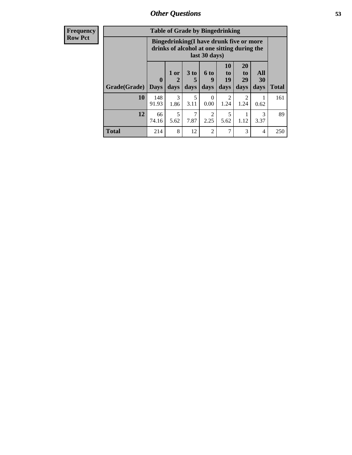| <b>Frequency</b><br><b>Row Pct</b> |              | <b>Table of Grade by Bingedrinking</b><br>Bingedrinking(I have drunk five or more<br>drinks of alcohol at one sitting during the<br>last 30 days) |                     |                              |                              |                                                                            |                               |                   |              |
|------------------------------------|--------------|---------------------------------------------------------------------------------------------------------------------------------------------------|---------------------|------------------------------|------------------------------|----------------------------------------------------------------------------|-------------------------------|-------------------|--------------|
|                                    | Grade(Grade) | $\boldsymbol{0}$<br>  Days                                                                                                                        | $1$ or<br>2<br>days | 3 <sub>to</sub><br>5<br>days | 6 <sup>to</sup><br>9<br>days | <b>10</b><br>$\mathbf{t}$ <sup><math>\mathbf{0}</math></sup><br>19<br>days | <b>20</b><br>to<br>29<br>days | All<br>30<br>days | <b>Total</b> |
|                                    | 10           | 148<br>91.93                                                                                                                                      | 3<br>1.86           | 5<br>3.11                    | $\Omega$<br>0.00             | $\overline{2}$<br>1.24                                                     | $\overline{c}$<br>1.24        | 0.62              | 161          |
|                                    | 12           | 66<br>74.16                                                                                                                                       | 5<br>5.62           | 7<br>7.87                    | $\mathfrak{D}$<br>2.25       | 5<br>5.62                                                                  | 1.12                          | 3<br>3.37         | 89           |
|                                    | <b>Total</b> | 214                                                                                                                                               | 8                   | 12                           | $\overline{2}$               | 7                                                                          | 3                             | $\overline{4}$    | 250          |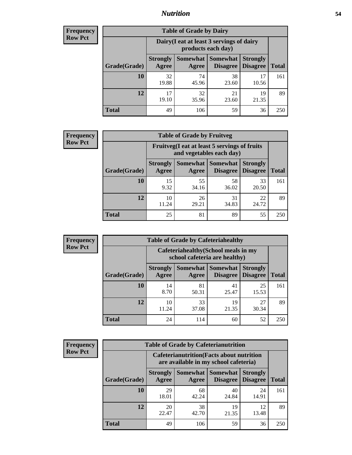### *Nutrition* **54**

| <b>Frequency</b> |
|------------------|
| Row Pct          |

| <b>Table of Grade by Dairy</b> |                          |                                                                 |                                    |                                    |              |  |
|--------------------------------|--------------------------|-----------------------------------------------------------------|------------------------------------|------------------------------------|--------------|--|
|                                |                          | Dairy (I eat at least 3 servings of dairy<br>products each day) |                                    |                                    |              |  |
| Grade(Grade)                   | <b>Strongly</b><br>Agree | Somewhat  <br>Agree                                             | <b>Somewhat</b><br><b>Disagree</b> | <b>Strongly</b><br><b>Disagree</b> | <b>Total</b> |  |
| 10                             | 32<br>19.88              | 74<br>45.96                                                     | 38<br>23.60                        | 17<br>10.56                        | 161          |  |
| 12                             | 17<br>19.10              | 32<br>35.96                                                     | 21<br>23.60                        | 19<br>21.35                        | 89           |  |
| <b>Total</b>                   | 49                       | 106                                                             | 59                                 | 36                                 | 250          |  |

| <b>Frequency</b> |
|------------------|
| <b>Row Pct</b>   |

| y | <b>Table of Grade by Fruitveg</b>                                        |                          |             |                                        |                                    |              |
|---|--------------------------------------------------------------------------|--------------------------|-------------|----------------------------------------|------------------------------------|--------------|
|   | Fruitveg(I eat at least 5 servings of fruits<br>and vegetables each day) |                          |             |                                        |                                    |              |
|   | Grade(Grade)                                                             | <b>Strongly</b><br>Agree | Agree       | Somewhat   Somewhat<br><b>Disagree</b> | <b>Strongly</b><br><b>Disagree</b> | <b>Total</b> |
|   | 10                                                                       | 15<br>9.32               | 55<br>34.16 | 58<br>36.02                            | 33<br>20.50                        | 161          |
|   | 12                                                                       | 10<br>11.24              | 26<br>29.21 | 31<br>34.83                            | 22<br>24.72                        | 89           |
|   | <b>Total</b>                                                             | 25                       | 81          | 89                                     | 55                                 | 250          |

| Frequency      | <b>Table of Grade by Cafeteriahealthy</b> |                                                                       |             |                                   |                                    |              |
|----------------|-------------------------------------------|-----------------------------------------------------------------------|-------------|-----------------------------------|------------------------------------|--------------|
| <b>Row Pct</b> |                                           | Cafeteriahealthy (School meals in my<br>school cafeteria are healthy) |             |                                   |                                    |              |
|                | Grade(Grade)                              | <b>Strongly</b><br>Agree                                              | Agree       | Somewhat   Somewhat  <br>Disagree | <b>Strongly</b><br><b>Disagree</b> | <b>Total</b> |
|                | 10                                        | 14<br>8.70                                                            | 81<br>50.31 | 41<br>25.47                       | 25<br>15.53                        | 161          |
|                | 12                                        | 10<br>11.24                                                           | 33<br>37.08 | 19<br>21.35                       | 27<br>30.34                        | 89           |
|                | <b>Total</b>                              | 24                                                                    | 114         | 60                                | 52                                 | 250          |

| <b>Frequency</b> |
|------------------|
| <b>Row Pct</b>   |

| <b>Table of Grade by Cafeterianutrition</b> |                                                                                           |             |                                   |                                    |              |  |
|---------------------------------------------|-------------------------------------------------------------------------------------------|-------------|-----------------------------------|------------------------------------|--------------|--|
|                                             | <b>Cafeterianutrition</b> (Facts about nutrition<br>are available in my school cafeteria) |             |                                   |                                    |              |  |
| Grade(Grade)                                | <b>Strongly</b><br>Agree                                                                  | Agree       | Somewhat   Somewhat  <br>Disagree | <b>Strongly</b><br><b>Disagree</b> | <b>Total</b> |  |
| 10                                          | 29<br>18.01                                                                               | 68<br>42.24 | 40<br>24.84                       | 24<br>14.91                        | 161          |  |
| 12                                          | 20<br>22.47                                                                               | 38<br>42.70 | 19<br>21.35                       | 12<br>13.48                        | 89           |  |
| <b>Total</b>                                | 49                                                                                        | 106         | 59                                | 36                                 | 250          |  |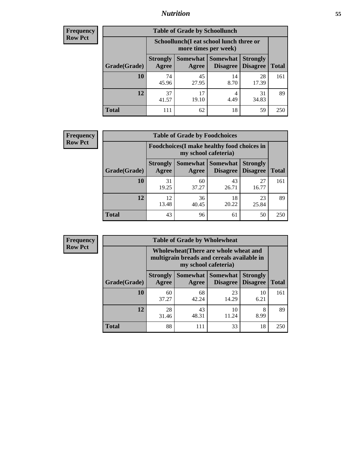## *Nutrition* **55**

| Frequency |
|-----------|
| Row Pct   |

| <b>Table of Grade by Schoollunch</b> |                          |                                                                 |                                 |                                    |              |  |
|--------------------------------------|--------------------------|-----------------------------------------------------------------|---------------------------------|------------------------------------|--------------|--|
|                                      |                          | Schoollunch(I eat school lunch three or<br>more times per week) |                                 |                                    |              |  |
| Grade(Grade)                         | <b>Strongly</b><br>Agree | Agree                                                           | Somewhat   Somewhat<br>Disagree | <b>Strongly</b><br><b>Disagree</b> | <b>Total</b> |  |
| 10                                   | 74<br>45.96              | 45<br>27.95                                                     | 14<br>8.70                      | 28<br>17.39                        | 161          |  |
| 12                                   | 37<br>41.57              | 17<br>19.10                                                     | 4<br>4.49                       | 31<br>34.83                        | 89           |  |
| <b>Total</b>                         | 111                      | 62                                                              | 18                              | 59                                 | 250          |  |

| <b>Frequency</b> |  |
|------------------|--|
| <b>Row Pct</b>   |  |

| <b>Table of Grade by Foodchoices</b>                                |                          |             |                                        |                                    |              |
|---------------------------------------------------------------------|--------------------------|-------------|----------------------------------------|------------------------------------|--------------|
| Foodchoices (I make healthy food choices in<br>my school cafeteria) |                          |             |                                        |                                    |              |
| Grade(Grade)                                                        | <b>Strongly</b><br>Agree | Agree       | <b>Somewhat   Somewhat</b><br>Disagree | <b>Strongly</b><br><b>Disagree</b> | <b>Total</b> |
| 10                                                                  | 31<br>19.25              | 60<br>37.27 | 43<br>26.71                            | 27<br>16.77                        | 161          |
| 12                                                                  | 12<br>13.48              | 36<br>40.45 | 18<br>20.22                            | 23<br>25.84                        | 89           |
| <b>Total</b>                                                        | 43                       | 96          | 61                                     | 50                                 | 250          |

| Frequency      | <b>Table of Grade by Wholewheat</b> |                          |             |                                                                                                             |                                    |              |  |
|----------------|-------------------------------------|--------------------------|-------------|-------------------------------------------------------------------------------------------------------------|------------------------------------|--------------|--|
| <b>Row Pct</b> |                                     |                          |             | Wholewheat (There are whole wheat and<br>multigrain breads and cereals available in<br>my school cafeteria) |                                    |              |  |
|                | Grade(Grade)                        | <b>Strongly</b><br>Agree | Agree       | Somewhat Somewhat<br><b>Disagree</b>                                                                        | <b>Strongly</b><br><b>Disagree</b> | <b>Total</b> |  |
|                | 10                                  | 60<br>37.27              | 68<br>42.24 | 23<br>14.29                                                                                                 | 10<br>6.21                         | 161          |  |
|                | 12                                  | 28<br>31.46              | 43<br>48.31 | 10<br>11.24                                                                                                 | 8<br>8.99                          | 89           |  |
|                | <b>Total</b>                        | 88                       | 111         | 33                                                                                                          | 18                                 | 250          |  |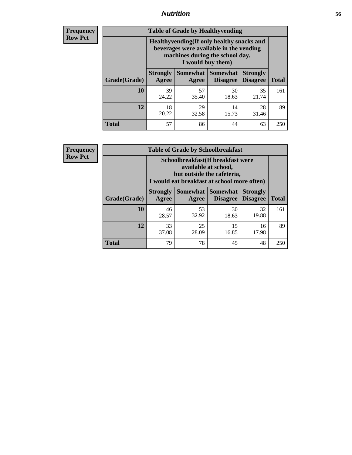### *Nutrition* **56**

**Frequency Row Pct**

| <b>Table of Grade by Healthyvending</b> |                                                                                                                                               |             |                                        |                                    |              |  |
|-----------------------------------------|-----------------------------------------------------------------------------------------------------------------------------------------------|-------------|----------------------------------------|------------------------------------|--------------|--|
|                                         | Healthyvending (If only healthy snacks and<br>beverages were available in the vending<br>machines during the school day,<br>I would buy them) |             |                                        |                                    |              |  |
| Grade(Grade)                            | <b>Strongly</b><br>Agree                                                                                                                      | Agree       | Somewhat   Somewhat<br><b>Disagree</b> | <b>Strongly</b><br><b>Disagree</b> | <b>Total</b> |  |
| 10                                      | 39<br>24.22                                                                                                                                   | 57<br>35.40 | 30<br>18.63                            | 35<br>21.74                        | 161          |  |
| 12                                      | 18<br>20.22                                                                                                                                   | 29<br>32.58 | 14<br>15.73                            | 28<br>31.46                        | 89           |  |
| <b>Total</b>                            | 57                                                                                                                                            | 86          | 44                                     | 63                                 | 250          |  |

**Frequency Row Pct**

| <b>Table of Grade by Schoolbreakfast</b> |                                                                                                                                         |             |                                        |                                    |              |  |  |
|------------------------------------------|-----------------------------------------------------------------------------------------------------------------------------------------|-------------|----------------------------------------|------------------------------------|--------------|--|--|
|                                          | Schoolbreakfast (If breakfast were<br>available at school,<br>but outside the cafeteria,<br>I would eat breakfast at school more often) |             |                                        |                                    |              |  |  |
| Grade(Grade)                             | <b>Strongly</b><br>Agree                                                                                                                | Agree       | Somewhat   Somewhat<br><b>Disagree</b> | <b>Strongly</b><br><b>Disagree</b> | <b>Total</b> |  |  |
| <b>10</b>                                | 46<br>28.57                                                                                                                             | 53<br>32.92 | 30<br>18.63                            | 32<br>19.88                        | 161          |  |  |
| 12                                       | 33<br>37.08                                                                                                                             | 25<br>28.09 | 15<br>16.85                            | 16<br>17.98                        | 89           |  |  |
| <b>Total</b>                             | 79                                                                                                                                      | 78          | 45                                     | 48                                 | 250          |  |  |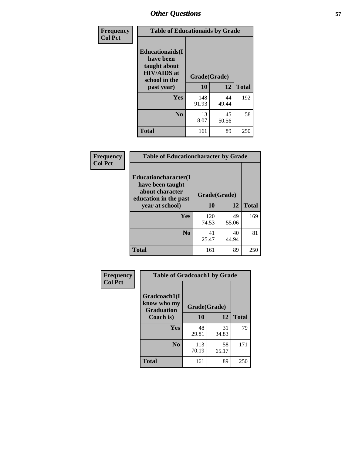| Frequency<br><b>Col Pct</b> | <b>Table of Educationaids by Grade</b>                                                                    |                    |             |              |
|-----------------------------|-----------------------------------------------------------------------------------------------------------|--------------------|-------------|--------------|
|                             | <b>Educationaids</b> (I<br>have been<br>taught about<br><b>HIV/AIDS</b> at<br>school in the<br>past year) | Grade(Grade)<br>10 | 12          | <b>Total</b> |
|                             | <b>Yes</b>                                                                                                | 148<br>91.93       | 44<br>49.44 | 192          |
|                             | N <sub>0</sub>                                                                                            | 13<br>8.07         | 45<br>50.56 | 58           |
|                             | <b>Total</b>                                                                                              | 161                | 89          | 250          |

| Frequency<br><b>Col Pct</b> | <b>Table of Educationcharacter by Grade</b> |              |             |              |
|-----------------------------|---------------------------------------------|--------------|-------------|--------------|
|                             | Educationcharacter(I<br>have been taught    |              |             |              |
|                             | about character<br>education in the past    | Grade(Grade) |             |              |
|                             | year at school)                             | <b>10</b>    | 12          | <b>Total</b> |
|                             | Yes                                         | 120<br>74.53 | 49<br>55.06 | 169          |
|                             | N <sub>0</sub>                              | 41<br>25.47  | 40<br>44.94 | 81           |
|                             | <b>Total</b>                                | 161          | 89          | 250          |

| Frequency      | <b>Table of Gradcoach1 by Grade</b> |              |             |              |
|----------------|-------------------------------------|--------------|-------------|--------------|
| <b>Col Pct</b> | Gradcoach1(I<br>know who my         | Grade(Grade) |             |              |
|                | <b>Graduation</b><br>Coach is)      | 10           | 12          | <b>Total</b> |
|                | Yes                                 | 48<br>29.81  | 31<br>34.83 | 79           |
|                | N <sub>0</sub>                      | 113<br>70.19 | 58<br>65.17 | 171          |
|                | <b>Total</b>                        | 161          | 89          | 250          |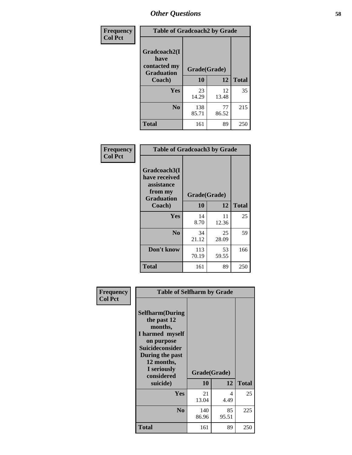| Frequency      | <b>Table of Gradcoach2 by Grade</b> |              |             |              |
|----------------|-------------------------------------|--------------|-------------|--------------|
| <b>Col Pct</b> |                                     |              |             |              |
|                | Gradcoach2(I<br>have                |              |             |              |
|                | contacted my<br><b>Graduation</b>   | Grade(Grade) |             |              |
|                | Coach)                              | 10           | 12          | <b>Total</b> |
|                | Yes                                 | 23<br>14.29  | 12<br>13.48 | 35           |
|                | N <sub>0</sub>                      | 138<br>85.71 | 77<br>86.52 | 215          |
|                | <b>Total</b>                        | 161          | 89          | 250          |

| <b>Frequency</b><br><b>Col Pct</b> | <b>Table of Gradcoach3 by Grade</b>                                         |              |             |              |
|------------------------------------|-----------------------------------------------------------------------------|--------------|-------------|--------------|
|                                    | Gradcoach3(I<br>have received<br>assistance<br>from my<br><b>Graduation</b> | Grade(Grade) |             |              |
|                                    | Coach)                                                                      | 10           | 12          | <b>Total</b> |
|                                    | Yes                                                                         | 14<br>8.70   | 11<br>12.36 | 25           |
|                                    | N <sub>0</sub>                                                              | 34<br>21.12  | 25<br>28.09 | 59           |
|                                    | Don't know                                                                  | 113<br>70.19 | 53<br>59.55 | 166          |
|                                    | <b>Total</b>                                                                | 161          | 89          | 250          |

| Frequency      | <b>Table of Selfharm by Grade</b>                                                                                                                                                      |                    |             |              |
|----------------|----------------------------------------------------------------------------------------------------------------------------------------------------------------------------------------|--------------------|-------------|--------------|
| <b>Col Pct</b> | <b>Selfharm</b> (During<br>the past 12<br>months,<br>I harmed myself<br>on purpose<br><b>Suicideconsider</b><br>During the past<br>12 months,<br>I seriously<br>considered<br>suicide) | Grade(Grade)<br>10 | 12          | <b>Total</b> |
|                | Yes                                                                                                                                                                                    | 21<br>13.04        | 4<br>4.49   | 25           |
|                | N <sub>0</sub>                                                                                                                                                                         | 140<br>86.96       | 85<br>95.51 | 225          |
|                | <b>Total</b>                                                                                                                                                                           | 161                | 89          | 250          |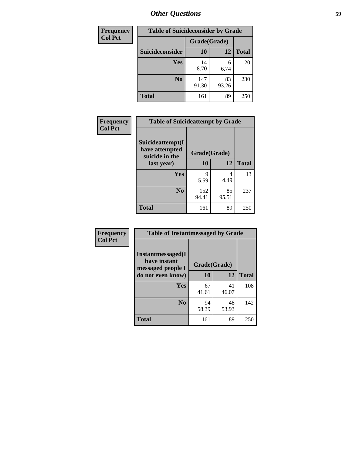| <b>Frequency</b> | <b>Table of Suicideconsider by Grade</b> |              |             |              |
|------------------|------------------------------------------|--------------|-------------|--------------|
| <b>Col Pct</b>   |                                          | Grade(Grade) |             |              |
|                  | Suicideconsider                          | <b>10</b>    | 12          | <b>Total</b> |
|                  | Yes                                      | 14<br>8.70   | 6<br>6.74   | 20           |
|                  | N <sub>0</sub>                           | 147<br>91.30 | 83<br>93.26 | 230          |
|                  | <b>Total</b>                             | 161          | 89          | 250          |

| Frequency<br><b>Col Pct</b> | <b>Table of Suicideattempt by Grade</b>              |              |             |              |
|-----------------------------|------------------------------------------------------|--------------|-------------|--------------|
|                             | Suicideattempt(I<br>have attempted<br>suicide in the | Grade(Grade) |             |              |
|                             | last year)                                           | 10           | 12          | <b>Total</b> |
|                             | Yes                                                  | 9<br>5.59    | 4<br>4.49   | 13           |
|                             | N <sub>0</sub>                                       | 152<br>94.41 | 85<br>95.51 | 237          |
|                             | <b>Total</b>                                         | 161          | 89          | 250          |

| Frequency      | <b>Table of Instantmessaged by Grade</b>               |              |             |              |
|----------------|--------------------------------------------------------|--------------|-------------|--------------|
| <b>Col Pct</b> | Instantmessaged(I<br>have instant<br>messaged people I | Grade(Grade) |             |              |
|                | do not even know)                                      | 10           | 12          | <b>Total</b> |
|                | Yes                                                    | 67<br>41.61  | 41<br>46.07 | 108          |
|                | N <sub>0</sub>                                         | 94<br>58.39  | 48<br>53.93 | 142          |
|                | <b>Total</b>                                           | 161          | 89          | 250          |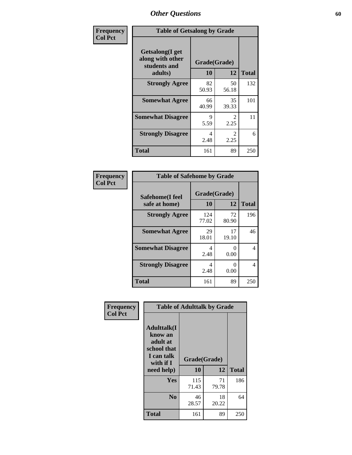| Frequency      | <b>Table of Getsalong by Grade</b>                                     |                    |                        |              |
|----------------|------------------------------------------------------------------------|--------------------|------------------------|--------------|
| <b>Col Pct</b> | <b>Getsalong</b> (I get<br>along with other<br>students and<br>adults) | Grade(Grade)<br>10 | 12                     | <b>Total</b> |
|                | <b>Strongly Agree</b>                                                  | 82<br>50.93        | 50<br>56.18            | 132          |
|                | <b>Somewhat Agree</b>                                                  | 66<br>40.99        | 35<br>39.33            | 101          |
|                | <b>Somewhat Disagree</b>                                               | 9<br>5.59          | $\mathfrak{D}$<br>2.25 | 11           |
|                | <b>Strongly Disagree</b>                                               | 4<br>2.48          | $\mathfrak{D}$<br>2.25 | 6            |
|                | <b>Total</b>                                                           | 161                | 89                     | 250          |

| Frequency<br><b>Col Pct</b> | <b>Table of Safehome by Grade</b> |                    |             |              |  |  |  |  |
|-----------------------------|-----------------------------------|--------------------|-------------|--------------|--|--|--|--|
|                             | Safehome(I feel<br>safe at home)  | Grade(Grade)<br>10 | 12          | <b>Total</b> |  |  |  |  |
|                             | <b>Strongly Agree</b>             | 124<br>77.02       | 72<br>80.90 | 196          |  |  |  |  |
|                             | <b>Somewhat Agree</b>             | 29<br>18.01        | 17<br>19.10 | 46           |  |  |  |  |
|                             | <b>Somewhat Disagree</b>          | 4<br>2.48          | 0<br>0.00   | 4            |  |  |  |  |
|                             | <b>Strongly Disagree</b>          | 4<br>2.48          | 0<br>0.00   | 4            |  |  |  |  |
|                             | <b>Total</b>                      | 161                | 89          | 250          |  |  |  |  |

| Frequency<br><b>Col Pct</b> | <b>Table of Adulttalk by Grade</b>                                                                 |                    |             |              |  |  |  |
|-----------------------------|----------------------------------------------------------------------------------------------------|--------------------|-------------|--------------|--|--|--|
|                             | <b>Adulttalk</b> (I<br>know an<br>adult at<br>school that<br>I can talk<br>with if I<br>need help) | Grade(Grade)<br>10 | 12          | <b>Total</b> |  |  |  |
|                             | Yes                                                                                                | 115<br>71.43       | 71<br>79.78 | 186          |  |  |  |
|                             | N <sub>0</sub>                                                                                     | 46<br>28.57        | 18<br>20.22 | 64           |  |  |  |
|                             | <b>Total</b>                                                                                       | 161                | 89          | 250          |  |  |  |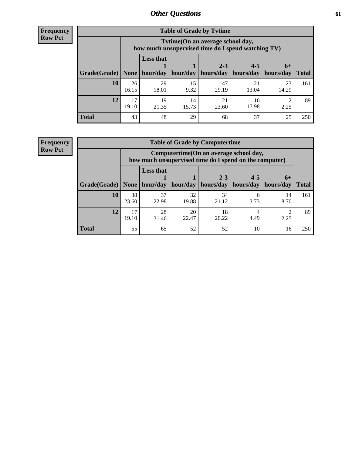**Frequency Row Pct**

| <b>Table of Grade by Tytime</b> |             |                                                                                         |             |             |             |             |              |  |  |
|---------------------------------|-------------|-----------------------------------------------------------------------------------------|-------------|-------------|-------------|-------------|--------------|--|--|
|                                 |             | Tytime (On an average school day,<br>how much unsupervised time do I spend watching TV) |             |             |             |             |              |  |  |
|                                 |             | <b>Less that</b><br>$2 - 3$<br>$4 - 5$<br>$6+$                                          |             |             |             |             |              |  |  |
| Grade(Grade)                    | None        | hour/day                                                                                | hour/day    | hours/day   | hours/day   | hours/day   | <b>Total</b> |  |  |
| 10                              | 26<br>16.15 | 29<br>18.01                                                                             | 15<br>9.32  | 47<br>29.19 | 21<br>13.04 | 23<br>14.29 | 161          |  |  |
| 12                              | 17<br>19.10 | 19<br>21.35                                                                             | 14<br>15.73 | 21<br>23.60 | 16<br>17.98 | 2.25        | 89           |  |  |
| <b>Total</b>                    | 43          | 48                                                                                      | 29          | 68          | 37          | 25          | 250          |  |  |

**Frequency Row Pct**

| <b>Table of Grade by Computertime</b> |             |                                                                                                   |                     |             |           |            |              |  |  |
|---------------------------------------|-------------|---------------------------------------------------------------------------------------------------|---------------------|-------------|-----------|------------|--------------|--|--|
|                                       |             | Computertime (On an average school day,<br>how much unsupervised time do I spend on the computer) |                     |             |           |            |              |  |  |
|                                       |             | <b>Less that</b>                                                                                  |                     | $2 - 3$     | $4 - 5$   | $6+$       |              |  |  |
| Grade(Grade)                          | None $ $    |                                                                                                   | hour/day   hour/day | hours/day   | hours/day | hours/day  | <b>Total</b> |  |  |
| 10                                    | 38<br>23.60 | 37<br>22.98                                                                                       | 32<br>19.88         | 34<br>21.12 | 6<br>3.73 | 14<br>8.70 | 161          |  |  |
| 12                                    | 17<br>19.10 | 28<br>31.46                                                                                       | 20<br>22.47         | 18<br>20.22 | 4.49      | 2.25       | 89           |  |  |
| <b>Total</b>                          | 55          | 65                                                                                                | 52                  | 52          | 10        | 16         | 250          |  |  |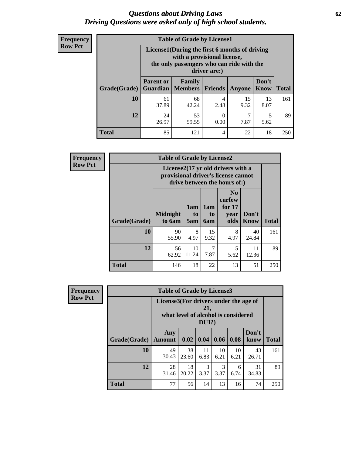#### *Questions about Driving Laws* **62** *Driving Questions were asked only of high school students.*

| <b>Frequency</b> |
|------------------|
| <b>Row Pct</b>   |

| <b>Table of Grade by License1</b> |                              |                                                                                                                                           |                |            |               |              |  |  |  |
|-----------------------------------|------------------------------|-------------------------------------------------------------------------------------------------------------------------------------------|----------------|------------|---------------|--------------|--|--|--|
|                                   |                              | License1(During the first 6 months of driving<br>with a provisional license,<br>the only passengers who can ride with the<br>driver are:) |                |            |               |              |  |  |  |
| Grade(Grade)                      | <b>Parent or</b><br>Guardian | Family<br>  Members                                                                                                                       | <b>Friends</b> | Anyone     | Don't<br>Know | <b>Total</b> |  |  |  |
| 10                                | 61<br>37.89                  | 68<br>42.24                                                                                                                               | 4<br>2.48      | 15<br>9.32 | 13<br>8.07    | 161          |  |  |  |
| 12                                | 24<br>26.97                  | 53<br>59.55                                                                                                                               | 0.00           | 7<br>7.87  | 5<br>5.62     | 89           |  |  |  |
| <b>Total</b>                      | 85                           | 121                                                                                                                                       | 4              | 22         | 18            | 250          |  |  |  |

| <b>Frequency</b> |              | <b>Table of Grade by License2</b> |                  |                  |                                                                                                          |               |              |  |  |  |
|------------------|--------------|-----------------------------------|------------------|------------------|----------------------------------------------------------------------------------------------------------|---------------|--------------|--|--|--|
| <b>Row Pct</b>   |              |                                   |                  |                  | License2(17 yr old drivers with a<br>provisional driver's license cannot<br>drive between the hours of:) |               |              |  |  |  |
|                  | Grade(Grade) | <b>Midnight</b><br>to 6am         | 1am<br>to<br>5am | 1am<br>to<br>6am | N <sub>0</sub><br>curfew<br>for $17$<br>year<br>olds                                                     | Don't<br>Know | <b>Total</b> |  |  |  |
|                  | 10           | 90<br>55.90                       | 8<br>4.97        | 15<br>9.32       | 8<br>4.97                                                                                                | 40<br>24.84   | 161          |  |  |  |
|                  | 12           | 56<br>62.92                       | 10<br>11.24      | 7<br>7.87        | 5<br>5.62                                                                                                | 11<br>12.36   | 89           |  |  |  |
|                  | <b>Total</b> | 146                               | 18               | 22               | 13                                                                                                       | 51            | 250          |  |  |  |

| Frequency      |              | <b>Table of Grade by License3</b>     |                                     |              |            |            |               |              |
|----------------|--------------|---------------------------------------|-------------------------------------|--------------|------------|------------|---------------|--------------|
| <b>Row Pct</b> |              | License3(For drivers under the age of | what level of alcohol is considered | 21,<br>DUI?) |            |            |               |              |
|                | Grade(Grade) | Any<br>Amount                         | 0.02                                | 0.04         | 0.06       | 0.08       | Don't<br>know | <b>Total</b> |
|                | 10           | 49<br>30.43                           | 38<br>23.60                         | 11<br>6.83   | 10<br>6.21 | 10<br>6.21 | 43<br>26.71   | 161          |
|                | 12           | 28<br>31.46                           | 18<br>20.22                         | 3<br>3.37    | 3<br>3.37  | 6<br>6.74  | 31<br>34.83   | 89           |
|                | <b>Total</b> | 77                                    | 56                                  | 14           | 13         | 16         | 74            | 250          |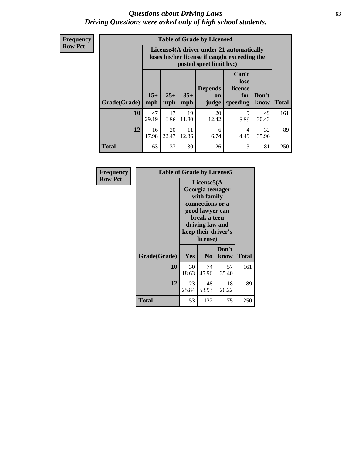#### *Questions about Driving Laws* **63** *Driving Questions were asked only of high school students.*

**Frequency Row Pct**

| <b>Table of Grade by License4</b> |              |                                                                                                                                                      |             |             |           |             |     |  |
|-----------------------------------|--------------|------------------------------------------------------------------------------------------------------------------------------------------------------|-------------|-------------|-----------|-------------|-----|--|
|                                   |              | License4(A driver under 21 automatically<br>loses his/her license if caught exceeding the<br>posted speet limit by:)                                 |             |             |           |             |     |  |
| Grade(Grade)                      | $15+$<br>mph | Can't<br>lose<br><b>Depends</b><br>license<br>$25+$<br>$35+$<br>Don't<br>for<br><b>on</b><br><b>Total</b><br>mph<br>speeding<br>know<br>mph<br>judge |             |             |           |             |     |  |
| 10                                | 47<br>29.19  | 17<br>10.56                                                                                                                                          | 19<br>11.80 | 20<br>12.42 | 9<br>5.59 | 49<br>30.43 | 161 |  |
| 12                                | 16<br>17.98  | 20<br>22.47                                                                                                                                          | 11<br>12.36 | 6<br>6.74   | 4<br>4.49 | 32<br>35.96 | 89  |  |
| <b>Total</b>                      | 63           | 37                                                                                                                                                   | 30          | 26          | 13        | 81          | 250 |  |

| Frequency      | <b>Table of Grade by License5</b> |             |                                                                                                                                      |                     |       |  |
|----------------|-----------------------------------|-------------|--------------------------------------------------------------------------------------------------------------------------------------|---------------------|-------|--|
| <b>Row Pct</b> |                                   |             | License5(A)<br>Georgia teenager<br>with family<br>connections or a<br>good lawyer can<br>break a teen<br>driving law and<br>license) | keep their driver's |       |  |
|                | Grade(Grade)                      | <b>Yes</b>  | N <sub>0</sub>                                                                                                                       | Don't<br>know       | Total |  |
|                | 10                                | 30<br>18.63 | 74<br>45.96                                                                                                                          | 57<br>35.40         | 161   |  |
|                | 12                                | 23<br>25.84 | 48<br>53.93                                                                                                                          | 18<br>20.22         | 89    |  |
|                | <b>Total</b>                      | 53          | 122                                                                                                                                  | 75                  | 250   |  |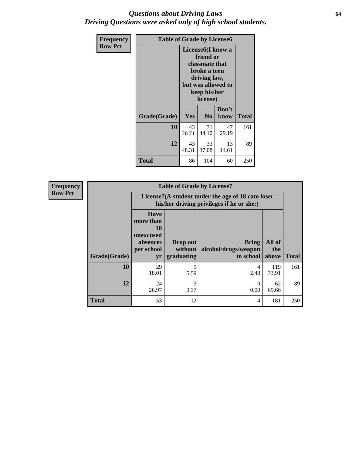#### *Questions about Driving Laws* **64** *Driving Questions were asked only of high school students.*

| <b>Frequency</b> | <b>Table of Grade by License6</b> |             |                                                                                                                           |                    |              |  |  |
|------------------|-----------------------------------|-------------|---------------------------------------------------------------------------------------------------------------------------|--------------------|--------------|--|--|
| <b>Row Pct</b>   |                                   |             | License <sub>6</sub> (I know a<br>friend or<br>classmate that<br>broke a teen<br>driving law,<br>keep his/her<br>license) | but was allowed to |              |  |  |
|                  | Grade(Grade)                      | Yes         | N <sub>0</sub>                                                                                                            | Don't<br>know      | <b>Total</b> |  |  |
|                  | 10                                | 43<br>26.71 | 71<br>44.10                                                                                                               | 47<br>29.19        | 161          |  |  |
|                  | 12                                | 43<br>48.31 | 33<br>37.08                                                                                                               | 13<br>14.61        | 89           |  |  |
|                  | <b>Total</b>                      | 86          | 104                                                                                                                       | 60                 | 250          |  |  |

| <b>Frequency</b> |              |                                                                             | <b>Table of Grade by License7</b>                                                             |                                                   |                        |              |  |  |  |
|------------------|--------------|-----------------------------------------------------------------------------|-----------------------------------------------------------------------------------------------|---------------------------------------------------|------------------------|--------------|--|--|--|
| <b>Row Pct</b>   |              |                                                                             | License7(A student under the age of 18 cam loser<br>his/her driving privileges if he or she:) |                                                   |                        |              |  |  |  |
|                  | Grade(Grade) | <b>Have</b><br>more than<br>10<br>unexcused<br>absences<br>per school<br>yr | Drop out<br>without  <br>graduating                                                           | <b>Bring</b><br>alcohol/drugs/weapon<br>to school | All of<br>the<br>above | <b>Total</b> |  |  |  |
|                  | 10           | 29<br>18.01                                                                 | 9<br>5.59                                                                                     | 4<br>2.48                                         | 119<br>73.91           | 161          |  |  |  |
|                  | 12           | 24<br>26.97                                                                 | 3<br>3.37                                                                                     | 0<br>0.00                                         | 62<br>69.66            | 89           |  |  |  |
|                  | <b>Total</b> | 53                                                                          | 12                                                                                            | 4                                                 | 181                    | 250          |  |  |  |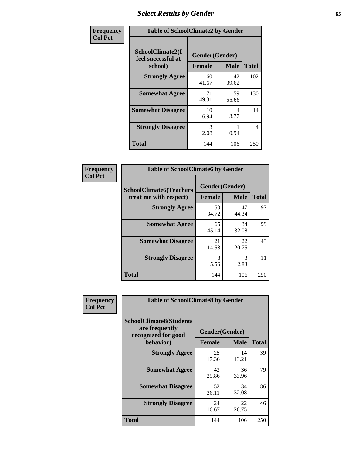# *Select Results by Gender* **65**

| Frequency      | <b>Table of SchoolClimate2 by Gender</b>          |                                 |             |              |  |
|----------------|---------------------------------------------------|---------------------------------|-------------|--------------|--|
| <b>Col Pct</b> | SchoolClimate2(I<br>feel successful at<br>school) | Gender(Gender)<br><b>Female</b> | <b>Male</b> | <b>Total</b> |  |
|                | <b>Strongly Agree</b>                             | 60<br>41.67                     | 42<br>39.62 | 102          |  |
|                | <b>Somewhat Agree</b>                             | 71<br>49.31                     | 59<br>55.66 | 130          |  |
|                | <b>Somewhat Disagree</b>                          | 10<br>6.94                      | 4<br>3.77   | 14           |  |
|                | <b>Strongly Disagree</b>                          | $\mathcal{R}$<br>2.08           | 0.94        | 4            |  |
|                | <b>Total</b>                                      | 144                             | 106         | 250          |  |

| Frequency      | <b>Table of SchoolClimate6 by Gender</b>                 |                                 |             |              |  |
|----------------|----------------------------------------------------------|---------------------------------|-------------|--------------|--|
| <b>Col Pct</b> | <b>SchoolClimate6(Teachers</b><br>treat me with respect) | Gender(Gender)<br><b>Female</b> | <b>Male</b> | <b>Total</b> |  |
|                | <b>Strongly Agree</b>                                    | 50<br>34.72                     | 47<br>44.34 | 97           |  |
|                | <b>Somewhat Agree</b>                                    | 65<br>45.14                     | 34<br>32.08 | 99           |  |
|                | <b>Somewhat Disagree</b>                                 | 21<br>14.58                     | 22<br>20.75 | 43           |  |
|                | <b>Strongly Disagree</b>                                 | 8<br>5.56                       | 3<br>2.83   | 11           |  |
|                | Total                                                    | 144                             | 106         | 250          |  |

| <b>Frequency</b> | <b>Table of SchoolClimate8 by Gender</b>                                             |               |                               |              |
|------------------|--------------------------------------------------------------------------------------|---------------|-------------------------------|--------------|
| <b>Col Pct</b>   | <b>SchoolClimate8(Students</b><br>are frequently<br>recognized for good<br>behavior) | <b>Female</b> | Gender(Gender)<br><b>Male</b> | <b>Total</b> |
|                  | <b>Strongly Agree</b>                                                                | 25<br>17.36   | 14<br>13.21                   | 39           |
|                  | <b>Somewhat Agree</b>                                                                | 43<br>29.86   | 36<br>33.96                   | 79           |
|                  | <b>Somewhat Disagree</b>                                                             | 52<br>36.11   | 34<br>32.08                   | 86           |
|                  | <b>Strongly Disagree</b>                                                             | 24<br>16.67   | 22<br>20.75                   | 46           |
|                  | Total                                                                                | 144           | 106                           | 250          |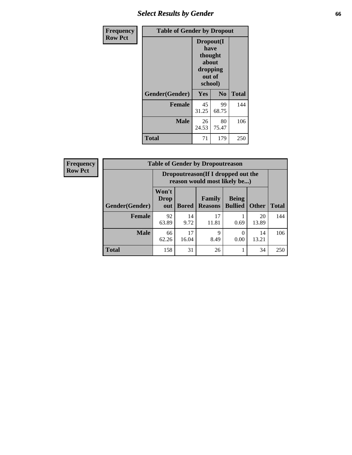## *Select Results by Gender* **66**

| Frequency      | <b>Table of Gender by Dropout</b> |                                                                        |                |              |
|----------------|-----------------------------------|------------------------------------------------------------------------|----------------|--------------|
| <b>Row Pct</b> |                                   | Dropout(I<br>have<br>thought<br>about<br>dropping<br>out of<br>school) |                |              |
|                | Gender(Gender)                    | Yes                                                                    | N <sub>0</sub> | <b>Total</b> |
|                | <b>Female</b>                     | 45<br>31.25                                                            | 99<br>68.75    | 144          |
|                | <b>Male</b>                       | 26<br>24.53                                                            | 80<br>75.47    | 106          |
|                | <b>Total</b>                      | 71                                                                     | 179            | 250          |

| <b>Frequency</b> | <b>Table of Gender by Dropoutreason</b> |                                                                    |              |                          |                                |              |              |
|------------------|-----------------------------------------|--------------------------------------------------------------------|--------------|--------------------------|--------------------------------|--------------|--------------|
| <b>Row Pct</b>   |                                         | Dropoutreason(If I dropped out the<br>reason would most likely be) |              |                          |                                |              |              |
|                  | Gender(Gender)                          | Won't<br><b>Drop</b><br>out                                        | <b>Bored</b> | Family<br><b>Reasons</b> | <b>Being</b><br><b>Bullied</b> | <b>Other</b> | <b>Total</b> |
|                  | <b>Female</b>                           | 92<br>63.89                                                        | 14<br>9.72   | 17<br>11.81              | 0.69                           | 20<br>13.89  | 144          |
|                  | <b>Male</b>                             | 66<br>62.26                                                        | 17<br>16.04  | $\mathbf Q$<br>8.49      | 0.00                           | 14<br>13.21  | 106          |
|                  | <b>Total</b>                            | 158                                                                | 31           | 26                       |                                | 34           | 250          |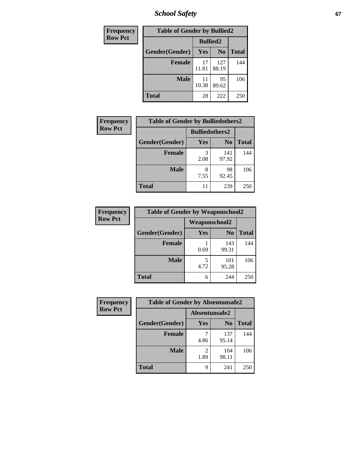*School Safety* **67**

| <b>Frequency</b> | <b>Table of Gender by Bullied2</b> |                 |                |              |
|------------------|------------------------------------|-----------------|----------------|--------------|
| <b>Row Pct</b>   |                                    | <b>Bullied2</b> |                |              |
|                  | Gender(Gender)                     | Yes             | N <sub>0</sub> | <b>Total</b> |
|                  | <b>Female</b>                      | 17<br>11.81     | 127<br>88.19   | 144          |
|                  | <b>Male</b>                        | 11<br>10.38     | 95<br>89.62    | 106          |
|                  | <b>Total</b>                       | 28              | 222            | 250          |

| <b>Frequency</b> | <b>Table of Gender by Bulliedothers2</b> |                       |                |              |
|------------------|------------------------------------------|-----------------------|----------------|--------------|
| <b>Row Pct</b>   |                                          | <b>Bulliedothers2</b> |                |              |
|                  | Gender(Gender)                           | <b>Yes</b>            | N <sub>0</sub> | <b>Total</b> |
|                  | <b>Female</b>                            | 3<br>2.08             | 141<br>97.92   | 144          |
|                  | <b>Male</b>                              | 8<br>7.55             | 98<br>92.45    | 106          |
|                  | Total                                    | 11                    | 239            | 250          |

| <b>Frequency</b> | <b>Table of Gender by Weaponschool2</b> |               |                |              |
|------------------|-----------------------------------------|---------------|----------------|--------------|
| <b>Row Pct</b>   |                                         | Weaponschool2 |                |              |
|                  | Gender(Gender)                          | Yes           | N <sub>0</sub> | <b>Total</b> |
|                  | <b>Female</b>                           | 0.69          | 143<br>99.31   | 144          |
|                  | <b>Male</b>                             | 5<br>4.72     | 101<br>95.28   | 106          |
|                  | <b>Total</b>                            | 6             | 244            | 250          |

| Frequency      | <b>Table of Gender by Absentunsafe2</b> |               |                |              |
|----------------|-----------------------------------------|---------------|----------------|--------------|
| <b>Row Pct</b> |                                         | Absentunsafe2 |                |              |
|                | Gender(Gender)                          | Yes           | N <sub>0</sub> | <b>Total</b> |
|                | <b>Female</b>                           | 4.86          | 137<br>95.14   | 144          |
|                | <b>Male</b>                             | 1.89          | 104<br>98.11   | 106          |
|                | <b>Total</b>                            | q             | 241            | 250          |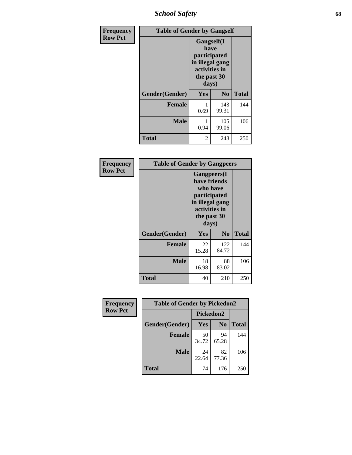*School Safety* **68**

| Frequency      | <b>Table of Gender by Gangself</b> |                                                                                                |                |              |
|----------------|------------------------------------|------------------------------------------------------------------------------------------------|----------------|--------------|
| <b>Row Pct</b> |                                    | Gangself(I<br>have<br>participated<br>in illegal gang<br>activities in<br>the past 30<br>days) |                |              |
|                | Gender(Gender)                     | Yes                                                                                            | N <sub>0</sub> | <b>Total</b> |
|                | <b>Female</b>                      | 0.69                                                                                           | 143<br>99.31   | 144          |
|                | <b>Male</b>                        | 0.94                                                                                           | 105<br>99.06   | 106          |
|                | <b>Total</b>                       | 2                                                                                              | 248            | 250          |

| Frequency      | <b>Table of Gender by Gangpeers</b> |                                                                                                                             |                |       |  |
|----------------|-------------------------------------|-----------------------------------------------------------------------------------------------------------------------------|----------------|-------|--|
| <b>Row Pct</b> |                                     | <b>Gangpeers</b> (I<br>have friends<br>who have<br>participated<br>in illegal gang<br>activities in<br>the past 30<br>days) |                |       |  |
|                | Gender(Gender)                      | Yes                                                                                                                         | N <sub>0</sub> | Total |  |
|                | <b>Female</b>                       | 22<br>15.28                                                                                                                 | 122<br>84.72   | 144   |  |
|                | <b>Male</b>                         | 18<br>16.98                                                                                                                 | 88<br>83.02    | 106   |  |
|                | <b>Total</b>                        | 40                                                                                                                          | 210            | 250   |  |

| Frequency      | <b>Table of Gender by Pickedon2</b> |             |                |              |
|----------------|-------------------------------------|-------------|----------------|--------------|
| <b>Row Pct</b> |                                     | Pickedon2   |                |              |
|                | Gender(Gender)                      | <b>Yes</b>  | N <sub>0</sub> | <b>Total</b> |
|                | <b>Female</b>                       | 50<br>34.72 | 94<br>65.28    | 144          |
|                | <b>Male</b>                         | 24<br>22.64 | 82<br>77.36    | 106          |
|                | <b>Total</b>                        | 74          | 176            | 250          |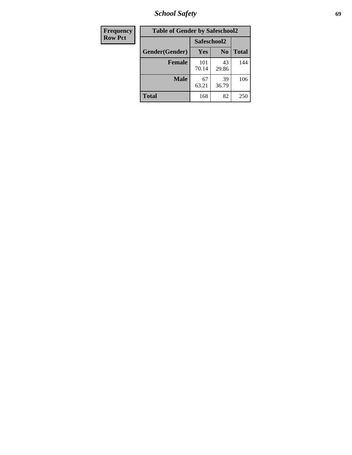*School Safety* **69**

| Frequency      | <b>Table of Gender by Safeschool2</b> |              |                |              |  |
|----------------|---------------------------------------|--------------|----------------|--------------|--|
| <b>Row Pct</b> |                                       |              | Safeschool2    |              |  |
|                | Gender(Gender)                        | <b>Yes</b>   | N <sub>0</sub> | <b>Total</b> |  |
|                | <b>Female</b>                         | 101<br>70.14 | 43<br>29.86    | 144          |  |
|                | <b>Male</b>                           | 67<br>63.21  | 39<br>36.79    | 106          |  |
|                | <b>Total</b>                          | 168          | 82             | 250          |  |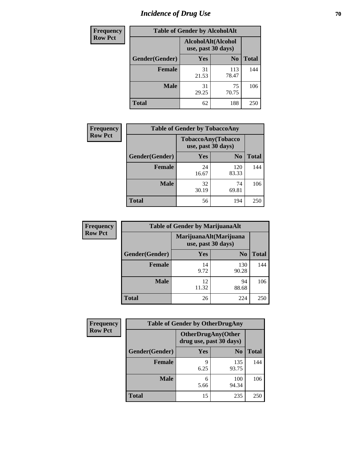# *Incidence of Drug Use* **70**

| <b>Frequency</b> | <b>Table of Gender by AlcoholAlt</b> |                                          |                |              |
|------------------|--------------------------------------|------------------------------------------|----------------|--------------|
| <b>Row Pct</b>   |                                      | AlcoholAlt(Alcohol<br>use, past 30 days) |                |              |
|                  | Gender(Gender)                       | Yes                                      | N <sub>0</sub> | <b>Total</b> |
|                  | <b>Female</b>                        | 31<br>21.53                              | 113<br>78.47   | 144          |
|                  | <b>Male</b>                          | 31<br>29.25                              | 75<br>70.75    | 106          |
|                  | <b>Total</b>                         | 62                                       | 188            | 250          |

| <b>Frequency</b> | <b>Table of Gender by TobaccoAny</b> |                    |                    |              |  |
|------------------|--------------------------------------|--------------------|--------------------|--------------|--|
| <b>Row Pct</b>   |                                      | use, past 30 days) | TobaccoAny(Tobacco |              |  |
|                  | Gender(Gender)                       | Yes                | N <sub>0</sub>     | <b>Total</b> |  |
|                  | <b>Female</b>                        | 24<br>16.67        | 120<br>83.33       | 144          |  |
|                  | <b>Male</b>                          | 32<br>30.19        | 74<br>69.81        | 106          |  |
|                  | <b>Total</b>                         | 56                 | 194                | 250          |  |

| <b>Frequency</b> | <b>Table of Gender by MarijuanaAlt</b> |                                              |                |              |
|------------------|----------------------------------------|----------------------------------------------|----------------|--------------|
| <b>Row Pct</b>   |                                        | MarijuanaAlt(Marijuana<br>use, past 30 days) |                |              |
|                  | Gender(Gender)                         | <b>Yes</b>                                   | N <sub>0</sub> | <b>Total</b> |
|                  | <b>Female</b>                          | 14<br>9.72                                   | 130<br>90.28   | 144          |
|                  | <b>Male</b>                            | 12<br>11.32                                  | 94<br>88.68    | 106          |
|                  | <b>Total</b>                           | 26                                           | 224            | 250          |

| <b>Frequency</b> | <b>Table of Gender by OtherDrugAny</b> |                                                      |                |              |
|------------------|----------------------------------------|------------------------------------------------------|----------------|--------------|
| <b>Row Pct</b>   |                                        | <b>OtherDrugAny(Other</b><br>drug use, past 30 days) |                |              |
|                  | Gender(Gender)                         | <b>Yes</b>                                           | N <sub>0</sub> | <b>Total</b> |
|                  | <b>Female</b>                          | 9<br>6.25                                            | 135<br>93.75   | 144          |
|                  | <b>Male</b>                            | 6<br>5.66                                            | 100<br>94.34   | 106          |
|                  | <b>Total</b>                           | 15                                                   | 235            | 250          |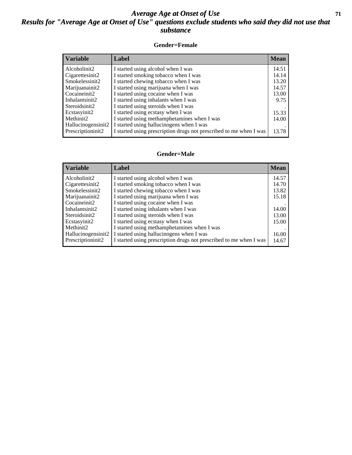#### *Average Age at Onset of Use* **71** *Results for "Average Age at Onset of Use" questions exclude students who said they did not use that substance*

#### **Gender=Female**

| <b>Variable</b>    | <b>Label</b>                                                       | <b>Mean</b> |
|--------------------|--------------------------------------------------------------------|-------------|
| Alcoholinit2       | I started using alcohol when I was                                 | 14.51       |
| Cigarettesinit2    | I started smoking tobacco when I was                               | 14.14       |
| Smokelessinit2     | I started chewing tobacco when I was                               | 13.20       |
| Marijuanainit2     | I started using marijuana when I was                               | 14.57       |
| Cocaineinit2       | I started using cocaine when I was                                 | 13.00       |
| Inhalantsinit2     | I started using inhalants when I was                               | 9.75        |
| Steroidsinit2      | I started using steroids when I was                                |             |
| Ecstasyinit2       | I started using ecstasy when I was                                 | 15.33       |
| Methinit2          | I started using methamphetamines when I was                        | 14.00       |
| Hallucinogensinit2 | I started using hallucinogens when I was                           |             |
| Prescription in t2 | I started using prescription drugs not prescribed to me when I was | 13.78       |

#### **Gender=Male**

| <b>Variable</b>    | Label                                                              | <b>Mean</b> |
|--------------------|--------------------------------------------------------------------|-------------|
| Alcoholinit2       | I started using alcohol when I was                                 | 14.57       |
| Cigarettesinit2    | I started smoking tobacco when I was                               | 14.70       |
| Smokelessinit2     | I started chewing tobacco when I was                               | 13.82       |
| Marijuanainit2     | I started using marijuana when I was                               | 15.18       |
| Cocaineinit2       | I started using cocaine when I was                                 |             |
| Inhalantsinit2     | I started using inhalants when I was                               | 14.00       |
| Steroidsinit2      | I started using steroids when I was                                | 13.00       |
| Ecstasyinit2       | I started using ecstasy when I was                                 | 15.00       |
| Methinit2          | I started using methamphetamines when I was                        |             |
| Hallucinogensinit2 | I started using hallucinogens when I was                           | 16.00       |
| Prescriptioninit2  | I started using prescription drugs not prescribed to me when I was | 14.67       |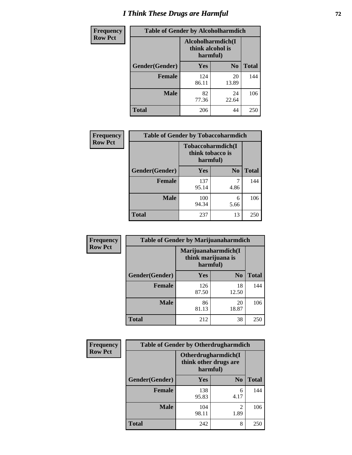# *I Think These Drugs are Harmful* **72**

| Frequency      | <b>Table of Gender by Alcoholharmdich</b> |                                                   |                |              |
|----------------|-------------------------------------------|---------------------------------------------------|----------------|--------------|
| <b>Row Pct</b> |                                           | Alcoholharmdich(I<br>think alcohol is<br>harmful) |                |              |
|                | Gender(Gender)                            | <b>Yes</b>                                        | N <sub>0</sub> | <b>Total</b> |
|                | <b>Female</b>                             | 124<br>86.11                                      | 20<br>13.89    | 144          |
|                | <b>Male</b>                               | 82<br>77.36                                       | 24<br>22.64    | 106          |
|                | <b>Total</b>                              | 206                                               | 44             | 250          |

| Frequency      | <b>Table of Gender by Tobaccoharmdich</b> |                                                   |                |              |
|----------------|-------------------------------------------|---------------------------------------------------|----------------|--------------|
| <b>Row Pct</b> |                                           | Tobaccoharmdich(I<br>think tobacco is<br>harmful) |                |              |
|                | Gender(Gender)                            | Yes                                               | N <sub>0</sub> | <b>Total</b> |
|                | <b>Female</b>                             | 137<br>95.14                                      | 4.86           | 144          |
|                | <b>Male</b>                               | 100<br>94.34                                      | 6<br>5.66      | 106          |
|                | <b>Total</b>                              | 237                                               | 13             | 250          |

| Frequency      | <b>Table of Gender by Marijuanaharmdich</b> |                                                       |                |              |  |
|----------------|---------------------------------------------|-------------------------------------------------------|----------------|--------------|--|
| <b>Row Pct</b> |                                             | Marijuanaharmdich(I<br>think marijuana is<br>harmful) |                |              |  |
|                | Gender(Gender)                              | <b>Yes</b>                                            | N <sub>0</sub> | <b>Total</b> |  |
|                | <b>Female</b>                               | 126<br>87.50                                          | 18<br>12.50    | 144          |  |
|                | <b>Male</b>                                 | 86<br>81.13                                           | 20<br>18.87    | 106          |  |
|                | <b>Total</b>                                | 212                                                   | 38             | 250          |  |

| Frequency      | <b>Table of Gender by Otherdrugharmdich</b> |                                                          |                        |              |  |
|----------------|---------------------------------------------|----------------------------------------------------------|------------------------|--------------|--|
| <b>Row Pct</b> |                                             | Otherdrugharmdich(I<br>think other drugs are<br>harmful) |                        |              |  |
|                | Gender(Gender)                              | <b>Yes</b>                                               | N <sub>0</sub>         | <b>Total</b> |  |
|                | <b>Female</b>                               | 138<br>95.83                                             | 6<br>4.17              | 144          |  |
|                | <b>Male</b>                                 | 104<br>98.11                                             | $\overline{c}$<br>1.89 | 106          |  |
|                | <b>Total</b>                                | 242                                                      | 8                      | 250          |  |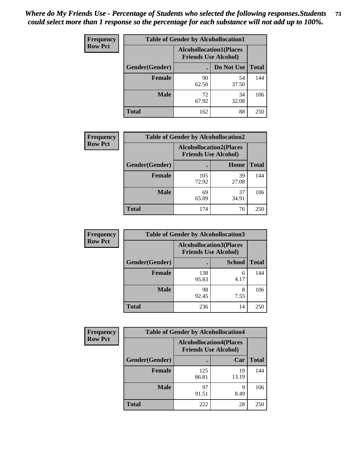| <b>Frequency</b> | <b>Table of Gender by Alcohollocation1</b> |                                                               |             |              |
|------------------|--------------------------------------------|---------------------------------------------------------------|-------------|--------------|
| <b>Row Pct</b>   |                                            | <b>Alcohollocation1(Places</b><br><b>Friends Use Alcohol)</b> |             |              |
|                  | Gender(Gender)                             |                                                               | Do Not Use  | <b>Total</b> |
|                  | <b>Female</b>                              | 90<br>62.50                                                   | 54<br>37.50 | 144          |
|                  | <b>Male</b>                                | 72<br>67.92                                                   | 34<br>32.08 | 106          |
|                  | <b>Total</b>                               | 162                                                           | 88          | 250          |

| <b>Frequency</b> | <b>Table of Gender by Alcohollocation2</b> |              |                                                               |              |
|------------------|--------------------------------------------|--------------|---------------------------------------------------------------|--------------|
| <b>Row Pct</b>   |                                            |              | <b>Alcohollocation2(Places</b><br><b>Friends Use Alcohol)</b> |              |
|                  | Gender(Gender)                             |              | Home                                                          | <b>Total</b> |
|                  | <b>Female</b>                              | 105<br>72.92 | 39<br>27.08                                                   | 144          |
|                  | <b>Male</b>                                | 69<br>65.09  | 37<br>34.91                                                   | 106          |
|                  | <b>Total</b>                               | 174          | 76                                                            | 250          |

| Frequency      | <b>Table of Gender by Alcohollocation3</b> |                                                               |               |              |
|----------------|--------------------------------------------|---------------------------------------------------------------|---------------|--------------|
| <b>Row Pct</b> |                                            | <b>Alcohollocation3(Places</b><br><b>Friends Use Alcohol)</b> |               |              |
|                | Gender(Gender)                             |                                                               | <b>School</b> | <b>Total</b> |
|                | <b>Female</b>                              | 138<br>95.83                                                  | 6<br>4.17     | 144          |
|                | <b>Male</b>                                | 98<br>92.45                                                   | 7.55          | 106          |
|                | <b>Total</b>                               | 236                                                           | 14            | 250          |

| Frequency      | <b>Table of Gender by Alcohollocation4</b> |                                                               |             |              |
|----------------|--------------------------------------------|---------------------------------------------------------------|-------------|--------------|
| <b>Row Pct</b> |                                            | <b>Alcohollocation4(Places</b><br><b>Friends Use Alcohol)</b> |             |              |
|                | Gender(Gender)                             |                                                               | Car         | <b>Total</b> |
|                | <b>Female</b>                              | 125<br>86.81                                                  | 19<br>13.19 | 144          |
|                | <b>Male</b>                                | 97<br>91.51                                                   | q<br>8.49   | 106          |
|                | <b>Total</b>                               | 222                                                           | 28          | 250          |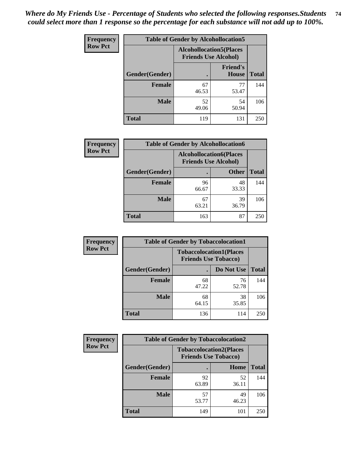| <b>Frequency</b> |                | <b>Table of Gender by Alcohollocation5</b>                    |                                 |              |
|------------------|----------------|---------------------------------------------------------------|---------------------------------|--------------|
| <b>Row Pct</b>   |                | <b>Alcohollocation5(Places</b><br><b>Friends Use Alcohol)</b> |                                 |              |
|                  | Gender(Gender) | $\bullet$                                                     | <b>Friend's</b><br><b>House</b> | <b>Total</b> |
|                  | <b>Female</b>  | 67<br>46.53                                                   | 77<br>53.47                     | 144          |
|                  | <b>Male</b>    | 52<br>49.06                                                   | 54<br>50.94                     | 106          |
|                  | <b>Total</b>   | 119                                                           | 131                             | 250          |

| Frequency      | <b>Table of Gender by Alcohollocation6</b> |                                                               |              |              |
|----------------|--------------------------------------------|---------------------------------------------------------------|--------------|--------------|
| <b>Row Pct</b> |                                            | <b>Alcohollocation6(Places</b><br><b>Friends Use Alcohol)</b> |              |              |
|                | <b>Gender</b> (Gender)                     |                                                               | <b>Other</b> | <b>Total</b> |
|                | <b>Female</b>                              | 96<br>66.67                                                   | 48<br>33.33  | 144          |
|                | <b>Male</b>                                | 67<br>63.21                                                   | 39<br>36.79  | 106          |
|                | <b>Total</b>                               | 163                                                           | 87           | 250          |

| Frequency      | <b>Table of Gender by Tobaccolocation1</b> |                                                               |             |              |  |
|----------------|--------------------------------------------|---------------------------------------------------------------|-------------|--------------|--|
| <b>Row Pct</b> |                                            | <b>Tobaccolocation1(Places</b><br><b>Friends Use Tobacco)</b> |             |              |  |
|                | Gender(Gender)                             |                                                               | Do Not Use  | <b>Total</b> |  |
|                | <b>Female</b>                              | 68<br>47.22                                                   | 76<br>52.78 | 144          |  |
|                | <b>Male</b>                                | 68<br>64.15                                                   | 38<br>35.85 | 106          |  |
|                | <b>Total</b>                               | 136                                                           | 114         | 250          |  |

| <b>Frequency</b> |                | <b>Table of Gender by Tobaccolocation2</b>                    |             |              |
|------------------|----------------|---------------------------------------------------------------|-------------|--------------|
| <b>Row Pct</b>   |                | <b>Tobaccolocation2(Places</b><br><b>Friends Use Tobacco)</b> |             |              |
|                  | Gender(Gender) |                                                               | Home        | <b>Total</b> |
|                  | Female         | 92<br>63.89                                                   | 52<br>36.11 | 144          |
|                  | <b>Male</b>    | 57<br>53.77                                                   | 49<br>46.23 | 106          |
|                  | <b>Total</b>   | 149                                                           | 101         | 250          |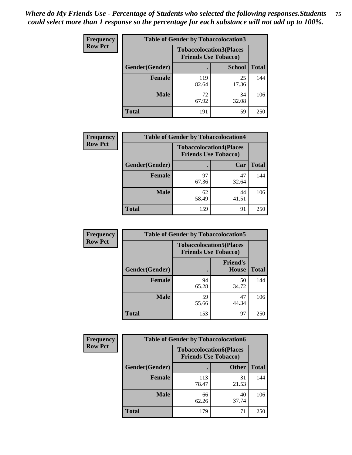| <b>Frequency</b> | <b>Table of Gender by Tobaccolocation3</b> |                             |                                |              |
|------------------|--------------------------------------------|-----------------------------|--------------------------------|--------------|
| <b>Row Pct</b>   |                                            | <b>Friends Use Tobacco)</b> | <b>Tobaccolocation3(Places</b> |              |
|                  | Gender(Gender)                             |                             | <b>School</b>                  | <b>Total</b> |
|                  | Female                                     | 119<br>82.64                | 25<br>17.36                    | 144          |
|                  | <b>Male</b>                                | 72<br>67.92                 | 34<br>32.08                    | 106          |
|                  | <b>Total</b>                               | 191                         | 59                             | 250          |

| <b>Frequency</b> | <b>Table of Gender by Tobaccolocation4</b> |                             |                                |              |
|------------------|--------------------------------------------|-----------------------------|--------------------------------|--------------|
| <b>Row Pct</b>   |                                            | <b>Friends Use Tobacco)</b> | <b>Tobaccolocation4(Places</b> |              |
|                  | Gender(Gender)                             |                             | Car                            | <b>Total</b> |
|                  | <b>Female</b>                              | 97<br>67.36                 | 47<br>32.64                    | 144          |
|                  | <b>Male</b>                                | 62<br>58.49                 | 44<br>41.51                    | 106          |
|                  | <b>Total</b>                               | 159                         | 91                             | 250          |

| <b>Frequency</b> | <b>Table of Gender by Tobaccolocation5</b> |                                                               |                                 |              |
|------------------|--------------------------------------------|---------------------------------------------------------------|---------------------------------|--------------|
| <b>Row Pct</b>   |                                            | <b>Tobaccolocation5(Places</b><br><b>Friends Use Tobacco)</b> |                                 |              |
|                  | Gender(Gender)                             |                                                               | <b>Friend's</b><br><b>House</b> | <b>Total</b> |
|                  | <b>Female</b>                              | 94<br>65.28                                                   | 50<br>34.72                     | 144          |
|                  | <b>Male</b>                                | 59<br>55.66                                                   | 47<br>44.34                     | 106          |
|                  | <b>Total</b>                               | 153                                                           | 97                              | 250          |

| <b>Frequency</b> | <b>Table of Gender by Tobaccolocation6</b> |                                                               |              |              |
|------------------|--------------------------------------------|---------------------------------------------------------------|--------------|--------------|
| <b>Row Pct</b>   |                                            | <b>Tobaccolocation6(Places</b><br><b>Friends Use Tobacco)</b> |              |              |
|                  | Gender(Gender)                             |                                                               | <b>Other</b> | <b>Total</b> |
|                  | Female                                     | 113<br>78.47                                                  | 31<br>21.53  | 144          |
|                  | <b>Male</b>                                | 66<br>62.26                                                   | 40<br>37.74  | 106          |
|                  | <b>Total</b>                               | 179                                                           | 71           | 250          |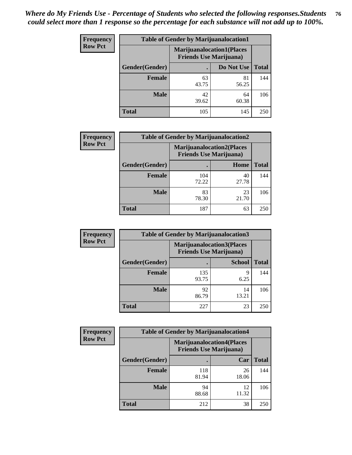| <b>Frequency</b> | <b>Table of Gender by Marijuanalocation1</b> |                                |                                  |              |  |
|------------------|----------------------------------------------|--------------------------------|----------------------------------|--------------|--|
| <b>Row Pct</b>   |                                              | <b>Friends Use Marijuana</b> ) | <b>Marijuanalocation1(Places</b> |              |  |
|                  | Gender(Gender)                               |                                | Do Not Use                       | <b>Total</b> |  |
|                  | <b>Female</b>                                | 63<br>43.75                    | 81<br>56.25                      | 144          |  |
|                  | <b>Male</b>                                  | 42<br>39.62                    | 64<br>60.38                      | 106          |  |
|                  | <b>Total</b>                                 | 105                            | 145                              | 250          |  |

| <b>Frequency</b> | <b>Table of Gender by Marijuanalocation2</b> |              |                                                                    |              |
|------------------|----------------------------------------------|--------------|--------------------------------------------------------------------|--------------|
| <b>Row Pct</b>   |                                              |              | <b>Marijuanalocation2(Places</b><br><b>Friends Use Marijuana</b> ) |              |
|                  | Gender(Gender)                               |              | Home                                                               | <b>Total</b> |
|                  | <b>Female</b>                                | 104<br>72.22 | 40<br>27.78                                                        | 144          |
|                  | <b>Male</b>                                  | 83<br>78.30  | 23<br>21.70                                                        | 106          |
|                  | <b>Total</b>                                 | 187          | 63                                                                 | 250          |

| Frequency      | <b>Table of Gender by Marijuanalocation3</b> |                                                                    |               |              |  |
|----------------|----------------------------------------------|--------------------------------------------------------------------|---------------|--------------|--|
| <b>Row Pct</b> |                                              | <b>Marijuanalocation3(Places</b><br><b>Friends Use Marijuana</b> ) |               |              |  |
|                | Gender(Gender)                               |                                                                    | <b>School</b> | <b>Total</b> |  |
|                | Female                                       | 135<br>93.75                                                       | q<br>6.25     | 144          |  |
|                | <b>Male</b>                                  | 92<br>86.79                                                        | 14<br>13.21   | 106          |  |
|                | <b>Total</b>                                 | 227                                                                | 23            | 250          |  |

| <b>Frequency</b> | <b>Table of Gender by Marijuanalocation4</b> |                                |                                   |              |
|------------------|----------------------------------------------|--------------------------------|-----------------------------------|--------------|
| <b>Row Pct</b>   |                                              | <b>Friends Use Marijuana</b> ) | <b>Marijuanalocation4(Places)</b> |              |
|                  | Gender(Gender)                               |                                | Car                               | <b>Total</b> |
|                  | Female                                       | 118<br>81.94                   | 26<br>18.06                       | 144          |
|                  | <b>Male</b>                                  | 94<br>88.68                    | 12<br>11.32                       | 106          |
|                  | <b>Total</b>                                 | 212                            | 38                                | 250          |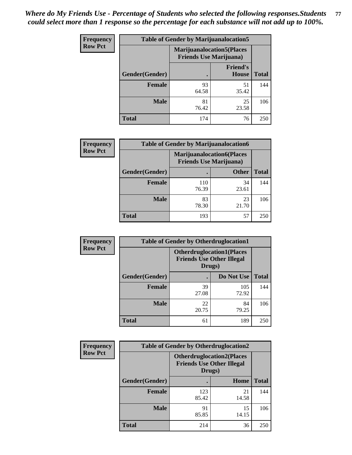| <b>Frequency</b> | <b>Table of Gender by Marijuanalocation5</b> |                                                                     |                          |              |
|------------------|----------------------------------------------|---------------------------------------------------------------------|--------------------------|--------------|
| <b>Row Pct</b>   |                                              | <b>Marijuanalocation5</b> (Places<br><b>Friends Use Marijuana</b> ) |                          |              |
|                  | Gender(Gender)                               |                                                                     | <b>Friend's</b><br>House | <b>Total</b> |
|                  | <b>Female</b>                                | 93<br>64.58                                                         | 51<br>35.42              | 144          |
|                  | <b>Male</b>                                  | 81<br>76.42                                                         | 25<br>23.58              | 106          |
|                  | <b>Total</b>                                 | 174                                                                 | 76                       | 250          |

| <b>Frequency</b> | <b>Table of Gender by Marijuanalocation6</b> |                                                                    |              |              |  |
|------------------|----------------------------------------------|--------------------------------------------------------------------|--------------|--------------|--|
| <b>Row Pct</b>   |                                              | <b>Marijuanalocation6(Places</b><br><b>Friends Use Marijuana</b> ) |              |              |  |
|                  | Gender(Gender)                               |                                                                    | <b>Other</b> | <b>Total</b> |  |
|                  | <b>Female</b>                                | 110<br>76.39                                                       | 34<br>23.61  | 144          |  |
|                  | <b>Male</b>                                  | 83<br>78.30                                                        | 23<br>21.70  | 106          |  |
|                  | <b>Total</b>                                 | 193                                                                | 57           | 250          |  |

| <b>Frequency</b> | <b>Table of Gender by Otherdruglocation1</b> |                                                                                |              |              |
|------------------|----------------------------------------------|--------------------------------------------------------------------------------|--------------|--------------|
| <b>Row Pct</b>   |                                              | <b>Otherdruglocation1(Places</b><br><b>Friends Use Other Illegal</b><br>Drugs) |              |              |
|                  | <b>Gender</b> (Gender)                       |                                                                                | Do Not Use   | <b>Total</b> |
|                  | <b>Female</b>                                | 39<br>27.08                                                                    | 105<br>72.92 | 144          |
|                  | <b>Male</b>                                  | 22<br>20.75                                                                    | 84<br>79.25  | 106          |
|                  | <b>Total</b>                                 | 61                                                                             | 189          | 250          |

| <b>Frequency</b> | <b>Table of Gender by Otherdruglocation2</b> |                                            |                                  |              |
|------------------|----------------------------------------------|--------------------------------------------|----------------------------------|--------------|
| <b>Row Pct</b>   |                                              | <b>Friends Use Other Illegal</b><br>Drugs) | <b>Otherdruglocation2(Places</b> |              |
|                  | Gender(Gender)                               |                                            | Home                             | <b>Total</b> |
|                  | Female                                       | 123<br>85.42                               | 21<br>14.58                      | 144          |
|                  | <b>Male</b>                                  | 91<br>85.85                                | 15<br>14.15                      | 106          |
|                  | <b>Total</b>                                 | 214                                        | 36                               | 250          |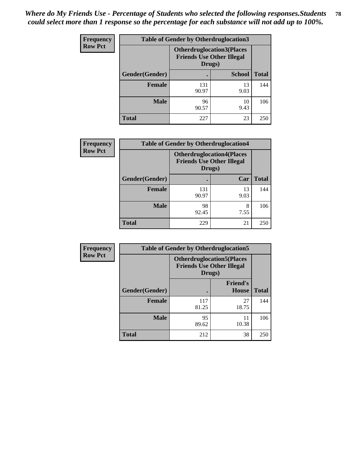| <b>Frequency</b> | <b>Table of Gender by Otherdruglocation3</b> |                                                                                |               |              |
|------------------|----------------------------------------------|--------------------------------------------------------------------------------|---------------|--------------|
| <b>Row Pct</b>   |                                              | <b>Otherdruglocation3(Places</b><br><b>Friends Use Other Illegal</b><br>Drugs) |               |              |
|                  | Gender(Gender)                               |                                                                                | <b>School</b> | <b>Total</b> |
|                  | <b>Female</b>                                | 131<br>90.97                                                                   | 13<br>9.03    | 144          |
|                  | <b>Male</b>                                  | 96<br>90.57                                                                    | 10<br>9.43    | 106          |
|                  | <b>Total</b>                                 | 227                                                                            | 23            | 250          |

| Frequency      | <b>Table of Gender by Otherdruglocation4</b> |                                            |                                   |              |
|----------------|----------------------------------------------|--------------------------------------------|-----------------------------------|--------------|
| <b>Row Pct</b> |                                              | <b>Friends Use Other Illegal</b><br>Drugs) | <b>Otherdruglocation4(Places)</b> |              |
|                | Gender(Gender)                               |                                            | Car                               | <b>Total</b> |
|                | <b>Female</b>                                | 131<br>90.97                               | 13<br>9.03                        | 144          |
|                | <b>Male</b>                                  | 98<br>92.45                                | 8<br>7.55                         | 106          |
|                | Total                                        | 229                                        | 21                                | 250          |

| Frequency      | <b>Table of Gender by Otherdruglocation5</b> |                                                                                |                                 |              |
|----------------|----------------------------------------------|--------------------------------------------------------------------------------|---------------------------------|--------------|
| <b>Row Pct</b> |                                              | <b>Otherdruglocation5(Places</b><br><b>Friends Use Other Illegal</b><br>Drugs) |                                 |              |
|                | Gender(Gender)                               |                                                                                | <b>Friend's</b><br><b>House</b> | <b>Total</b> |
|                | <b>Female</b>                                | 117<br>81.25                                                                   | 27<br>18.75                     | 144          |
|                | <b>Male</b>                                  | 95<br>89.62                                                                    | 11<br>10.38                     | 106          |
|                | <b>Total</b>                                 | 212                                                                            | 38                              | 250          |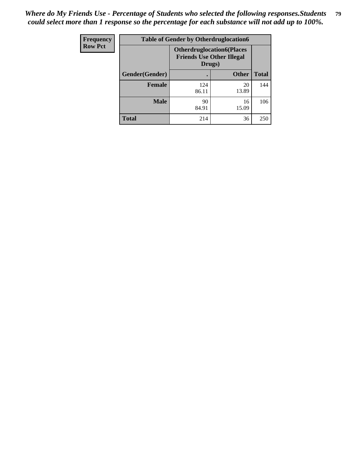| <b>Frequency</b> | <b>Table of Gender by Otherdruglocation6</b> |                                            |                                  |              |
|------------------|----------------------------------------------|--------------------------------------------|----------------------------------|--------------|
| <b>Row Pct</b>   |                                              | <b>Friends Use Other Illegal</b><br>Drugs) | <b>Otherdruglocation6(Places</b> |              |
|                  | Gender(Gender)                               |                                            | <b>Other</b>                     | <b>Total</b> |
|                  | Female                                       | 124<br>86.11                               | 20<br>13.89                      | 144          |
|                  | <b>Male</b>                                  | 90<br>84.91                                | 16<br>15.09                      | 106          |
|                  | <b>Total</b>                                 | 214                                        | 36                               | 250          |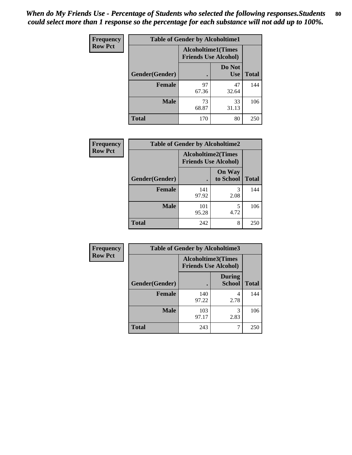| <b>Frequency</b> | <b>Table of Gender by Alcoholtime1</b> |                                                          |                      |              |
|------------------|----------------------------------------|----------------------------------------------------------|----------------------|--------------|
| <b>Row Pct</b>   |                                        | <b>Alcoholtime1(Times</b><br><b>Friends Use Alcohol)</b> |                      |              |
|                  | Gender(Gender)                         | $\bullet$                                                | Do Not<br><b>Use</b> | <b>Total</b> |
|                  | <b>Female</b>                          | 97<br>67.36                                              | 47<br>32.64          | 144          |
|                  | <b>Male</b>                            | 73<br>68.87                                              | 33<br>31.13          | 106          |
|                  | <b>Total</b>                           | 170                                                      | 80                   | 250          |

| Frequency      | <b>Table of Gender by Alcoholtime2</b> |                                                          |                            |              |
|----------------|----------------------------------------|----------------------------------------------------------|----------------------------|--------------|
| <b>Row Pct</b> |                                        | <b>Alcoholtime2(Times</b><br><b>Friends Use Alcohol)</b> |                            |              |
|                | Gender(Gender)                         |                                                          | <b>On Way</b><br>to School | <b>Total</b> |
|                | Female                                 | 141<br>97.92                                             | 3<br>2.08                  | 144          |
|                | <b>Male</b>                            | 101<br>95.28                                             | 5<br>4.72                  | 106          |
|                | <b>Total</b>                           | 242                                                      | 8                          | 250          |

| Frequency      | <b>Table of Gender by Alcoholtime3</b> |                                                   |                         |              |
|----------------|----------------------------------------|---------------------------------------------------|-------------------------|--------------|
| <b>Row Pct</b> |                                        | Alcoholtime3(Times<br><b>Friends Use Alcohol)</b> |                         |              |
|                | Gender(Gender)                         |                                                   | <b>During</b><br>School | <b>Total</b> |
|                | Female                                 | 140<br>97.22                                      | 4<br>2.78               | 144          |
|                | <b>Male</b>                            | 103<br>97.17                                      | 3<br>2.83               | 106          |
|                | <b>Total</b>                           | 243                                               | 7                       | 250          |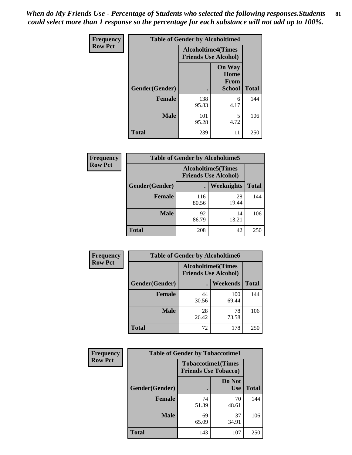*When do My Friends Use - Percentage of Students who selected the following responses.Students could select more than 1 response so the percentage for each substance will not add up to 100%.* **81**

| <b>Frequency</b> | <b>Table of Gender by Alcoholtime4</b> |                                                          |                                                |              |
|------------------|----------------------------------------|----------------------------------------------------------|------------------------------------------------|--------------|
| <b>Row Pct</b>   |                                        | <b>Alcoholtime4(Times</b><br><b>Friends Use Alcohol)</b> |                                                |              |
|                  | Gender(Gender)                         |                                                          | <b>On Way</b><br>Home<br>From<br><b>School</b> | <b>Total</b> |
|                  | <b>Female</b>                          | 138<br>95.83                                             | 6<br>4.17                                      | 144          |
|                  | <b>Male</b>                            | 101<br>95.28                                             | 5<br>4.72                                      | 106          |
|                  | <b>Total</b>                           | 239                                                      | 11                                             | 250          |

| <b>Frequency</b> | <b>Table of Gender by Alcoholtime5</b> |                                                           |                   |              |
|------------------|----------------------------------------|-----------------------------------------------------------|-------------------|--------------|
| <b>Row Pct</b>   |                                        | <b>Alcoholtime5</b> (Times<br><b>Friends Use Alcohol)</b> |                   |              |
|                  | Gender(Gender)                         |                                                           | <b>Weeknights</b> | <b>Total</b> |
|                  | <b>Female</b>                          | 116<br>80.56                                              | 28<br>19.44       | 144          |
|                  | <b>Male</b>                            | 92<br>86.79                                               | 14<br>13.21       | 106          |
|                  | <b>Total</b>                           | 208                                                       | 42                | 250          |

| <b>Frequency</b> | <b>Table of Gender by Alcoholtime6</b> |             |                                                          |              |
|------------------|----------------------------------------|-------------|----------------------------------------------------------|--------------|
| <b>Row Pct</b>   |                                        |             | <b>Alcoholtime6(Times</b><br><b>Friends Use Alcohol)</b> |              |
|                  | Gender(Gender)                         |             | <b>Weekends</b>                                          | <b>Total</b> |
|                  | Female                                 | 44<br>30.56 | 100<br>69.44                                             | 144          |
|                  | <b>Male</b>                            | 28<br>26.42 | 78<br>73.58                                              | 106          |
|                  | <b>Total</b>                           | 72          | 178                                                      | 250          |

| Frequency      | <b>Table of Gender by Tobaccotime1</b> |                                                          |                      |              |
|----------------|----------------------------------------|----------------------------------------------------------|----------------------|--------------|
| <b>Row Pct</b> |                                        | <b>Tobaccotime1(Times</b><br><b>Friends Use Tobacco)</b> |                      |              |
|                | Gender(Gender)                         |                                                          | Do Not<br><b>Use</b> | <b>Total</b> |
|                | Female                                 | 74<br>51.39                                              | 70<br>48.61          | 144          |
|                | <b>Male</b>                            | 69<br>65.09                                              | 37<br>34.91          | 106          |
|                | <b>Total</b>                           | 143                                                      | 107                  | 250          |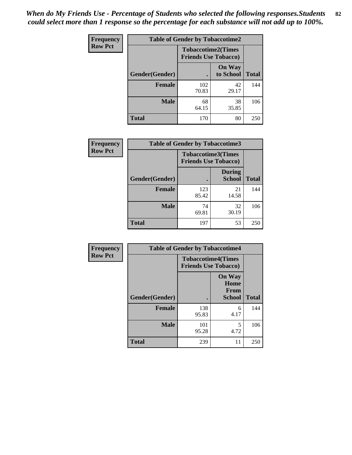| <b>Frequency</b> | <b>Table of Gender by Tobaccotime2</b> |                                                          |                            |              |
|------------------|----------------------------------------|----------------------------------------------------------|----------------------------|--------------|
| <b>Row Pct</b>   |                                        | <b>Tobaccotime2(Times</b><br><b>Friends Use Tobacco)</b> |                            |              |
|                  | Gender(Gender)                         |                                                          | <b>On Way</b><br>to School | <b>Total</b> |
|                  | <b>Female</b>                          | 102<br>70.83                                             | 42<br>29.17                | 144          |
|                  | <b>Male</b>                            | 68<br>64.15                                              | 38<br>35.85                | 106          |
|                  | <b>Total</b>                           | 170                                                      | 80                         | 250          |

| Frequency      | <b>Table of Gender by Tobaccotime3</b> |                                                          |                                |              |
|----------------|----------------------------------------|----------------------------------------------------------|--------------------------------|--------------|
| <b>Row Pct</b> |                                        | <b>Tobaccotime3(Times</b><br><b>Friends Use Tobacco)</b> |                                |              |
|                | Gender(Gender)                         |                                                          | <b>During</b><br><b>School</b> | <b>Total</b> |
|                | <b>Female</b>                          | 123<br>85.42                                             | 21<br>14.58                    | 144          |
|                | <b>Male</b>                            | 74<br>69.81                                              | 32<br>30.19                    | 106          |
|                | <b>Total</b>                           | 197                                                      | 53                             | 250          |

| Frequency      | <b>Table of Gender by Tobaccotime4</b> |                                                          |                                                       |              |
|----------------|----------------------------------------|----------------------------------------------------------|-------------------------------------------------------|--------------|
| <b>Row Pct</b> |                                        | <b>Tobaccotime4(Times</b><br><b>Friends Use Tobacco)</b> |                                                       |              |
|                | Gender(Gender)                         |                                                          | <b>On Way</b><br>Home<br><b>From</b><br><b>School</b> | <b>Total</b> |
|                | <b>Female</b>                          | 138<br>95.83                                             | 6<br>4.17                                             | 144          |
|                | <b>Male</b>                            | 101<br>95.28                                             | 5<br>4.72                                             | 106          |
|                | <b>Total</b>                           | 239                                                      | 11                                                    | 250          |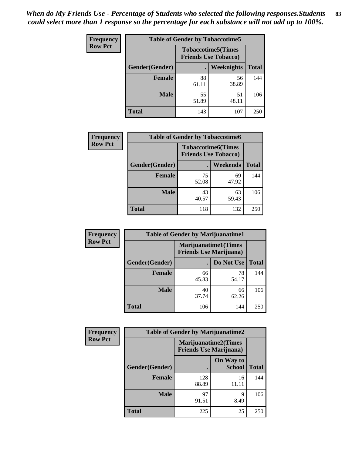| Frequency      | <b>Table of Gender by Tobaccotime5</b> |             |                                                          |              |  |
|----------------|----------------------------------------|-------------|----------------------------------------------------------|--------------|--|
| <b>Row Pct</b> |                                        |             | <b>Tobaccotime5(Times</b><br><b>Friends Use Tobacco)</b> |              |  |
|                | Gender(Gender)                         |             | Weeknights                                               | <b>Total</b> |  |
|                | <b>Female</b>                          | 88<br>61.11 | 56<br>38.89                                              | 144          |  |
|                | <b>Male</b>                            | 55<br>51.89 | 51<br>48.11                                              | 106          |  |
|                | <b>Total</b>                           | 143         | 107                                                      | 250          |  |

| <b>Frequency</b> | <b>Table of Gender by Tobaccotime6</b> |                                                          |                 |              |
|------------------|----------------------------------------|----------------------------------------------------------|-----------------|--------------|
| <b>Row Pct</b>   |                                        | <b>Tobaccotime6(Times</b><br><b>Friends Use Tobacco)</b> |                 |              |
|                  | Gender(Gender)                         |                                                          | <b>Weekends</b> | <b>Total</b> |
|                  | Female                                 | 75<br>52.08                                              | 69<br>47.92     | 144          |
|                  | <b>Male</b>                            | 43<br>40.57                                              | 63<br>59.43     | 106          |
|                  | <b>Total</b>                           | 118                                                      | 132             | 250          |

| <b>Frequency</b> | <b>Table of Gender by Marijuanatime1</b> |                                                               |             |              |
|------------------|------------------------------------------|---------------------------------------------------------------|-------------|--------------|
| <b>Row Pct</b>   |                                          | <b>Marijuanatime1(Times</b><br><b>Friends Use Marijuana</b> ) |             |              |
|                  | Gender(Gender)                           |                                                               | Do Not Use  | <b>Total</b> |
|                  | <b>Female</b>                            | 66<br>45.83                                                   | 78<br>54.17 | 144          |
|                  | <b>Male</b>                              | 40<br>37.74                                                   | 66<br>62.26 | 106          |
|                  | <b>Total</b>                             | 106                                                           | 144         | 250          |

| <b>Frequency</b> | <b>Table of Gender by Marijuanatime2</b> |                                                        |                            |              |
|------------------|------------------------------------------|--------------------------------------------------------|----------------------------|--------------|
| <b>Row Pct</b>   |                                          | Marijuanatime2(Times<br><b>Friends Use Marijuana</b> ) |                            |              |
|                  | Gender(Gender)                           |                                                        | On Way to<br><b>School</b> | <b>Total</b> |
|                  | <b>Female</b>                            | 128<br>88.89                                           | 16<br>11.11                | 144          |
|                  | <b>Male</b>                              | 97<br>91.51                                            | q<br>8.49                  | 106          |
|                  | <b>Total</b>                             | 225                                                    | 25                         | 250          |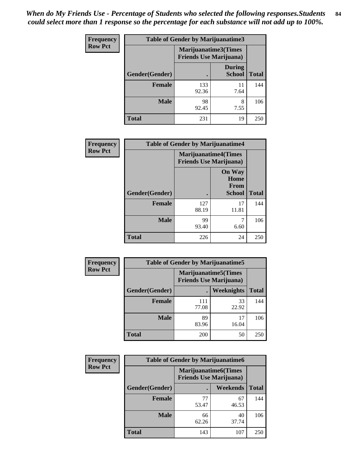| Frequency      | <b>Table of Gender by Marijuanatime3</b> |                                                        |                                |              |
|----------------|------------------------------------------|--------------------------------------------------------|--------------------------------|--------------|
| <b>Row Pct</b> |                                          | Marijuanatime3(Times<br><b>Friends Use Marijuana</b> ) |                                |              |
|                | Gender(Gender)                           |                                                        | <b>During</b><br><b>School</b> | <b>Total</b> |
|                | <b>Female</b>                            | 133<br>92.36                                           | 11<br>7.64                     | 144          |
|                | <b>Male</b>                              | 98<br>92.45                                            | 8<br>7.55                      | 106          |
|                | <b>Total</b>                             | 231                                                    | 19                             | 250          |

| Frequency      | <b>Table of Gender by Marijuanatime4</b> |                                                               |                                                |              |
|----------------|------------------------------------------|---------------------------------------------------------------|------------------------------------------------|--------------|
| <b>Row Pct</b> |                                          | <b>Marijuanatime4(Times</b><br><b>Friends Use Marijuana</b> ) |                                                |              |
|                | Gender(Gender)                           |                                                               | <b>On Way</b><br>Home<br>From<br><b>School</b> | <b>Total</b> |
|                | <b>Female</b>                            | 127<br>88.19                                                  | 17<br>11.81                                    | 144          |
|                | <b>Male</b>                              | 99<br>93.40                                                   | 7<br>6.60                                      | 106          |
|                | <b>Total</b>                             | 226                                                           | 24                                             | 250          |

| Frequency      | <b>Table of Gender by Marijuanatime5</b> |              |                                                                |              |  |
|----------------|------------------------------------------|--------------|----------------------------------------------------------------|--------------|--|
| <b>Row Pct</b> |                                          |              | <b>Marijuanatime5</b> (Times<br><b>Friends Use Marijuana</b> ) |              |  |
|                | Gender(Gender)                           |              | <b>Weeknights</b>                                              | <b>Total</b> |  |
|                | <b>Female</b>                            | 111<br>77.08 | 33<br>22.92                                                    | 144          |  |
|                | <b>Male</b>                              | 89<br>83.96  | 17<br>16.04                                                    | 106          |  |
|                | <b>Total</b>                             | 200          | 50                                                             | 250          |  |

| <b>Frequency</b> | <b>Table of Gender by Marijuanatime6</b> |                                                               |             |              |
|------------------|------------------------------------------|---------------------------------------------------------------|-------------|--------------|
| <b>Row Pct</b>   |                                          | <b>Marijuanatime6(Times</b><br><b>Friends Use Marijuana</b> ) |             |              |
|                  | Gender(Gender)                           |                                                               | Weekends    | <b>Total</b> |
|                  | <b>Female</b>                            | 77<br>53.47                                                   | 67<br>46.53 | 144          |
|                  | <b>Male</b>                              | 66<br>62.26                                                   | 40<br>37.74 | 106          |
|                  | <b>Total</b>                             | 143                                                           | 107         | 250          |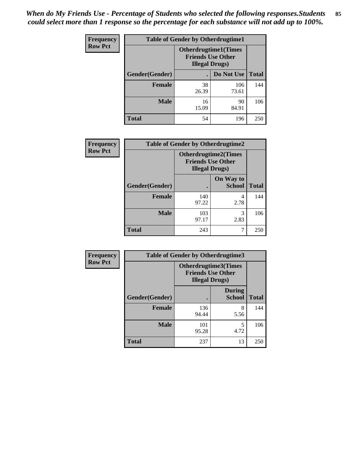| <b>Frequency</b> | <b>Table of Gender by Otherdrugtime1</b> |                                                                                    |              |              |
|------------------|------------------------------------------|------------------------------------------------------------------------------------|--------------|--------------|
| <b>Row Pct</b>   |                                          | <b>Otherdrugtime1</b> (Times<br><b>Friends Use Other</b><br><b>Illegal Drugs</b> ) |              |              |
|                  | Gender(Gender)                           |                                                                                    | Do Not Use   | <b>Total</b> |
|                  | <b>Female</b>                            | 38<br>26.39                                                                        | 106<br>73.61 | 144          |
|                  | <b>Male</b>                              | 16<br>15.09                                                                        | 90<br>84.91  | 106          |
|                  | <b>Total</b>                             | 54                                                                                 | 196          | 250          |

| Frequency      | <b>Table of Gender by Otherdrugtime2</b> |                                                                                   |                            |              |
|----------------|------------------------------------------|-----------------------------------------------------------------------------------|----------------------------|--------------|
| <b>Row Pct</b> |                                          | <b>Otherdrugtime2(Times</b><br><b>Friends Use Other</b><br><b>Illegal Drugs</b> ) |                            |              |
|                | Gender(Gender)                           |                                                                                   | On Way to<br><b>School</b> | <b>Total</b> |
|                | <b>Female</b>                            | 140<br>97.22                                                                      | 4<br>2.78                  | 144          |
|                | <b>Male</b>                              | 103<br>97.17                                                                      | 3<br>2.83                  | 106          |
|                | <b>Total</b>                             | 243                                                                               | 7                          | 250          |

| Frequency      | <b>Table of Gender by Otherdrugtime3</b> |                                                                                   |                                |              |
|----------------|------------------------------------------|-----------------------------------------------------------------------------------|--------------------------------|--------------|
| <b>Row Pct</b> |                                          | <b>Otherdrugtime3(Times</b><br><b>Friends Use Other</b><br><b>Illegal Drugs</b> ) |                                |              |
|                | Gender(Gender)                           |                                                                                   | <b>During</b><br><b>School</b> | <b>Total</b> |
|                | <b>Female</b>                            | 136<br>94.44                                                                      | 8<br>5.56                      | 144          |
|                | <b>Male</b>                              | 101<br>95.28                                                                      | 5<br>4.72                      | 106          |
|                | <b>Total</b>                             | 237                                                                               | 13                             | 250          |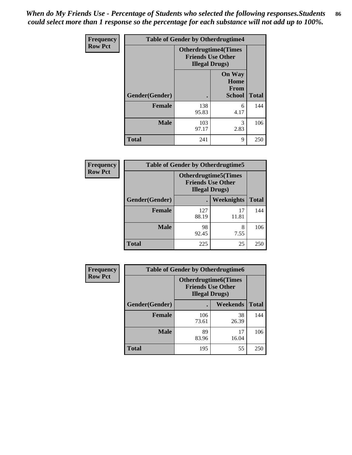*When do My Friends Use - Percentage of Students who selected the following responses.Students could select more than 1 response so the percentage for each substance will not add up to 100%.* **86**

| <b>Frequency</b> | <b>Table of Gender by Otherdrugtime4</b> |                                                    |                                                |              |
|------------------|------------------------------------------|----------------------------------------------------|------------------------------------------------|--------------|
| <b>Row Pct</b>   |                                          | <b>Friends Use Other</b><br><b>Illegal Drugs</b> ) | <b>Otherdrugtime4(Times</b>                    |              |
|                  | Gender(Gender)                           |                                                    | <b>On Way</b><br>Home<br>From<br><b>School</b> | <b>Total</b> |
|                  | <b>Female</b>                            | 138<br>95.83                                       | 6<br>4.17                                      | 144          |
|                  | <b>Male</b>                              | 103<br>97.17                                       | 3<br>2.83                                      | 106          |
|                  | <b>Total</b>                             | 241                                                | 9                                              | 250          |

| Frequency      | <b>Table of Gender by Otherdrugtime5</b> |                                                                                    |             |              |
|----------------|------------------------------------------|------------------------------------------------------------------------------------|-------------|--------------|
| <b>Row Pct</b> |                                          | <b>Otherdrugtime5</b> (Times<br><b>Friends Use Other</b><br><b>Illegal Drugs</b> ) |             |              |
|                | Gender(Gender)                           |                                                                                    | Weeknights  | <b>Total</b> |
|                | <b>Female</b>                            | 127<br>88.19                                                                       | 17<br>11.81 | 144          |
|                | <b>Male</b>                              | 98<br>92.45                                                                        | 8<br>7.55   | 106          |
|                | <b>Total</b>                             | 225                                                                                | 25          | 250          |

| <b>Frequency</b> | <b>Table of Gender by Otherdrugtime6</b> |                                                                                   |             |              |
|------------------|------------------------------------------|-----------------------------------------------------------------------------------|-------------|--------------|
| <b>Row Pct</b>   |                                          | <b>Otherdrugtime6(Times</b><br><b>Friends Use Other</b><br><b>Illegal Drugs</b> ) |             |              |
|                  | Gender(Gender)                           |                                                                                   | Weekends    | <b>Total</b> |
|                  | <b>Female</b>                            | 106<br>73.61                                                                      | 38<br>26.39 | 144          |
|                  | <b>Male</b>                              | 89<br>83.96                                                                       | 17<br>16.04 | 106          |
|                  | <b>Total</b>                             | 195                                                                               | 55          | 250          |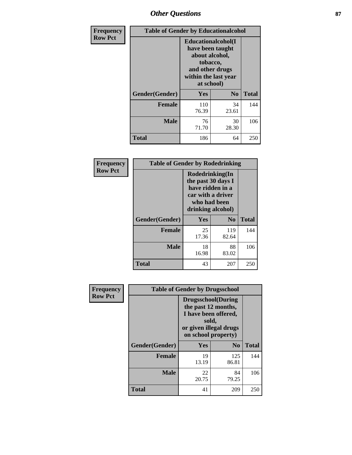# *Other Questions* **87**

| Frequency      | <b>Table of Gender by Educationalcohol</b> |                                                                                                                               |                |              |  |
|----------------|--------------------------------------------|-------------------------------------------------------------------------------------------------------------------------------|----------------|--------------|--|
| <b>Row Pct</b> |                                            | Educationalcohol(I<br>have been taught<br>about alcohol,<br>tobacco,<br>and other drugs<br>within the last year<br>at school) |                |              |  |
|                | Gender(Gender)                             | Yes                                                                                                                           | N <sub>0</sub> | <b>Total</b> |  |
|                | <b>Female</b>                              | 110<br>76.39                                                                                                                  | 34<br>23.61    | 144          |  |
|                | <b>Male</b>                                | 76<br>71.70                                                                                                                   | 30<br>28.30    | 106          |  |
|                | <b>Total</b>                               | 186                                                                                                                           | 64             | 250          |  |

| Frequency      | <b>Table of Gender by Rodedrinking</b> |                                                                                                                     |              |              |  |
|----------------|----------------------------------------|---------------------------------------------------------------------------------------------------------------------|--------------|--------------|--|
| <b>Row Pct</b> |                                        | Rodedrinking(In<br>the past 30 days I<br>have ridden in a<br>car with a driver<br>who had been<br>drinking alcohol) |              |              |  |
|                | Gender(Gender)                         | Yes                                                                                                                 | $\bf N_0$    | <b>Total</b> |  |
|                | <b>Female</b>                          | 25<br>17.36                                                                                                         | 119<br>82.64 | 144          |  |
|                | <b>Male</b>                            | 18<br>16.98                                                                                                         | 88<br>83.02  | 106          |  |
|                | <b>Total</b>                           | 43                                                                                                                  | 207          | 250          |  |

| Frequency      | <b>Table of Gender by Drugsschool</b> |                                                                                                                                     |                |              |  |
|----------------|---------------------------------------|-------------------------------------------------------------------------------------------------------------------------------------|----------------|--------------|--|
| <b>Row Pct</b> |                                       | <b>Drugsschool</b> (During<br>the past 12 months,<br>I have been offered,<br>sold,<br>or given illegal drugs<br>on school property) |                |              |  |
|                | Gender(Gender)                        | <b>Yes</b>                                                                                                                          | N <sub>0</sub> | <b>Total</b> |  |
|                | <b>Female</b>                         | 19<br>13.19                                                                                                                         | 125<br>86.81   | 144          |  |
|                | <b>Male</b>                           | 22<br>20.75                                                                                                                         | 84<br>79.25    | 106          |  |
|                | <b>Total</b>                          | 41                                                                                                                                  | 209            | 250          |  |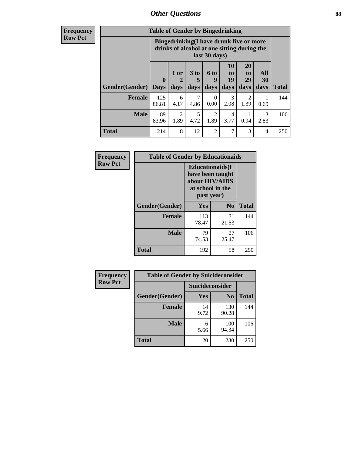# *Other Questions* **88**

**Frequency Row Pct**

| <b>Table of Gender by Bingedrinking</b> |                         |                                                                                                         |                   |                   |                        |                               |                   |              |
|-----------------------------------------|-------------------------|---------------------------------------------------------------------------------------------------------|-------------------|-------------------|------------------------|-------------------------------|-------------------|--------------|
|                                         |                         | Bingedrinking(I have drunk five or more<br>drinks of alcohol at one sitting during the<br>last 30 days) |                   |                   |                        |                               |                   |              |
| <b>Gender</b> (Gender)                  | $\bf{0}$<br><b>Days</b> | 1 or<br>days                                                                                            | 3 to<br>5<br>days | 6 to<br>9<br>days | 10<br>to<br>19<br>days | <b>20</b><br>to<br>29<br>days | All<br>30<br>days | <b>Total</b> |
| <b>Female</b>                           | 125<br>86.81            | 6<br>4.17                                                                                               | 7<br>4.86         | ∩<br>0.00         | 3<br>2.08              | 2<br>1.39                     | 0.69              | 144          |
| <b>Male</b>                             | 89                      | 2                                                                                                       | 5                 | $\mathfrak{D}$    | 4                      |                               | 3                 | 106          |
|                                         | 83.96                   | 1.89                                                                                                    | 4.72              | 1.89              | 3.77                   | 0.94                          | 2.83              |              |

| Frequency      | <b>Table of Gender by Educationaids</b> |                                                                                                 |             |              |  |
|----------------|-----------------------------------------|-------------------------------------------------------------------------------------------------|-------------|--------------|--|
| <b>Row Pct</b> |                                         | <b>Educationaids</b> (I<br>have been taught<br>about HIV/AIDS<br>at school in the<br>past year) |             |              |  |
|                | Gender(Gender)                          | Yes                                                                                             | $\bf N_0$   | <b>Total</b> |  |
|                | <b>Female</b>                           | 113<br>78.47                                                                                    | 31<br>21.53 | 144          |  |
|                | <b>Male</b>                             | 79<br>74.53                                                                                     | 27<br>25.47 | 106          |  |
|                | <b>Total</b>                            | 192                                                                                             | 58          | 250          |  |

| Frequency      | <b>Table of Gender by Suicideconsider</b> |                 |                |              |  |
|----------------|-------------------------------------------|-----------------|----------------|--------------|--|
| <b>Row Pct</b> |                                           | Suicideconsider |                |              |  |
|                | Gender(Gender)                            | <b>Yes</b>      | N <sub>0</sub> | <b>Total</b> |  |
|                | <b>Female</b>                             | 14<br>9.72      | 130<br>90.28   | 144          |  |
|                | <b>Male</b>                               | 6<br>5.66       | 100<br>94.34   | 106          |  |
|                | Total                                     | 20              | 230            | 250          |  |